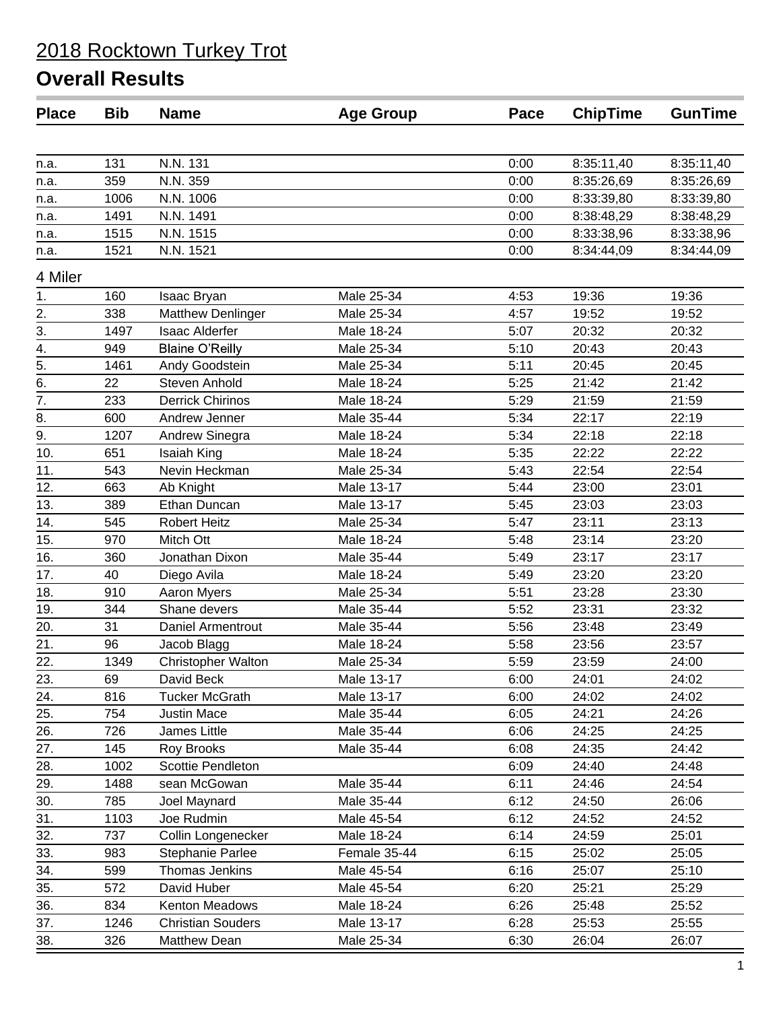| N.N. 131<br>131<br>0:00<br>8:35:11,40<br>8:35:11,40<br>n.a.<br>359<br>N.N. 359<br>0:00<br>8:35:26,69<br>8:35:26,69<br>n.a.<br>N.N. 1006<br>0:00<br>1006<br>8:33:39,80<br>8:33:39,80<br>n.a.<br>N.N. 1491<br>1491<br>0:00<br>8:38:48,29<br>8:38:48,29<br>n.a.<br>1515<br>N.N. 1515<br>0:00<br>8:33:38,96<br>8:33:38,96<br>n.a.<br>1521<br>N.N. 1521<br>0:00<br>8:34:44,09<br>8:34:44,09<br>n.a.<br>4 Miler<br>Male 25-34<br>4:53<br>19:36<br>19:36<br>160<br>Isaac Bryan<br>1.<br>2.<br>338<br>Male 25-34<br>4:57<br>19:52<br>19:52<br><b>Matthew Denlinger</b><br>Male 18-24<br>20:32<br>3.<br>1497<br><b>Isaac Alderfer</b><br>5:07<br>20:32<br>4.<br>Male 25-34<br>20:43<br>949<br><b>Blaine O'Reilly</b><br>5:10<br>20:43<br>$\overline{5}$ .<br>Male 25-34<br>1461<br>Andy Goodstein<br>5:11<br>20:45<br>20:45<br>6.<br>22<br><b>Steven Anhold</b><br>Male 18-24<br>5:25<br>21:42<br>21:42<br>$\overline{7}$ .<br><b>Derrick Chirinos</b><br>Male 18-24<br>5:29<br>21:59<br>21:59<br>233<br>8.<br>5:34<br>600<br>Andrew Jenner<br>Male 35-44<br>22:17<br>22:19<br>9.<br>Male 18-24<br>5:34<br>22:18<br>1207<br>Andrew Sinegra<br>22:18<br>10.<br>Male 18-24<br>5:35<br>22:22<br>22:22<br>651<br>Isaiah King<br>Male 25-34<br>22:54<br>11.<br>Nevin Heckman<br>5:43<br>22:54<br>543<br>12.<br>Male 13-17<br>663<br>5:44<br>23:00<br>23:01<br>Ab Knight<br>13.<br>Ethan Duncan<br>5:45<br>389<br>Male 13-17<br>23:03<br>23:03<br>14.<br>545<br><b>Robert Heitz</b><br>Male 25-34<br>5:47<br>23:11<br>23:13<br>15.<br>970<br>Male 18-24<br>23:14<br>23:20<br>Mitch Ott<br>5:48<br>16.<br>360<br>Jonathan Dixon<br>Male 35-44<br>5:49<br>23:17<br>23:17<br>17.<br>40<br>Diego Avila<br>Male 18-24<br>5:49<br>23:20<br>23:20<br>18.<br>910<br>Male 25-34<br>5:51<br>23:28<br>23:30<br>Aaron Myers<br>19.<br>344<br>Shane devers<br>Male 35-44<br>5:52<br>23:31<br>23:32<br>20.<br>31<br>5:56<br>Daniel Armentrout<br>Male 35-44<br>23:48<br>23:49<br>21.<br>Male 18-24<br>96<br>Jacob Blagg<br>5:58<br>23:56<br>23:57<br>22.<br><b>Christopher Walton</b><br>Male 25-34<br>23:59<br>1349<br>5:59<br>24:00<br>23.<br>David Beck<br>6:00<br>69<br>Male 13-17<br>24:01<br>24:02<br>24.<br>816<br>Male 13-17<br>6:00<br>24:02<br>24:02<br><b>Tucker McGrath</b><br>25.<br>754<br>Male 35-44<br>6:05<br>24:21<br>24:26<br>Justin Mace<br>26.<br>726<br>Male 35-44<br>6:06<br>24:25<br>24:25<br>James Little<br>27.<br>145<br>Male 35-44<br>6:08<br>24:35<br>Roy Brooks<br>24:42<br>1002<br>Scottie Pendleton<br>28.<br>6:09<br>24:40<br>24:48<br>29.<br>24:46<br>1488<br>sean McGowan<br>Male 35-44<br>6:11<br>24:54<br>30.<br>Male 35-44<br>6:12<br>24:50<br>785<br>Joel Maynard<br>26:06<br>31.<br>Male 45-54<br>6:12<br>24:52<br>24:52<br>1103<br>Joe Rudmin<br>32.<br>737<br>Collin Longenecker<br>Male 18-24<br>6:14<br>25:01<br>24:59<br>25:02<br>25:05<br>33.<br>983<br>Female 35-44<br>6:15<br>Stephanie Parlee<br>34.<br>Thomas Jenkins<br>Male 45-54<br>6:16<br>25:07<br>25:10<br>599<br>572<br>35.<br>David Huber<br>Male 45-54<br>6:20<br>25:21<br>25:29<br>36.<br>834<br>Kenton Meadows<br>Male 18-24<br>6:26<br>25:48<br>25:52<br>37.<br>25:53<br>25:55<br>1246<br><b>Christian Souders</b><br>Male 13-17<br>6:28<br>38.<br>Matthew Dean<br>Male 25-34<br>26:04<br>326<br>6:30<br>26:07 | <b>Place</b> | <b>Bib</b> | <b>Name</b> | <b>Age Group</b> | Pace | <b>ChipTime</b> | <b>GunTime</b> |
|-------------------------------------------------------------------------------------------------------------------------------------------------------------------------------------------------------------------------------------------------------------------------------------------------------------------------------------------------------------------------------------------------------------------------------------------------------------------------------------------------------------------------------------------------------------------------------------------------------------------------------------------------------------------------------------------------------------------------------------------------------------------------------------------------------------------------------------------------------------------------------------------------------------------------------------------------------------------------------------------------------------------------------------------------------------------------------------------------------------------------------------------------------------------------------------------------------------------------------------------------------------------------------------------------------------------------------------------------------------------------------------------------------------------------------------------------------------------------------------------------------------------------------------------------------------------------------------------------------------------------------------------------------------------------------------------------------------------------------------------------------------------------------------------------------------------------------------------------------------------------------------------------------------------------------------------------------------------------------------------------------------------------------------------------------------------------------------------------------------------------------------------------------------------------------------------------------------------------------------------------------------------------------------------------------------------------------------------------------------------------------------------------------------------------------------------------------------------------------------------------------------------------------------------------------------------------------------------------------------------------------------------------------------------------------------------------------------------------------------------------------------------------------------------------------------------------------------------------------------------------------------------------------------------------------------------------------------------------------------------------------------------------------------------------------------------------------------------------------------------------------------------------------------------------------------------------------------------------------------------------------------------------------------------------|--------------|------------|-------------|------------------|------|-----------------|----------------|
|                                                                                                                                                                                                                                                                                                                                                                                                                                                                                                                                                                                                                                                                                                                                                                                                                                                                                                                                                                                                                                                                                                                                                                                                                                                                                                                                                                                                                                                                                                                                                                                                                                                                                                                                                                                                                                                                                                                                                                                                                                                                                                                                                                                                                                                                                                                                                                                                                                                                                                                                                                                                                                                                                                                                                                                                                                                                                                                                                                                                                                                                                                                                                                                                                                                                                                 |              |            |             |                  |      |                 |                |
|                                                                                                                                                                                                                                                                                                                                                                                                                                                                                                                                                                                                                                                                                                                                                                                                                                                                                                                                                                                                                                                                                                                                                                                                                                                                                                                                                                                                                                                                                                                                                                                                                                                                                                                                                                                                                                                                                                                                                                                                                                                                                                                                                                                                                                                                                                                                                                                                                                                                                                                                                                                                                                                                                                                                                                                                                                                                                                                                                                                                                                                                                                                                                                                                                                                                                                 |              |            |             |                  |      |                 |                |
|                                                                                                                                                                                                                                                                                                                                                                                                                                                                                                                                                                                                                                                                                                                                                                                                                                                                                                                                                                                                                                                                                                                                                                                                                                                                                                                                                                                                                                                                                                                                                                                                                                                                                                                                                                                                                                                                                                                                                                                                                                                                                                                                                                                                                                                                                                                                                                                                                                                                                                                                                                                                                                                                                                                                                                                                                                                                                                                                                                                                                                                                                                                                                                                                                                                                                                 |              |            |             |                  |      |                 |                |
|                                                                                                                                                                                                                                                                                                                                                                                                                                                                                                                                                                                                                                                                                                                                                                                                                                                                                                                                                                                                                                                                                                                                                                                                                                                                                                                                                                                                                                                                                                                                                                                                                                                                                                                                                                                                                                                                                                                                                                                                                                                                                                                                                                                                                                                                                                                                                                                                                                                                                                                                                                                                                                                                                                                                                                                                                                                                                                                                                                                                                                                                                                                                                                                                                                                                                                 |              |            |             |                  |      |                 |                |
|                                                                                                                                                                                                                                                                                                                                                                                                                                                                                                                                                                                                                                                                                                                                                                                                                                                                                                                                                                                                                                                                                                                                                                                                                                                                                                                                                                                                                                                                                                                                                                                                                                                                                                                                                                                                                                                                                                                                                                                                                                                                                                                                                                                                                                                                                                                                                                                                                                                                                                                                                                                                                                                                                                                                                                                                                                                                                                                                                                                                                                                                                                                                                                                                                                                                                                 |              |            |             |                  |      |                 |                |
|                                                                                                                                                                                                                                                                                                                                                                                                                                                                                                                                                                                                                                                                                                                                                                                                                                                                                                                                                                                                                                                                                                                                                                                                                                                                                                                                                                                                                                                                                                                                                                                                                                                                                                                                                                                                                                                                                                                                                                                                                                                                                                                                                                                                                                                                                                                                                                                                                                                                                                                                                                                                                                                                                                                                                                                                                                                                                                                                                                                                                                                                                                                                                                                                                                                                                                 |              |            |             |                  |      |                 |                |
|                                                                                                                                                                                                                                                                                                                                                                                                                                                                                                                                                                                                                                                                                                                                                                                                                                                                                                                                                                                                                                                                                                                                                                                                                                                                                                                                                                                                                                                                                                                                                                                                                                                                                                                                                                                                                                                                                                                                                                                                                                                                                                                                                                                                                                                                                                                                                                                                                                                                                                                                                                                                                                                                                                                                                                                                                                                                                                                                                                                                                                                                                                                                                                                                                                                                                                 |              |            |             |                  |      |                 |                |
|                                                                                                                                                                                                                                                                                                                                                                                                                                                                                                                                                                                                                                                                                                                                                                                                                                                                                                                                                                                                                                                                                                                                                                                                                                                                                                                                                                                                                                                                                                                                                                                                                                                                                                                                                                                                                                                                                                                                                                                                                                                                                                                                                                                                                                                                                                                                                                                                                                                                                                                                                                                                                                                                                                                                                                                                                                                                                                                                                                                                                                                                                                                                                                                                                                                                                                 |              |            |             |                  |      |                 |                |
|                                                                                                                                                                                                                                                                                                                                                                                                                                                                                                                                                                                                                                                                                                                                                                                                                                                                                                                                                                                                                                                                                                                                                                                                                                                                                                                                                                                                                                                                                                                                                                                                                                                                                                                                                                                                                                                                                                                                                                                                                                                                                                                                                                                                                                                                                                                                                                                                                                                                                                                                                                                                                                                                                                                                                                                                                                                                                                                                                                                                                                                                                                                                                                                                                                                                                                 |              |            |             |                  |      |                 |                |
|                                                                                                                                                                                                                                                                                                                                                                                                                                                                                                                                                                                                                                                                                                                                                                                                                                                                                                                                                                                                                                                                                                                                                                                                                                                                                                                                                                                                                                                                                                                                                                                                                                                                                                                                                                                                                                                                                                                                                                                                                                                                                                                                                                                                                                                                                                                                                                                                                                                                                                                                                                                                                                                                                                                                                                                                                                                                                                                                                                                                                                                                                                                                                                                                                                                                                                 |              |            |             |                  |      |                 |                |
|                                                                                                                                                                                                                                                                                                                                                                                                                                                                                                                                                                                                                                                                                                                                                                                                                                                                                                                                                                                                                                                                                                                                                                                                                                                                                                                                                                                                                                                                                                                                                                                                                                                                                                                                                                                                                                                                                                                                                                                                                                                                                                                                                                                                                                                                                                                                                                                                                                                                                                                                                                                                                                                                                                                                                                                                                                                                                                                                                                                                                                                                                                                                                                                                                                                                                                 |              |            |             |                  |      |                 |                |
|                                                                                                                                                                                                                                                                                                                                                                                                                                                                                                                                                                                                                                                                                                                                                                                                                                                                                                                                                                                                                                                                                                                                                                                                                                                                                                                                                                                                                                                                                                                                                                                                                                                                                                                                                                                                                                                                                                                                                                                                                                                                                                                                                                                                                                                                                                                                                                                                                                                                                                                                                                                                                                                                                                                                                                                                                                                                                                                                                                                                                                                                                                                                                                                                                                                                                                 |              |            |             |                  |      |                 |                |
|                                                                                                                                                                                                                                                                                                                                                                                                                                                                                                                                                                                                                                                                                                                                                                                                                                                                                                                                                                                                                                                                                                                                                                                                                                                                                                                                                                                                                                                                                                                                                                                                                                                                                                                                                                                                                                                                                                                                                                                                                                                                                                                                                                                                                                                                                                                                                                                                                                                                                                                                                                                                                                                                                                                                                                                                                                                                                                                                                                                                                                                                                                                                                                                                                                                                                                 |              |            |             |                  |      |                 |                |
|                                                                                                                                                                                                                                                                                                                                                                                                                                                                                                                                                                                                                                                                                                                                                                                                                                                                                                                                                                                                                                                                                                                                                                                                                                                                                                                                                                                                                                                                                                                                                                                                                                                                                                                                                                                                                                                                                                                                                                                                                                                                                                                                                                                                                                                                                                                                                                                                                                                                                                                                                                                                                                                                                                                                                                                                                                                                                                                                                                                                                                                                                                                                                                                                                                                                                                 |              |            |             |                  |      |                 |                |
|                                                                                                                                                                                                                                                                                                                                                                                                                                                                                                                                                                                                                                                                                                                                                                                                                                                                                                                                                                                                                                                                                                                                                                                                                                                                                                                                                                                                                                                                                                                                                                                                                                                                                                                                                                                                                                                                                                                                                                                                                                                                                                                                                                                                                                                                                                                                                                                                                                                                                                                                                                                                                                                                                                                                                                                                                                                                                                                                                                                                                                                                                                                                                                                                                                                                                                 |              |            |             |                  |      |                 |                |
|                                                                                                                                                                                                                                                                                                                                                                                                                                                                                                                                                                                                                                                                                                                                                                                                                                                                                                                                                                                                                                                                                                                                                                                                                                                                                                                                                                                                                                                                                                                                                                                                                                                                                                                                                                                                                                                                                                                                                                                                                                                                                                                                                                                                                                                                                                                                                                                                                                                                                                                                                                                                                                                                                                                                                                                                                                                                                                                                                                                                                                                                                                                                                                                                                                                                                                 |              |            |             |                  |      |                 |                |
|                                                                                                                                                                                                                                                                                                                                                                                                                                                                                                                                                                                                                                                                                                                                                                                                                                                                                                                                                                                                                                                                                                                                                                                                                                                                                                                                                                                                                                                                                                                                                                                                                                                                                                                                                                                                                                                                                                                                                                                                                                                                                                                                                                                                                                                                                                                                                                                                                                                                                                                                                                                                                                                                                                                                                                                                                                                                                                                                                                                                                                                                                                                                                                                                                                                                                                 |              |            |             |                  |      |                 |                |
|                                                                                                                                                                                                                                                                                                                                                                                                                                                                                                                                                                                                                                                                                                                                                                                                                                                                                                                                                                                                                                                                                                                                                                                                                                                                                                                                                                                                                                                                                                                                                                                                                                                                                                                                                                                                                                                                                                                                                                                                                                                                                                                                                                                                                                                                                                                                                                                                                                                                                                                                                                                                                                                                                                                                                                                                                                                                                                                                                                                                                                                                                                                                                                                                                                                                                                 |              |            |             |                  |      |                 |                |
|                                                                                                                                                                                                                                                                                                                                                                                                                                                                                                                                                                                                                                                                                                                                                                                                                                                                                                                                                                                                                                                                                                                                                                                                                                                                                                                                                                                                                                                                                                                                                                                                                                                                                                                                                                                                                                                                                                                                                                                                                                                                                                                                                                                                                                                                                                                                                                                                                                                                                                                                                                                                                                                                                                                                                                                                                                                                                                                                                                                                                                                                                                                                                                                                                                                                                                 |              |            |             |                  |      |                 |                |
|                                                                                                                                                                                                                                                                                                                                                                                                                                                                                                                                                                                                                                                                                                                                                                                                                                                                                                                                                                                                                                                                                                                                                                                                                                                                                                                                                                                                                                                                                                                                                                                                                                                                                                                                                                                                                                                                                                                                                                                                                                                                                                                                                                                                                                                                                                                                                                                                                                                                                                                                                                                                                                                                                                                                                                                                                                                                                                                                                                                                                                                                                                                                                                                                                                                                                                 |              |            |             |                  |      |                 |                |
|                                                                                                                                                                                                                                                                                                                                                                                                                                                                                                                                                                                                                                                                                                                                                                                                                                                                                                                                                                                                                                                                                                                                                                                                                                                                                                                                                                                                                                                                                                                                                                                                                                                                                                                                                                                                                                                                                                                                                                                                                                                                                                                                                                                                                                                                                                                                                                                                                                                                                                                                                                                                                                                                                                                                                                                                                                                                                                                                                                                                                                                                                                                                                                                                                                                                                                 |              |            |             |                  |      |                 |                |
|                                                                                                                                                                                                                                                                                                                                                                                                                                                                                                                                                                                                                                                                                                                                                                                                                                                                                                                                                                                                                                                                                                                                                                                                                                                                                                                                                                                                                                                                                                                                                                                                                                                                                                                                                                                                                                                                                                                                                                                                                                                                                                                                                                                                                                                                                                                                                                                                                                                                                                                                                                                                                                                                                                                                                                                                                                                                                                                                                                                                                                                                                                                                                                                                                                                                                                 |              |            |             |                  |      |                 |                |
|                                                                                                                                                                                                                                                                                                                                                                                                                                                                                                                                                                                                                                                                                                                                                                                                                                                                                                                                                                                                                                                                                                                                                                                                                                                                                                                                                                                                                                                                                                                                                                                                                                                                                                                                                                                                                                                                                                                                                                                                                                                                                                                                                                                                                                                                                                                                                                                                                                                                                                                                                                                                                                                                                                                                                                                                                                                                                                                                                                                                                                                                                                                                                                                                                                                                                                 |              |            |             |                  |      |                 |                |
|                                                                                                                                                                                                                                                                                                                                                                                                                                                                                                                                                                                                                                                                                                                                                                                                                                                                                                                                                                                                                                                                                                                                                                                                                                                                                                                                                                                                                                                                                                                                                                                                                                                                                                                                                                                                                                                                                                                                                                                                                                                                                                                                                                                                                                                                                                                                                                                                                                                                                                                                                                                                                                                                                                                                                                                                                                                                                                                                                                                                                                                                                                                                                                                                                                                                                                 |              |            |             |                  |      |                 |                |
|                                                                                                                                                                                                                                                                                                                                                                                                                                                                                                                                                                                                                                                                                                                                                                                                                                                                                                                                                                                                                                                                                                                                                                                                                                                                                                                                                                                                                                                                                                                                                                                                                                                                                                                                                                                                                                                                                                                                                                                                                                                                                                                                                                                                                                                                                                                                                                                                                                                                                                                                                                                                                                                                                                                                                                                                                                                                                                                                                                                                                                                                                                                                                                                                                                                                                                 |              |            |             |                  |      |                 |                |
|                                                                                                                                                                                                                                                                                                                                                                                                                                                                                                                                                                                                                                                                                                                                                                                                                                                                                                                                                                                                                                                                                                                                                                                                                                                                                                                                                                                                                                                                                                                                                                                                                                                                                                                                                                                                                                                                                                                                                                                                                                                                                                                                                                                                                                                                                                                                                                                                                                                                                                                                                                                                                                                                                                                                                                                                                                                                                                                                                                                                                                                                                                                                                                                                                                                                                                 |              |            |             |                  |      |                 |                |
|                                                                                                                                                                                                                                                                                                                                                                                                                                                                                                                                                                                                                                                                                                                                                                                                                                                                                                                                                                                                                                                                                                                                                                                                                                                                                                                                                                                                                                                                                                                                                                                                                                                                                                                                                                                                                                                                                                                                                                                                                                                                                                                                                                                                                                                                                                                                                                                                                                                                                                                                                                                                                                                                                                                                                                                                                                                                                                                                                                                                                                                                                                                                                                                                                                                                                                 |              |            |             |                  |      |                 |                |
|                                                                                                                                                                                                                                                                                                                                                                                                                                                                                                                                                                                                                                                                                                                                                                                                                                                                                                                                                                                                                                                                                                                                                                                                                                                                                                                                                                                                                                                                                                                                                                                                                                                                                                                                                                                                                                                                                                                                                                                                                                                                                                                                                                                                                                                                                                                                                                                                                                                                                                                                                                                                                                                                                                                                                                                                                                                                                                                                                                                                                                                                                                                                                                                                                                                                                                 |              |            |             |                  |      |                 |                |
|                                                                                                                                                                                                                                                                                                                                                                                                                                                                                                                                                                                                                                                                                                                                                                                                                                                                                                                                                                                                                                                                                                                                                                                                                                                                                                                                                                                                                                                                                                                                                                                                                                                                                                                                                                                                                                                                                                                                                                                                                                                                                                                                                                                                                                                                                                                                                                                                                                                                                                                                                                                                                                                                                                                                                                                                                                                                                                                                                                                                                                                                                                                                                                                                                                                                                                 |              |            |             |                  |      |                 |                |
|                                                                                                                                                                                                                                                                                                                                                                                                                                                                                                                                                                                                                                                                                                                                                                                                                                                                                                                                                                                                                                                                                                                                                                                                                                                                                                                                                                                                                                                                                                                                                                                                                                                                                                                                                                                                                                                                                                                                                                                                                                                                                                                                                                                                                                                                                                                                                                                                                                                                                                                                                                                                                                                                                                                                                                                                                                                                                                                                                                                                                                                                                                                                                                                                                                                                                                 |              |            |             |                  |      |                 |                |
|                                                                                                                                                                                                                                                                                                                                                                                                                                                                                                                                                                                                                                                                                                                                                                                                                                                                                                                                                                                                                                                                                                                                                                                                                                                                                                                                                                                                                                                                                                                                                                                                                                                                                                                                                                                                                                                                                                                                                                                                                                                                                                                                                                                                                                                                                                                                                                                                                                                                                                                                                                                                                                                                                                                                                                                                                                                                                                                                                                                                                                                                                                                                                                                                                                                                                                 |              |            |             |                  |      |                 |                |
|                                                                                                                                                                                                                                                                                                                                                                                                                                                                                                                                                                                                                                                                                                                                                                                                                                                                                                                                                                                                                                                                                                                                                                                                                                                                                                                                                                                                                                                                                                                                                                                                                                                                                                                                                                                                                                                                                                                                                                                                                                                                                                                                                                                                                                                                                                                                                                                                                                                                                                                                                                                                                                                                                                                                                                                                                                                                                                                                                                                                                                                                                                                                                                                                                                                                                                 |              |            |             |                  |      |                 |                |
|                                                                                                                                                                                                                                                                                                                                                                                                                                                                                                                                                                                                                                                                                                                                                                                                                                                                                                                                                                                                                                                                                                                                                                                                                                                                                                                                                                                                                                                                                                                                                                                                                                                                                                                                                                                                                                                                                                                                                                                                                                                                                                                                                                                                                                                                                                                                                                                                                                                                                                                                                                                                                                                                                                                                                                                                                                                                                                                                                                                                                                                                                                                                                                                                                                                                                                 |              |            |             |                  |      |                 |                |
|                                                                                                                                                                                                                                                                                                                                                                                                                                                                                                                                                                                                                                                                                                                                                                                                                                                                                                                                                                                                                                                                                                                                                                                                                                                                                                                                                                                                                                                                                                                                                                                                                                                                                                                                                                                                                                                                                                                                                                                                                                                                                                                                                                                                                                                                                                                                                                                                                                                                                                                                                                                                                                                                                                                                                                                                                                                                                                                                                                                                                                                                                                                                                                                                                                                                                                 |              |            |             |                  |      |                 |                |
|                                                                                                                                                                                                                                                                                                                                                                                                                                                                                                                                                                                                                                                                                                                                                                                                                                                                                                                                                                                                                                                                                                                                                                                                                                                                                                                                                                                                                                                                                                                                                                                                                                                                                                                                                                                                                                                                                                                                                                                                                                                                                                                                                                                                                                                                                                                                                                                                                                                                                                                                                                                                                                                                                                                                                                                                                                                                                                                                                                                                                                                                                                                                                                                                                                                                                                 |              |            |             |                  |      |                 |                |
|                                                                                                                                                                                                                                                                                                                                                                                                                                                                                                                                                                                                                                                                                                                                                                                                                                                                                                                                                                                                                                                                                                                                                                                                                                                                                                                                                                                                                                                                                                                                                                                                                                                                                                                                                                                                                                                                                                                                                                                                                                                                                                                                                                                                                                                                                                                                                                                                                                                                                                                                                                                                                                                                                                                                                                                                                                                                                                                                                                                                                                                                                                                                                                                                                                                                                                 |              |            |             |                  |      |                 |                |
|                                                                                                                                                                                                                                                                                                                                                                                                                                                                                                                                                                                                                                                                                                                                                                                                                                                                                                                                                                                                                                                                                                                                                                                                                                                                                                                                                                                                                                                                                                                                                                                                                                                                                                                                                                                                                                                                                                                                                                                                                                                                                                                                                                                                                                                                                                                                                                                                                                                                                                                                                                                                                                                                                                                                                                                                                                                                                                                                                                                                                                                                                                                                                                                                                                                                                                 |              |            |             |                  |      |                 |                |
|                                                                                                                                                                                                                                                                                                                                                                                                                                                                                                                                                                                                                                                                                                                                                                                                                                                                                                                                                                                                                                                                                                                                                                                                                                                                                                                                                                                                                                                                                                                                                                                                                                                                                                                                                                                                                                                                                                                                                                                                                                                                                                                                                                                                                                                                                                                                                                                                                                                                                                                                                                                                                                                                                                                                                                                                                                                                                                                                                                                                                                                                                                                                                                                                                                                                                                 |              |            |             |                  |      |                 |                |
|                                                                                                                                                                                                                                                                                                                                                                                                                                                                                                                                                                                                                                                                                                                                                                                                                                                                                                                                                                                                                                                                                                                                                                                                                                                                                                                                                                                                                                                                                                                                                                                                                                                                                                                                                                                                                                                                                                                                                                                                                                                                                                                                                                                                                                                                                                                                                                                                                                                                                                                                                                                                                                                                                                                                                                                                                                                                                                                                                                                                                                                                                                                                                                                                                                                                                                 |              |            |             |                  |      |                 |                |
|                                                                                                                                                                                                                                                                                                                                                                                                                                                                                                                                                                                                                                                                                                                                                                                                                                                                                                                                                                                                                                                                                                                                                                                                                                                                                                                                                                                                                                                                                                                                                                                                                                                                                                                                                                                                                                                                                                                                                                                                                                                                                                                                                                                                                                                                                                                                                                                                                                                                                                                                                                                                                                                                                                                                                                                                                                                                                                                                                                                                                                                                                                                                                                                                                                                                                                 |              |            |             |                  |      |                 |                |
|                                                                                                                                                                                                                                                                                                                                                                                                                                                                                                                                                                                                                                                                                                                                                                                                                                                                                                                                                                                                                                                                                                                                                                                                                                                                                                                                                                                                                                                                                                                                                                                                                                                                                                                                                                                                                                                                                                                                                                                                                                                                                                                                                                                                                                                                                                                                                                                                                                                                                                                                                                                                                                                                                                                                                                                                                                                                                                                                                                                                                                                                                                                                                                                                                                                                                                 |              |            |             |                  |      |                 |                |
|                                                                                                                                                                                                                                                                                                                                                                                                                                                                                                                                                                                                                                                                                                                                                                                                                                                                                                                                                                                                                                                                                                                                                                                                                                                                                                                                                                                                                                                                                                                                                                                                                                                                                                                                                                                                                                                                                                                                                                                                                                                                                                                                                                                                                                                                                                                                                                                                                                                                                                                                                                                                                                                                                                                                                                                                                                                                                                                                                                                                                                                                                                                                                                                                                                                                                                 |              |            |             |                  |      |                 |                |
|                                                                                                                                                                                                                                                                                                                                                                                                                                                                                                                                                                                                                                                                                                                                                                                                                                                                                                                                                                                                                                                                                                                                                                                                                                                                                                                                                                                                                                                                                                                                                                                                                                                                                                                                                                                                                                                                                                                                                                                                                                                                                                                                                                                                                                                                                                                                                                                                                                                                                                                                                                                                                                                                                                                                                                                                                                                                                                                                                                                                                                                                                                                                                                                                                                                                                                 |              |            |             |                  |      |                 |                |
|                                                                                                                                                                                                                                                                                                                                                                                                                                                                                                                                                                                                                                                                                                                                                                                                                                                                                                                                                                                                                                                                                                                                                                                                                                                                                                                                                                                                                                                                                                                                                                                                                                                                                                                                                                                                                                                                                                                                                                                                                                                                                                                                                                                                                                                                                                                                                                                                                                                                                                                                                                                                                                                                                                                                                                                                                                                                                                                                                                                                                                                                                                                                                                                                                                                                                                 |              |            |             |                  |      |                 |                |
|                                                                                                                                                                                                                                                                                                                                                                                                                                                                                                                                                                                                                                                                                                                                                                                                                                                                                                                                                                                                                                                                                                                                                                                                                                                                                                                                                                                                                                                                                                                                                                                                                                                                                                                                                                                                                                                                                                                                                                                                                                                                                                                                                                                                                                                                                                                                                                                                                                                                                                                                                                                                                                                                                                                                                                                                                                                                                                                                                                                                                                                                                                                                                                                                                                                                                                 |              |            |             |                  |      |                 |                |
|                                                                                                                                                                                                                                                                                                                                                                                                                                                                                                                                                                                                                                                                                                                                                                                                                                                                                                                                                                                                                                                                                                                                                                                                                                                                                                                                                                                                                                                                                                                                                                                                                                                                                                                                                                                                                                                                                                                                                                                                                                                                                                                                                                                                                                                                                                                                                                                                                                                                                                                                                                                                                                                                                                                                                                                                                                                                                                                                                                                                                                                                                                                                                                                                                                                                                                 |              |            |             |                  |      |                 |                |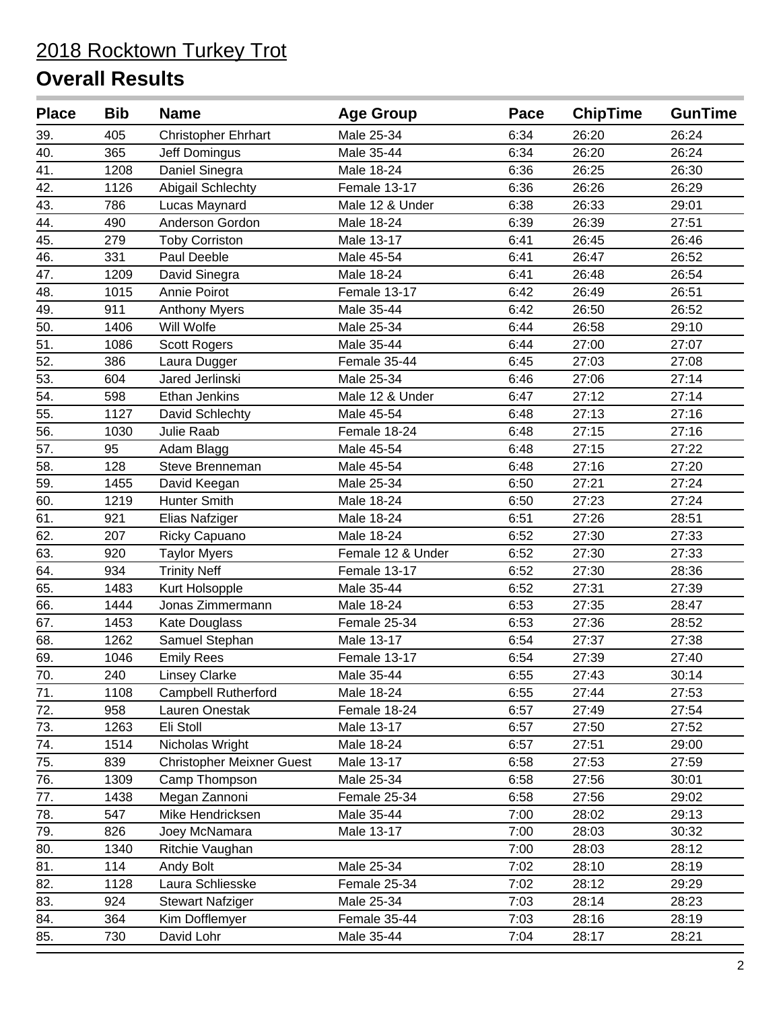| <b>Place</b> | <b>Bib</b> | <b>Name</b>                      | <b>Age Group</b>  | Pace | <b>ChipTime</b> | <b>GunTime</b> |
|--------------|------------|----------------------------------|-------------------|------|-----------------|----------------|
| 39.          | 405        | <b>Christopher Ehrhart</b>       | Male 25-34        | 6:34 | 26:20           | 26:24          |
| 40.          | 365        | Jeff Domingus                    | Male 35-44        | 6:34 | 26:20           | 26:24          |
| 41.          | 1208       | Daniel Sinegra                   | Male 18-24        | 6:36 | 26:25           | 26:30          |
| 42.          | 1126       | Abigail Schlechty                | Female 13-17      | 6:36 | 26:26           | 26:29          |
| 43.          | 786        | Lucas Maynard                    | Male 12 & Under   | 6:38 | 26:33           | 29:01          |
| 44.          | 490        | Anderson Gordon                  | Male 18-24        | 6:39 | 26:39           | 27:51          |
| 45.          | 279        | <b>Toby Corriston</b>            | Male 13-17        | 6:41 | 26:45           | 26:46          |
| 46.          | 331        | Paul Deeble                      | Male 45-54        | 6:41 | 26:47           | 26:52          |
| 47.          | 1209       | David Sinegra                    | Male 18-24        | 6:41 | 26:48           | 26:54          |
| 48.          | 1015       | Annie Poirot                     | Female 13-17      | 6:42 | 26:49           | 26:51          |
| 49.          | 911        | <b>Anthony Myers</b>             | Male 35-44        | 6:42 | 26:50           | 26:52          |
| 50.          | 1406       | Will Wolfe                       | Male 25-34        | 6:44 | 26:58           | 29:10          |
| 51.          | 1086       | Scott Rogers                     | Male 35-44        | 6:44 | 27:00           | 27:07          |
| 52.          | 386        | Laura Dugger                     | Female 35-44      | 6:45 | 27:03           | 27:08          |
| 53.          | 604        | Jared Jerlinski                  | Male 25-34        | 6:46 | 27:06           | 27:14          |
| 54.          | 598        | Ethan Jenkins                    | Male 12 & Under   | 6:47 | 27:12           | 27:14          |
| 55.          | 1127       | David Schlechty                  | Male 45-54        | 6:48 | 27:13           | 27:16          |
| 56.          | 1030       | Julie Raab                       | Female 18-24      | 6:48 | 27:15           | 27:16          |
| 57.          | 95         | Adam Blagg                       | Male 45-54        | 6:48 | 27:15           | 27:22          |
| 58.          | 128        | Steve Brenneman                  | Male 45-54        | 6:48 | 27:16           | 27:20          |
| 59.          | 1455       | David Keegan                     | Male 25-34        | 6:50 | 27:21           | 27:24          |
| 60.          | 1219       | Hunter Smith                     | Male 18-24        | 6:50 | 27:23           | 27:24          |
| 61.          | 921        | Elias Nafziger                   | Male 18-24        | 6:51 | 27:26           | 28:51          |
| 62.          | 207        | Ricky Capuano                    | Male 18-24        | 6:52 | 27:30           | 27:33          |
| 63.          | 920        | <b>Taylor Myers</b>              | Female 12 & Under | 6:52 | 27:30           | 27:33          |
| 64.          | 934        | <b>Trinity Neff</b>              | Female 13-17      | 6:52 | 27:30           | 28:36          |
| 65.          | 1483       | Kurt Holsopple                   | Male 35-44        | 6:52 | 27:31           | 27:39          |
| 66.          | 1444       | Jonas Zimmermann                 | Male 18-24        | 6:53 | 27:35           | 28:47          |
| 67.          | 1453       | Kate Douglass                    | Female 25-34      | 6:53 | 27:36           | 28:52          |
| 68.          | 1262       | Samuel Stephan                   | Male 13-17        | 6:54 | 27:37           | 27:38          |
| 69.          | 1046       | <b>Emily Rees</b>                | Female 13-17      | 6:54 | 27:39           | 27:40          |
| 70.          | 240        | <b>Linsey Clarke</b>             | Male 35-44        | 6:55 | 27:43           | 30:14          |
| 71.          | 1108       | <b>Campbell Rutherford</b>       | Male 18-24        | 6:55 | 27:44           | 27:53          |
| 72.          | 958        | Lauren Onestak                   | Female 18-24      | 6:57 | 27:49           | 27:54          |
| 73.          | 1263       | Eli Stoll                        | Male 13-17        | 6:57 | 27:50           | 27:52          |
| 74.          | 1514       | Nicholas Wright                  | Male 18-24        | 6:57 | 27:51           | 29:00          |
| 75.          | 839        | <b>Christopher Meixner Guest</b> | Male 13-17        | 6:58 | 27:53           | 27:59          |
| 76.          | 1309       | Camp Thompson                    | Male 25-34        | 6:58 | 27:56           | 30:01          |
| 77.          | 1438       | Megan Zannoni                    | Female 25-34      | 6:58 | 27:56           | 29:02          |
| 78.          | 547        | Mike Hendricksen                 | Male 35-44        | 7:00 | 28:02           | 29:13          |
| 79.          | 826        | Joey McNamara                    | Male 13-17        | 7:00 | 28:03           | 30:32          |
| 80.          | 1340       | Ritchie Vaughan                  |                   | 7:00 | 28:03           | 28:12          |
| 81.          | 114        | Andy Bolt                        | Male 25-34        | 7:02 | 28:10           | 28:19          |
| 82.          | 1128       | Laura Schliesske                 | Female 25-34      | 7:02 | 28:12           | 29:29          |
| 83.          | 924        | <b>Stewart Nafziger</b>          | Male 25-34        | 7:03 | 28:14           | 28:23          |
| 84.          | 364        | Kim Dofflemyer                   | Female 35-44      | 7:03 | 28:16           | 28:19          |
| 85.          | 730        | David Lohr                       | Male 35-44        | 7:04 | 28:17           | 28:21          |
|              |            |                                  |                   |      |                 |                |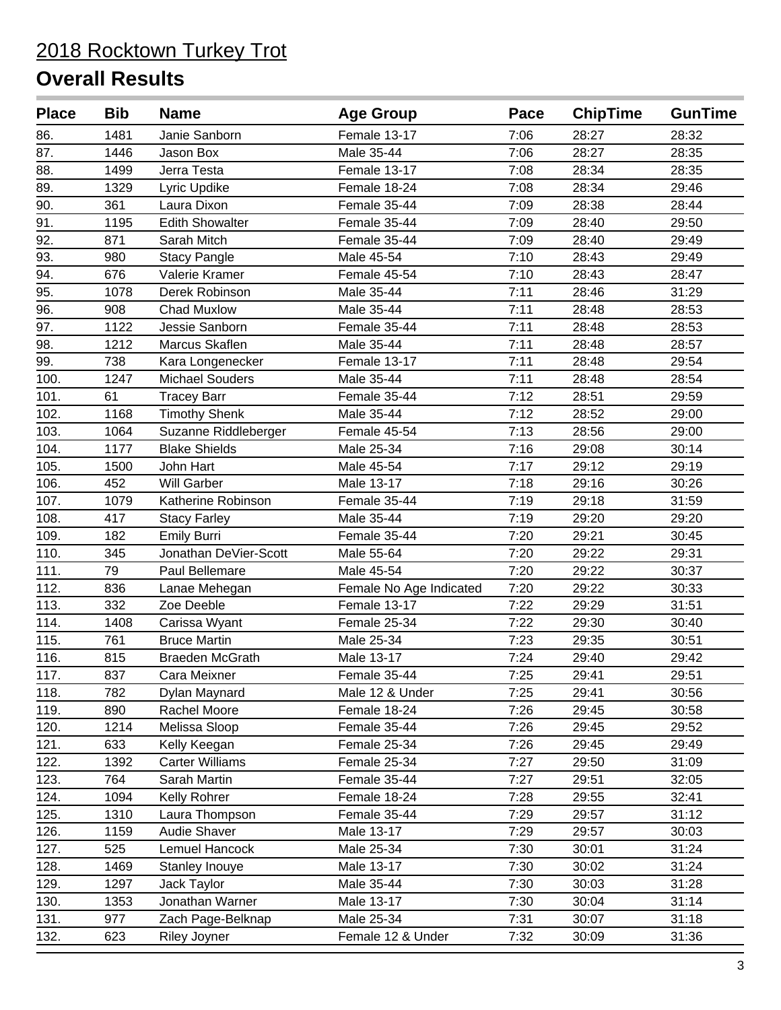| <b>Place</b> | <b>Bib</b> | <b>Name</b>            | <b>Age Group</b>        | Pace | <b>ChipTime</b> | <b>GunTime</b> |
|--------------|------------|------------------------|-------------------------|------|-----------------|----------------|
| 86.          | 1481       | Janie Sanborn          | Female 13-17            | 7:06 | 28:27           | 28:32          |
| 87.          | 1446       | Jason Box              | Male 35-44              | 7:06 | 28:27           | 28:35          |
| 88.          | 1499       | Jerra Testa            | Female 13-17            | 7:08 | 28:34           | 28:35          |
| 89.          | 1329       | Lyric Updike           | Female 18-24            | 7:08 | 28:34           | 29:46          |
| 90.          | 361        | Laura Dixon            | Female 35-44            | 7:09 | 28:38           | 28:44          |
| 91.          | 1195       | <b>Edith Showalter</b> | Female 35-44            | 7:09 | 28:40           | 29:50          |
| 92.          | 871        | Sarah Mitch            | Female 35-44            | 7:09 | 28:40           | 29:49          |
| 93.          | 980        | <b>Stacy Pangle</b>    | Male 45-54              | 7:10 | 28:43           | 29:49          |
| 94.          | 676        | Valerie Kramer         | Female 45-54            | 7:10 | 28:43           | 28:47          |
| 95.          | 1078       | Derek Robinson         | Male 35-44              | 7:11 | 28:46           | 31:29          |
| 96.          | 908        | <b>Chad Muxlow</b>     | Male 35-44              | 7:11 | 28:48           | 28:53          |
| 97.          | 1122       | Jessie Sanborn         | Female 35-44            | 7:11 | 28:48           | 28:53          |
| 98.          | 1212       | Marcus Skaflen         | Male 35-44              | 7:11 | 28:48           | 28:57          |
| 99.          | 738        | Kara Longenecker       | Female 13-17            | 7:11 | 28:48           | 29:54          |
| 100.         | 1247       | <b>Michael Souders</b> | Male 35-44              | 7:11 | 28:48           | 28:54          |
| 101.         | 61         | <b>Tracey Barr</b>     | Female 35-44            | 7:12 | 28:51           | 29:59          |
| 102.         | 1168       | <b>Timothy Shenk</b>   | Male 35-44              | 7:12 | 28:52           | 29:00          |
| 103.         | 1064       | Suzanne Riddleberger   | Female 45-54            | 7:13 | 28:56           | 29:00          |
| 104.         | 1177       | <b>Blake Shields</b>   | Male 25-34              | 7:16 | 29:08           | 30:14          |
| 105.         | 1500       | John Hart              | Male 45-54              | 7:17 | 29:12           | 29:19          |
| 106.         | 452        | <b>Will Garber</b>     | Male 13-17              | 7:18 | 29:16           | 30:26          |
| 107.         | 1079       | Katherine Robinson     | Female 35-44            | 7:19 | 29:18           | 31:59          |
| 108.         | 417        | <b>Stacy Farley</b>    | Male 35-44              | 7:19 | 29:20           | 29:20          |
| 109.         | 182        | <b>Emily Burri</b>     | Female 35-44            | 7:20 | 29:21           | 30:45          |
| 110.         | 345        | Jonathan DeVier-Scott  | Male 55-64              | 7:20 | 29:22           | 29:31          |
| 111.         | 79         | Paul Bellemare         | Male 45-54              | 7:20 | 29:22           | 30:37          |
| 112.         | 836        | Lanae Mehegan          | Female No Age Indicated | 7:20 | 29:22           | 30:33          |
| 113.         | 332        | Zoe Deeble             | Female 13-17            | 7:22 | 29:29           | 31:51          |
| 114.         | 1408       | Carissa Wyant          | Female 25-34            | 7:22 | 29:30           | 30:40          |
| 115.         | 761        | <b>Bruce Martin</b>    | Male 25-34              | 7:23 | 29:35           | 30:51          |
| 116.         | 815        | Braeden McGrath        | Male 13-17              | 7:24 | 29:40           | 29:42          |
| 117.         | 837        | Cara Meixner           | Female 35-44            | 7:25 | 29:41           | 29:51          |
| 118.         | 782        | Dylan Maynard          | Male 12 & Under         | 7:25 | 29:41           | 30:56          |
| 119.         | 890        | Rachel Moore           | Female 18-24            | 7:26 | 29:45           | 30:58          |
| 120.         | 1214       | Melissa Sloop          | Female 35-44            | 7:26 | 29:45           | 29:52          |
| 121.         | 633        | Kelly Keegan           | Female 25-34            | 7:26 | 29:45           | 29:49          |
| 122.         | 1392       | <b>Carter Williams</b> | Female 25-34            | 7:27 | 29:50           | 31:09          |
| 123.         | 764        | Sarah Martin           | Female 35-44            | 7:27 | 29:51           | 32:05          |
| 124.         | 1094       | Kelly Rohrer           | Female 18-24            | 7:28 | 29:55           | 32:41          |
| 125.         | 1310       | Laura Thompson         | Female 35-44            | 7:29 | 29:57           | 31:12          |
| 126.         | 1159       | Audie Shaver           | Male 13-17              | 7:29 | 29:57           | 30:03          |
| 127.         | 525        | Lemuel Hancock         | Male 25-34              | 7:30 | 30:01           | 31:24          |
| 128.         | 1469       | Stanley Inouye         | Male 13-17              | 7:30 | 30:02           | 31:24          |
| 129.         | 1297       | Jack Taylor            | Male 35-44              | 7:30 | 30:03           | 31:28          |
| 130.         | 1353       | Jonathan Warner        | Male 13-17              | 7:30 | 30:04           | 31:14          |
| 131.         | 977        | Zach Page-Belknap      | Male 25-34              | 7:31 | 30:07           | 31:18          |
| 132.         | 623        | Riley Joyner           | Female 12 & Under       | 7:32 | 30:09           | 31:36          |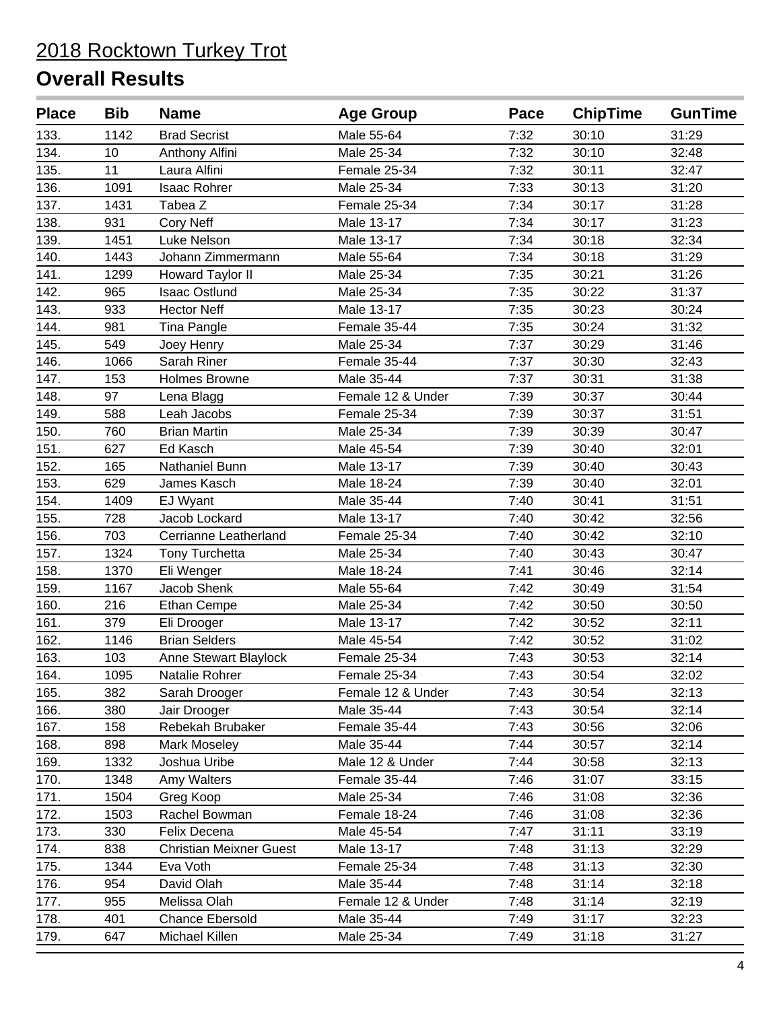| <b>Place</b> | <b>Bib</b> | <b>Name</b>                    | <b>Age Group</b>  | Pace | <b>ChipTime</b> | <b>GunTime</b> |
|--------------|------------|--------------------------------|-------------------|------|-----------------|----------------|
| 133.         | 1142       | <b>Brad Secrist</b>            | Male 55-64        | 7:32 | 30:10           | 31:29          |
| 134.         | 10         | Anthony Alfini                 | Male 25-34        | 7:32 | 30:10           | 32:48          |
| 135.         | 11         | Laura Alfini                   | Female 25-34      | 7:32 | 30:11           | 32:47          |
| 136.         | 1091       | <b>Isaac Rohrer</b>            | Male 25-34        | 7:33 | 30:13           | 31:20          |
| 137.         | 1431       | Tabea Z                        | Female 25-34      | 7:34 | 30:17           | 31:28          |
| 138.         | 931        | <b>Cory Neff</b>               | Male 13-17        | 7:34 | 30:17           | 31:23          |
| 139.         | 1451       | Luke Nelson                    | Male 13-17        | 7:34 | 30:18           | 32:34          |
| 140.         | 1443       | Johann Zimmermann              | Male 55-64        | 7:34 | 30:18           | 31:29          |
| 141.         | 1299       | Howard Taylor II               | Male 25-34        | 7:35 | 30:21           | 31:26          |
| 142.         | 965        | <b>Isaac Ostlund</b>           | Male 25-34        | 7:35 | 30:22           | 31:37          |
| 143.         | 933        | <b>Hector Neff</b>             | Male 13-17        | 7:35 | 30:23           | 30:24          |
| 144.         | 981        | Tina Pangle                    | Female 35-44      | 7:35 | 30:24           | 31:32          |
| 145.         | 549        | Joey Henry                     | Male 25-34        | 7:37 | 30:29           | 31:46          |
| 146.         | 1066       | Sarah Riner                    | Female 35-44      | 7:37 | 30:30           | 32:43          |
| 147.         | 153        | <b>Holmes Browne</b>           | Male 35-44        | 7:37 | 30:31           | 31:38          |
| 148.         | 97         | Lena Blagg                     | Female 12 & Under | 7:39 | 30:37           | 30:44          |
| 149.         | 588        | Leah Jacobs                    | Female 25-34      | 7:39 | 30:37           | 31:51          |
| 150.         | 760        | <b>Brian Martin</b>            | Male 25-34        | 7:39 | 30:39           | 30:47          |
| 151.         | 627        | Ed Kasch                       | Male 45-54        | 7:39 | 30:40           | 32:01          |
| 152.         | 165        | Nathaniel Bunn                 | Male 13-17        | 7:39 | 30:40           | 30:43          |
| 153.         | 629        | James Kasch                    | Male 18-24        | 7:39 | 30:40           | 32:01          |
| 154.         | 1409       | EJ Wyant                       | Male 35-44        | 7:40 | 30:41           | 31:51          |
| 155.         | 728        | Jacob Lockard                  | Male 13-17        | 7:40 | 30:42           | 32:56          |
| 156.         | 703        | Cerrianne Leatherland          | Female 25-34      | 7:40 | 30:42           | 32:10          |
| 157.         | 1324       | Tony Turchetta                 | Male 25-34        | 7:40 | 30:43           | 30:47          |
| 158.         | 1370       | Eli Wenger                     | Male 18-24        | 7:41 | 30:46           | 32:14          |
| 159.         | 1167       | Jacob Shenk                    | Male 55-64        | 7:42 | 30:49           | 31:54          |
| 160.         | 216        | <b>Ethan Cempe</b>             | Male 25-34        | 7:42 | 30:50           | 30:50          |
| 161.         | 379        | Eli Drooger                    | Male 13-17        | 7:42 | 30:52           | 32:11          |
| 162.         | 1146       | <b>Brian Selders</b>           | Male 45-54        | 7:42 | 30:52           | 31:02          |
| 163.         | 103        | <b>Anne Stewart Blaylock</b>   | Female 25-34      | 7:43 | 30:53           | 32:14          |
| 164.         | 1095       | Natalie Rohrer                 | Female 25-34      | 7:43 | 30:54           | 32:02          |
| 165.         | 382        | Sarah Drooger                  | Female 12 & Under | 7:43 | 30:54           | 32:13          |
| 166.         | 380        | Jair Drooger                   | Male 35-44        | 7:43 | 30:54           | 32:14          |
| 167.         | 158        | Rebekah Brubaker               | Female 35-44      | 7:43 | 30:56           | 32:06          |
| 168.         | 898        | Mark Moseley                   | Male 35-44        | 7:44 | 30:57           | 32:14          |
| 169.         | 1332       | Joshua Uribe                   | Male 12 & Under   | 7:44 | 30:58           | 32:13          |
| 170.         | 1348       | Amy Walters                    | Female 35-44      | 7:46 | 31:07           | 33:15          |
| 171.         | 1504       | Greg Koop                      | Male 25-34        | 7:46 | 31:08           | 32:36          |
| 172.         | 1503       | Rachel Bowman                  | Female 18-24      | 7:46 | 31:08           | 32:36          |
| 173.         | 330        | Felix Decena                   | Male 45-54        | 7:47 | 31:11           | 33:19          |
| 174.         | 838        | <b>Christian Meixner Guest</b> | Male 13-17        | 7:48 | 31:13           | 32:29          |
| 175.         | 1344       | Eva Voth                       | Female 25-34      | 7:48 | 31:13           | 32:30          |
| 176.         | 954        | David Olah                     | Male 35-44        | 7:48 | 31:14           | 32:18          |
| 177.         | 955        | Melissa Olah                   | Female 12 & Under | 7:48 | 31:14           | 32:19          |
| 178.         | 401        | <b>Chance Ebersold</b>         | Male 35-44        | 7:49 | 31:17           | 32:23          |
| 179.         | 647        | Michael Killen                 | Male 25-34        | 7:49 | 31:18           | 31:27          |
|              |            |                                |                   |      |                 |                |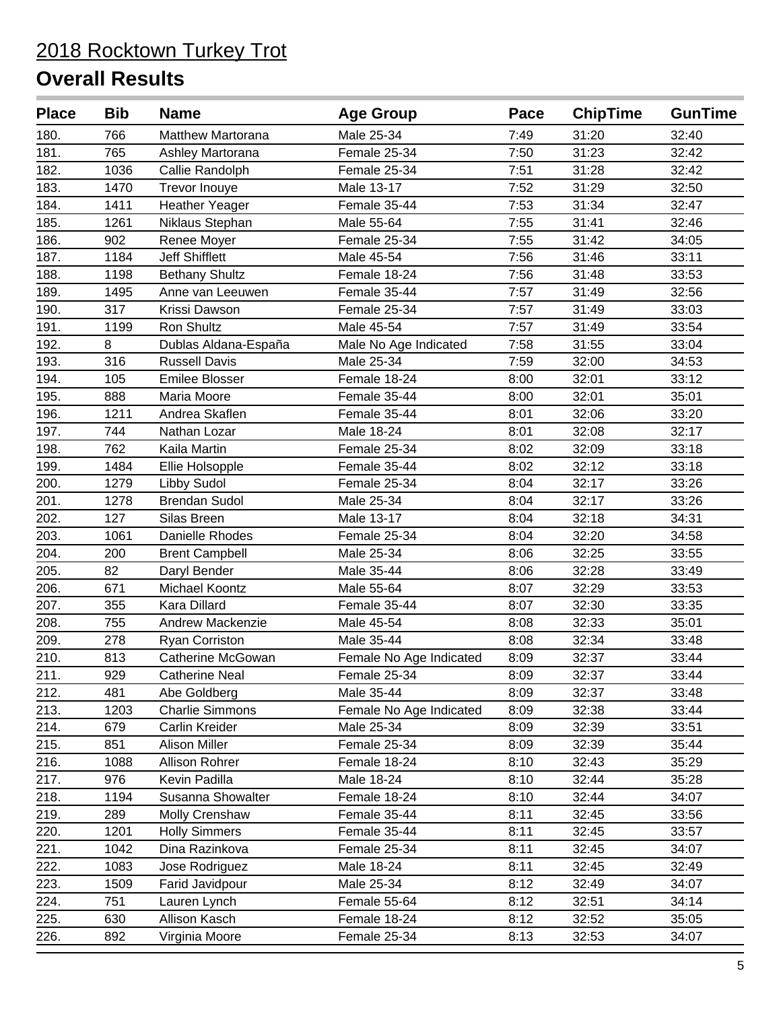| <b>Place</b> | <b>Bib</b> | <b>Name</b>              | <b>Age Group</b>        | Pace | <b>ChipTime</b> | <b>GunTime</b> |
|--------------|------------|--------------------------|-------------------------|------|-----------------|----------------|
| 180.         | 766        | <b>Matthew Martorana</b> | Male 25-34              | 7:49 | 31:20           | 32:40          |
| 181.         | 765        | Ashley Martorana         | Female 25-34            | 7:50 | 31:23           | 32:42          |
| 182.         | 1036       | Callie Randolph          | Female 25-34            | 7:51 | 31:28           | 32:42          |
| 183.         | 1470       | <b>Trevor Inouye</b>     | Male 13-17              | 7:52 | 31:29           | 32:50          |
| 184.         | 1411       | <b>Heather Yeager</b>    | Female 35-44            | 7:53 | 31:34           | 32:47          |
| 185.         | 1261       | Niklaus Stephan          | Male 55-64              | 7:55 | 31:41           | 32:46          |
| 186.         | 902        | Renee Moyer              | Female 25-34            | 7:55 | 31:42           | 34:05          |
| 187.         | 1184       | <b>Jeff Shifflett</b>    | Male 45-54              | 7:56 | 31:46           | 33:11          |
| 188.         | 1198       | <b>Bethany Shultz</b>    | Female 18-24            | 7:56 | 31:48           | 33:53          |
| 189.         | 1495       | Anne van Leeuwen         | Female 35-44            | 7:57 | 31:49           | 32:56          |
| 190.         | 317        | Krissi Dawson            | Female 25-34            | 7:57 | 31:49           | 33:03          |
| 191.         | 1199       | Ron Shultz               | Male 45-54              | 7:57 | 31:49           | 33:54          |
| 192.         | 8          | Dublas Aldana-España     | Male No Age Indicated   | 7:58 | 31:55           | 33:04          |
| 193.         | 316        | <b>Russell Davis</b>     | Male 25-34              | 7:59 | 32:00           | 34:53          |
| 194.         | 105        | <b>Emilee Blosser</b>    | Female 18-24            | 8:00 | 32:01           | 33:12          |
| 195.         | 888        | Maria Moore              | Female 35-44            | 8:00 | 32:01           | 35:01          |
| 196.         | 1211       | Andrea Skaflen           | Female 35-44            | 8:01 | 32:06           | 33:20          |
| 197.         | 744        | Nathan Lozar             | Male 18-24              | 8:01 | 32:08           | 32:17          |
| 198.         | 762        | Kaila Martin             | Female 25-34            | 8:02 | 32:09           | 33:18          |
| 199.         | 1484       | Ellie Holsopple          | Female 35-44            | 8:02 | 32:12           | 33:18          |
| 200.         | 1279       | Libby Sudol              | Female 25-34            | 8:04 | 32:17           | 33:26          |
| 201.         | 1278       | <b>Brendan Sudol</b>     | Male 25-34              | 8:04 | 32:17           | 33:26          |
| 202.         | 127        | Silas Breen              | Male 13-17              | 8:04 | 32:18           | 34:31          |
| 203.         | 1061       | Danielle Rhodes          | Female 25-34            | 8:04 | 32:20           | 34:58          |
| 204.         | 200        | <b>Brent Campbell</b>    | Male 25-34              | 8:06 | 32:25           | 33:55          |
| 205.         | 82         | Daryl Bender             | Male 35-44              | 8:06 | 32:28           | 33:49          |
| 206.         | 671        | Michael Koontz           | Male 55-64              | 8:07 | 32:29           | 33:53          |
| 207.         | 355        | <b>Kara Dillard</b>      | Female 35-44            | 8:07 | 32:30           | 33:35          |
| 208.         | 755        | <b>Andrew Mackenzie</b>  | Male 45-54              | 8:08 | 32:33           | 35:01          |
| 209.         | 278        | <b>Ryan Corriston</b>    | Male 35-44              | 8:08 | 32:34           | 33:48          |
| 210.         | 813        | <b>Catherine McGowan</b> | Female No Age Indicated | 8:09 | 32:37           | 33:44          |
| 211.         | 929        | <b>Catherine Neal</b>    | Female 25-34            | 8:09 | 32:37           | 33:44          |
| 212.         | 481        | Abe Goldberg             | Male 35-44              | 8:09 | 32:37           | 33:48          |
| 213.         | 1203       | <b>Charlie Simmons</b>   | Female No Age Indicated | 8:09 | 32:38           | 33:44          |
| 214.         | 679        | Carlin Kreider           | Male 25-34              | 8:09 | 32:39           | 33:51          |
| 215.         | 851        | <b>Alison Miller</b>     | Female 25-34            | 8:09 | 32:39           | 35:44          |
| 216.         | 1088       | Allison Rohrer           | Female 18-24            | 8:10 | 32:43           | 35:29          |
| 217.         | 976        | Kevin Padilla            | Male 18-24              | 8:10 | 32:44           | 35:28          |
| 218.         | 1194       | Susanna Showalter        | Female 18-24            | 8:10 | 32:44           | 34:07          |
| 219.         | 289        | Molly Crenshaw           | Female 35-44            | 8:11 | 32:45           | 33:56          |
| 220.         | 1201       | <b>Holly Simmers</b>     | Female 35-44            | 8:11 | 32:45           | 33:57          |
| 221.         | 1042       | Dina Razinkova           | Female 25-34            | 8:11 | 32:45           | 34:07          |
| 222.         | 1083       | Jose Rodriguez           | Male 18-24              | 8:11 | 32:45           | 32:49          |
| 223.         | 1509       | Farid Javidpour          | Male 25-34              | 8:12 | 32:49           | 34:07          |
| 224.         | 751        | Lauren Lynch             | Female 55-64            | 8:12 | 32:51           | 34:14          |
| 225.         | 630        | Allison Kasch            | Female 18-24            | 8:12 | 32:52           | 35:05          |
| 226.         | 892        | Virginia Moore           | Female 25-34            | 8:13 | 32:53           | 34:07          |
|              |            |                          |                         |      |                 |                |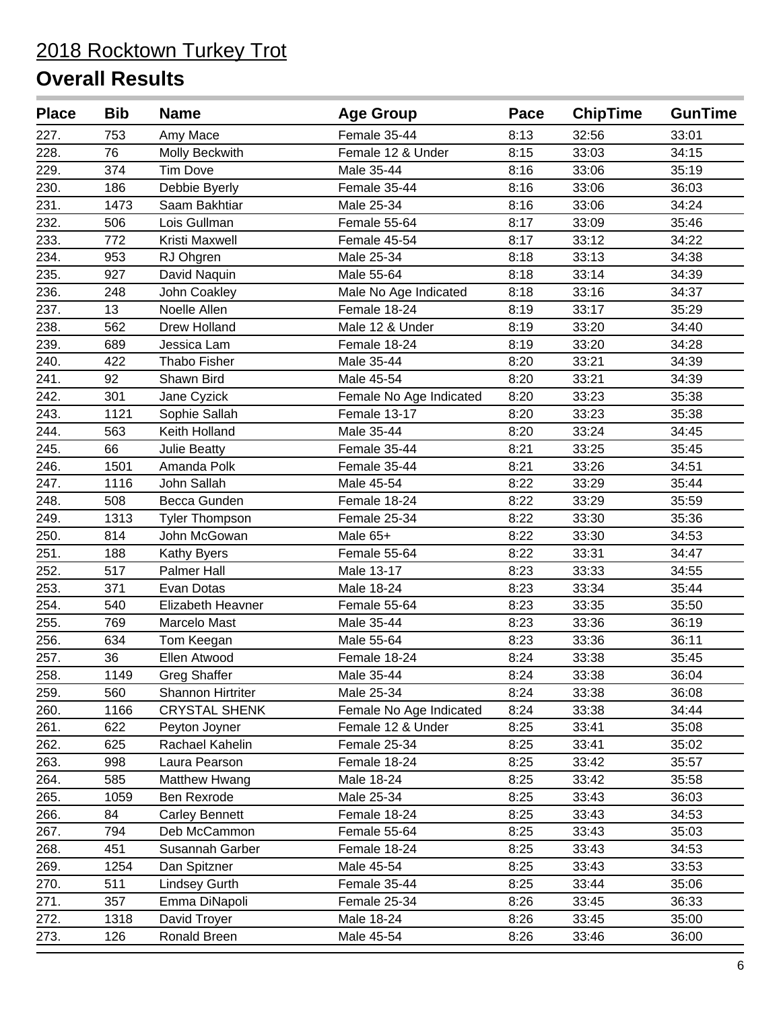| <b>Place</b> | <b>Bib</b> | <b>Name</b>              | <b>Age Group</b>        | Pace | <b>ChipTime</b> | <b>GunTime</b> |
|--------------|------------|--------------------------|-------------------------|------|-----------------|----------------|
| 227.         | 753        | Amy Mace                 | Female 35-44            | 8:13 | 32:56           | 33:01          |
| 228.         | 76         | Molly Beckwith           | Female 12 & Under       | 8:15 | 33:03           | 34:15          |
| 229.         | 374        | <b>Tim Dove</b>          | Male 35-44              | 8:16 | 33:06           | 35:19          |
| 230.         | 186        | Debbie Byerly            | Female 35-44            | 8:16 | 33:06           | 36:03          |
| 231.         | 1473       | Saam Bakhtiar            | Male 25-34              | 8:16 | 33:06           | 34:24          |
| 232.         | 506        | Lois Gullman             | Female 55-64            | 8:17 | 33:09           | 35:46          |
| 233.         | 772        | Kristi Maxwell           | Female 45-54            | 8:17 | 33:12           | 34:22          |
| 234.         | 953        | RJ Ohgren                | Male 25-34              | 8:18 | 33:13           | 34:38          |
| 235.         | 927        | David Naquin             | Male 55-64              | 8:18 | 33:14           | 34:39          |
| 236.         | 248        | John Coakley             | Male No Age Indicated   | 8:18 | 33:16           | 34:37          |
| 237.         | 13         | Noelle Allen             | Female 18-24            | 8:19 | 33:17           | 35:29          |
| 238.         | 562        | <b>Drew Holland</b>      | Male 12 & Under         | 8:19 | 33:20           | 34:40          |
| 239.         | 689        | Jessica Lam              | Female 18-24            | 8:19 | 33:20           | 34:28          |
| 240.         | 422        | Thabo Fisher             | Male 35-44              | 8:20 | 33:21           | 34:39          |
| 241.         | 92         | Shawn Bird               | Male 45-54              | 8:20 | 33:21           | 34:39          |
| 242.         | 301        | Jane Cyzick              | Female No Age Indicated | 8:20 | 33:23           | 35:38          |
| 243.         | 1121       | Sophie Sallah            | Female 13-17            | 8:20 | 33:23           | 35:38          |
| 244.         | 563        | Keith Holland            | Male 35-44              | 8:20 | 33:24           | 34:45          |
| 245.         | 66         | <b>Julie Beatty</b>      | Female 35-44            | 8:21 | 33:25           | 35:45          |
| 246.         | 1501       | Amanda Polk              | Female 35-44            | 8:21 | 33:26           | 34:51          |
| 247.         | 1116       | John Sallah              | Male 45-54              | 8:22 | 33:29           | 35:44          |
| 248.         | 508        | Becca Gunden             | Female 18-24            | 8:22 | 33:29           | 35:59          |
| 249.         | 1313       | <b>Tyler Thompson</b>    | Female 25-34            | 8:22 | 33:30           | 35:36          |
| 250.         | 814        | John McGowan             | Male 65+                | 8:22 | 33:30           | 34:53          |
| 251.         | 188        | Kathy Byers              | Female 55-64            | 8:22 | 33:31           | 34:47          |
| 252.         | 517        | Palmer Hall              | Male 13-17              | 8:23 | 33:33           | 34:55          |
| 253.         | 371        | Evan Dotas               | Male 18-24              | 8:23 | 33:34           | 35:44          |
| 254.         | 540        | Elizabeth Heavner        | Female 55-64            | 8:23 | 33:35           | 35:50          |
| 255.         | 769        | Marcelo Mast             | Male 35-44              | 8:23 | 33:36           | 36:19          |
| 256.         | 634        | Tom Keegan               | Male 55-64              | 8:23 | 33:36           | 36:11          |
| 257.         | 36         | Ellen Atwood             | Female 18-24            | 8:24 | 33:38           | 35:45          |
| 258.         | 1149       | <b>Greg Shaffer</b>      | Male 35-44              | 8:24 | 33:38           | 36:04          |
| 259.         | 560        | <b>Shannon Hirtriter</b> | Male 25-34              | 8:24 | 33:38           | 36:08          |
| 260.         | 1166       | <b>CRYSTAL SHENK</b>     | Female No Age Indicated | 8:24 | 33:38           | 34:44          |
| 261.         | 622        | Peyton Joyner            | Female 12 & Under       | 8:25 | 33:41           | 35:08          |
| 262.         | 625        | Rachael Kahelin          | Female 25-34            | 8:25 | 33:41           | 35:02          |
| 263.         | 998        | Laura Pearson            | Female 18-24            | 8:25 | 33:42           | 35:57          |
| 264.         | 585        | Matthew Hwang            | Male 18-24              | 8:25 | 33:42           | 35:58          |
| 265.         | 1059       | Ben Rexrode              | Male 25-34              | 8:25 | 33:43           | 36:03          |
| 266.         | 84         | <b>Carley Bennett</b>    | Female 18-24            | 8:25 | 33:43           | 34:53          |
| 267.         | 794        | Deb McCammon             | Female 55-64            | 8:25 | 33:43           | 35:03          |
| 268.         | 451        | Susannah Garber          | Female 18-24            | 8:25 | 33:43           | 34:53          |
| 269.         | 1254       | Dan Spitzner             | Male 45-54              | 8:25 | 33:43           | 33:53          |
| 270.         | 511        | <b>Lindsey Gurth</b>     | Female 35-44            | 8:25 | 33:44           | 35:06          |
| 271.         | 357        | Emma DiNapoli            | Female 25-34            | 8:26 | 33:45           | 36:33          |
| 272.         | 1318       | David Troyer             | Male 18-24              | 8:26 | 33:45           | 35:00          |
| 273.         | 126        | Ronald Breen             | Male 45-54              | 8:26 | 33:46           | 36:00          |
|              |            |                          |                         |      |                 |                |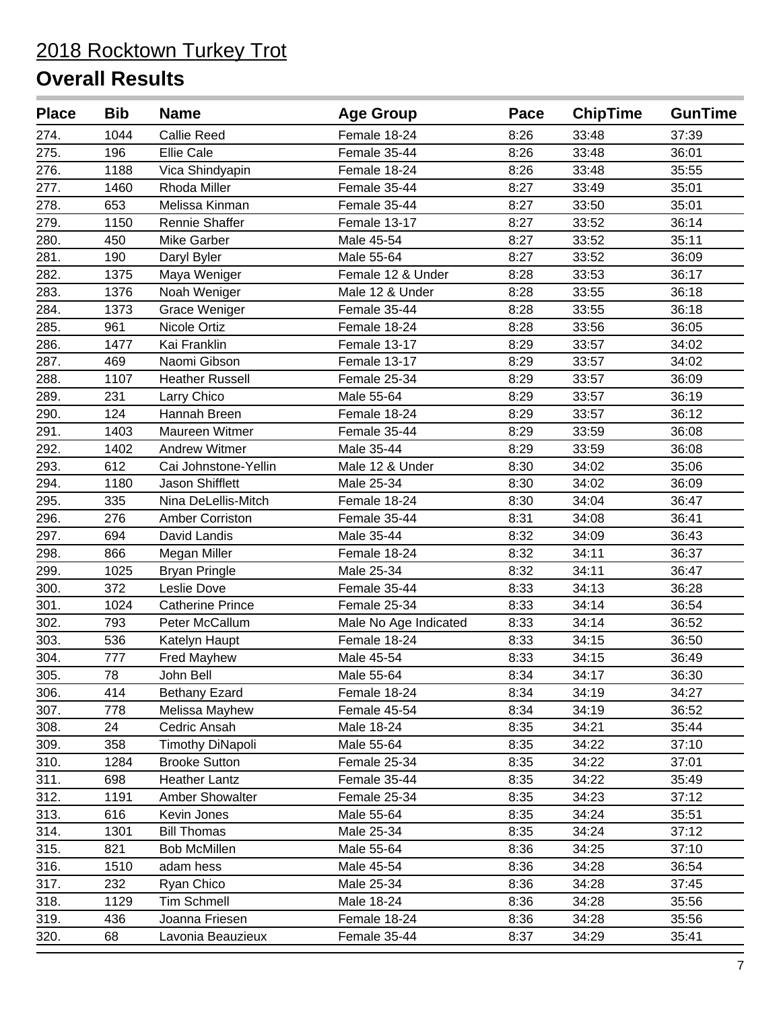| <b>Place</b> | <b>Bib</b> | <b>Name</b>             | <b>Age Group</b>      | Pace | <b>ChipTime</b> | <b>GunTime</b> |
|--------------|------------|-------------------------|-----------------------|------|-----------------|----------------|
| 274.         | 1044       | <b>Callie Reed</b>      | Female 18-24          | 8:26 | 33:48           | 37:39          |
| 275.         | 196        | <b>Ellie Cale</b>       | Female 35-44          | 8:26 | 33:48           | 36:01          |
| 276.         | 1188       | Vica Shindyapin         | Female 18-24          | 8:26 | 33:48           | 35:55          |
| 277.         | 1460       | Rhoda Miller            | Female 35-44          | 8:27 | 33:49           | 35:01          |
| 278.         | 653        | Melissa Kinman          | Female 35-44          | 8:27 | 33:50           | 35:01          |
| 279.         | 1150       | Rennie Shaffer          | Female 13-17          | 8:27 | 33:52           | 36:14          |
| 280.         | 450        | <b>Mike Garber</b>      | Male 45-54            | 8:27 | 33:52           | 35:11          |
| 281.         | 190        | Daryl Byler             | Male 55-64            | 8:27 | 33:52           | 36:09          |
| 282.         | 1375       | Maya Weniger            | Female 12 & Under     | 8:28 | 33:53           | 36:17          |
| 283.         | 1376       | Noah Weniger            | Male 12 & Under       | 8:28 | 33:55           | 36:18          |
| 284.         | 1373       | Grace Weniger           | Female 35-44          | 8:28 | 33:55           | 36:18          |
| 285.         | 961        | Nicole Ortiz            | Female 18-24          | 8:28 | 33:56           | 36:05          |
| 286.         | 1477       | Kai Franklin            | Female 13-17          | 8:29 | 33:57           | 34:02          |
| 287.         | 469        | Naomi Gibson            | Female 13-17          | 8:29 | 33:57           | 34:02          |
| 288.         | 1107       | <b>Heather Russell</b>  | Female 25-34          | 8:29 | 33:57           | 36:09          |
| 289.         | 231        | Larry Chico             | Male 55-64            | 8:29 | 33:57           | 36:19          |
| 290.         | 124        | Hannah Breen            | Female 18-24          | 8:29 | 33:57           | 36:12          |
| 291.         | 1403       | Maureen Witmer          | Female 35-44          | 8:29 | 33:59           | 36:08          |
| 292.         | 1402       | <b>Andrew Witmer</b>    | Male 35-44            | 8:29 | 33:59           | 36:08          |
| 293.         | 612        | Cai Johnstone-Yellin    | Male 12 & Under       | 8:30 | 34:02           | 35:06          |
| 294.         | 1180       | Jason Shifflett         | Male 25-34            | 8:30 | 34:02           | 36:09          |
| 295.         | 335        | Nina DeLellis-Mitch     | Female 18-24          | 8:30 | 34:04           | 36:47          |
| 296.         | 276        | <b>Amber Corriston</b>  | Female 35-44          | 8:31 | 34:08           | 36:41          |
| 297.         | 694        | David Landis            | Male 35-44            | 8:32 | 34:09           | 36:43          |
| 298.         | 866        | Megan Miller            | Female 18-24          | 8:32 | 34:11           | 36:37          |
| 299.         | 1025       | <b>Bryan Pringle</b>    | Male 25-34            | 8:32 | 34:11           | 36:47          |
| 300.         | 372        | Leslie Dove             | Female 35-44          | 8:33 | 34:13           | 36:28          |
| 301.         | 1024       | <b>Catherine Prince</b> | Female 25-34          | 8:33 | 34:14           | 36:54          |
| 302.         | 793        | Peter McCallum          | Male No Age Indicated | 8:33 | 34:14           | 36:52          |
| 303.         | 536        | Katelyn Haupt           | Female 18-24          | 8:33 | 34:15           | 36:50          |
| 304.         | 777        | <b>Fred Mayhew</b>      | Male 45-54            | 8:33 | 34:15           | 36:49          |
| 305.         | 78         | John Bell               | Male 55-64            | 8:34 | 34:17           | 36:30          |
| 306.         | 414        | <b>Bethany Ezard</b>    | Female 18-24          | 8:34 | 34:19           | 34:27          |
| 307.         | 778        | Melissa Mayhew          | Female 45-54          | 8:34 | 34:19           | 36:52          |
| 308.         | 24         | Cedric Ansah            | Male 18-24            | 8:35 | 34:21           | 35:44          |
| 309.         | 358        | <b>Timothy DiNapoli</b> | Male 55-64            | 8:35 | 34:22           | 37:10          |
| 310.         | 1284       | <b>Brooke Sutton</b>    | Female 25-34          | 8:35 | 34:22           | 37:01          |
| 311.         | 698        | <b>Heather Lantz</b>    | Female 35-44          | 8:35 | 34:22           | 35:49          |
| 312.         | 1191       | Amber Showalter         | Female 25-34          | 8:35 | 34:23           | 37:12          |
| 313.         | 616        | Kevin Jones             | Male 55-64            | 8:35 | 34:24           | 35:51          |
| 314.         | 1301       | <b>Bill Thomas</b>      | Male 25-34            | 8:35 | 34:24           | 37:12          |
| 315.         | 821        | <b>Bob McMillen</b>     | Male 55-64            | 8:36 | 34:25           | 37:10          |
| 316.         | 1510       | adam hess               | Male 45-54            | 8:36 | 34:28           | 36:54          |
| 317.         | 232        | Ryan Chico              | Male 25-34            | 8:36 | 34:28           | 37:45          |
| 318.         | 1129       | Tim Schmell             | Male 18-24            | 8:36 | 34:28           | 35:56          |
| 319.         | 436        | Joanna Friesen          | Female 18-24          | 8:36 | 34:28           | 35:56          |
| 320.         | 68         | Lavonia Beauzieux       | Female 35-44          | 8:37 | 34:29           | 35:41          |
|              |            |                         |                       |      |                 |                |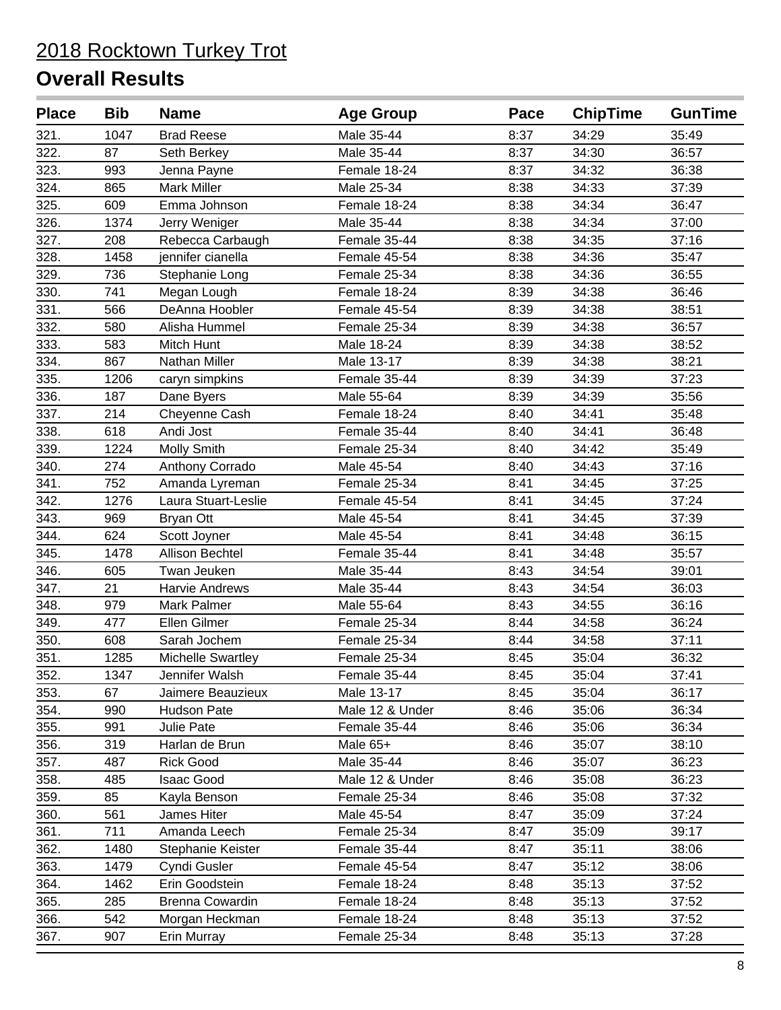| <b>Place</b> | <b>Bib</b> | <b>Name</b>              | <b>Age Group</b> | Pace | <b>ChipTime</b> | <b>GunTime</b> |
|--------------|------------|--------------------------|------------------|------|-----------------|----------------|
| 321.         | 1047       | <b>Brad Reese</b>        | Male 35-44       | 8:37 | 34:29           | 35:49          |
| 322.         | 87         | Seth Berkey              | Male 35-44       | 8:37 | 34:30           | 36:57          |
| 323.         | 993        | Jenna Payne              | Female 18-24     | 8:37 | 34:32           | 36:38          |
| 324.         | 865        | <b>Mark Miller</b>       | Male 25-34       | 8:38 | 34:33           | 37:39          |
| 325.         | 609        | Emma Johnson             | Female 18-24     | 8:38 | 34:34           | 36:47          |
| 326.         | 1374       | Jerry Weniger            | Male 35-44       | 8:38 | 34:34           | 37:00          |
| 327.         | 208        | Rebecca Carbaugh         | Female 35-44     | 8:38 | 34:35           | 37:16          |
| 328.         | 1458       | jennifer cianella        | Female 45-54     | 8:38 | 34:36           | 35:47          |
| 329.         | 736        | Stephanie Long           | Female 25-34     | 8:38 | 34:36           | 36:55          |
| 330.         | 741        | Megan Lough              | Female 18-24     | 8:39 | 34:38           | 36:46          |
| 331.         | 566        | DeAnna Hoobler           | Female 45-54     | 8:39 | 34:38           | 38:51          |
| 332.         | 580        | Alisha Hummel            | Female 25-34     | 8:39 | 34:38           | 36:57          |
| 333.         | 583        | Mitch Hunt               | Male 18-24       | 8:39 | 34:38           | 38:52          |
| 334.         | 867        | Nathan Miller            | Male 13-17       | 8:39 | 34:38           | 38:21          |
| 335.         | 1206       | caryn simpkins           | Female 35-44     | 8:39 | 34:39           | 37:23          |
| 336.         | 187        | Dane Byers               | Male 55-64       | 8:39 | 34:39           | 35:56          |
| 337.         | 214        | Cheyenne Cash            | Female 18-24     | 8:40 | 34:41           | 35:48          |
| 338.         | 618        | Andi Jost                | Female 35-44     | 8:40 | 34:41           | 36:48          |
| 339.         | 1224       | Molly Smith              | Female 25-34     | 8:40 | 34:42           | 35:49          |
| 340.         | 274        | Anthony Corrado          | Male 45-54       | 8:40 | 34:43           | 37:16          |
| 341.         | 752        | Amanda Lyreman           | Female 25-34     | 8:41 | 34:45           | 37:25          |
| 342.         | 1276       | Laura Stuart-Leslie      | Female 45-54     | 8:41 | 34:45           | 37:24          |
| 343.         | 969        | <b>Bryan Ott</b>         | Male 45-54       | 8:41 | 34:45           | 37:39          |
| 344.         | 624        | Scott Joyner             | Male 45-54       | 8:41 | 34:48           | 36:15          |
| 345.         | 1478       | Allison Bechtel          | Female 35-44     | 8:41 | 34:48           | 35:57          |
| 346.         | 605        | Twan Jeuken              | Male 35-44       | 8:43 | 34:54           | 39:01          |
| 347.         | 21         | Harvie Andrews           | Male 35-44       | 8:43 | 34:54           | 36:03          |
| 348.         | 979        | Mark Palmer              | Male 55-64       | 8:43 | 34:55           | 36:16          |
| 349.         | 477        | Ellen Gilmer             | Female 25-34     | 8:44 | 34:58           | 36:24          |
| 350.         | 608        | Sarah Jochem             | Female 25-34     | 8:44 | 34:58           | 37:11          |
| 351.         | 1285       | <b>Michelle Swartley</b> | Female 25-34     | 8:45 | 35:04           | 36:32          |
| 352.         | 1347       | Jennifer Walsh           | Female 35-44     | 8:45 | 35:04           | 37:41          |
| 353.         | 67         | Jaimere Beauzieux        | Male 13-17       | 8:45 | 35:04           | 36:17          |
| 354.         | 990        | Hudson Pate              | Male 12 & Under  | 8:46 | 35:06           | 36:34          |
| 355.         | 991        | Julie Pate               | Female 35-44     | 8:46 | 35:06           | 36:34          |
| 356.         | 319        | Harlan de Brun           | Male 65+         | 8:46 | 35:07           | 38:10          |
| 357.         | 487        | <b>Rick Good</b>         | Male 35-44       | 8:46 | 35:07           | 36:23          |
| 358.         | 485        | <b>Isaac Good</b>        | Male 12 & Under  | 8:46 | 35:08           | 36:23          |
| 359.         | 85         | Kayla Benson             | Female 25-34     | 8:46 | 35:08           | 37:32          |
| 360.         | 561        | James Hiter              | Male 45-54       | 8:47 | 35:09           | 37:24          |
| 361.         | 711        | Amanda Leech             | Female 25-34     | 8:47 | 35:09           | 39:17          |
| 362.         | 1480       | Stephanie Keister        | Female 35-44     | 8:47 | 35:11           | 38:06          |
| 363.         | 1479       | Cyndi Gusler             | Female 45-54     | 8:47 | 35:12           | 38:06          |
| 364.         | 1462       | Erin Goodstein           | Female 18-24     | 8:48 | 35:13           | 37:52          |
| 365.         | 285        | Brenna Cowardin          | Female 18-24     | 8:48 | 35:13           | 37:52          |
| 366.         | 542        | Morgan Heckman           | Female 18-24     | 8:48 | 35:13           | 37:52          |
| 367.         | 907        | Erin Murray              | Female 25-34     | 8:48 | 35:13           | 37:28          |
|              |            |                          |                  |      |                 |                |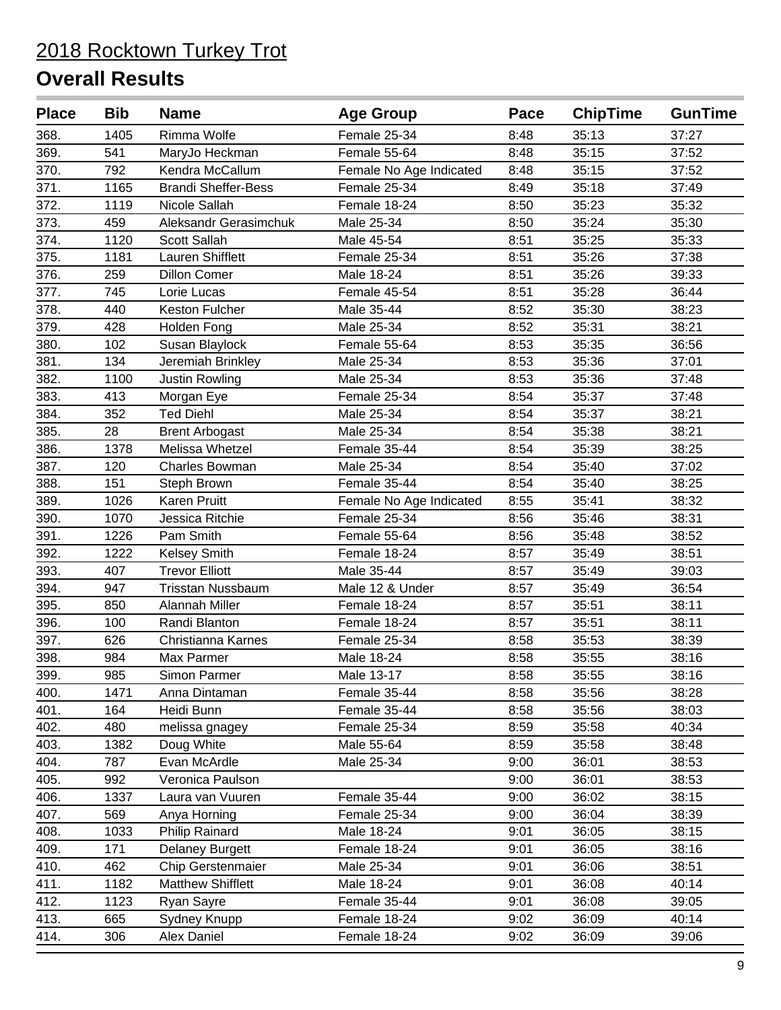| <b>Place</b> | <b>Bib</b> | <b>Name</b>                | <b>Age Group</b>        | Pace | <b>ChipTime</b> | <b>GunTime</b> |
|--------------|------------|----------------------------|-------------------------|------|-----------------|----------------|
| 368.         | 1405       | Rimma Wolfe                | Female 25-34            | 8:48 | 35:13           | 37:27          |
| 369.         | 541        | MaryJo Heckman             | Female 55-64            | 8:48 | 35:15           | 37:52          |
| 370.         | 792        | Kendra McCallum            | Female No Age Indicated | 8:48 | 35:15           | 37:52          |
| 371.         | 1165       | <b>Brandi Sheffer-Bess</b> | Female 25-34            | 8:49 | 35:18           | 37:49          |
| 372.         | 1119       | Nicole Sallah              | Female 18-24            | 8:50 | 35:23           | 35:32          |
| 373.         | 459        | Aleksandr Gerasimchuk      | Male 25-34              | 8:50 | 35:24           | 35:30          |
| 374.         | 1120       | Scott Sallah               | Male 45-54              | 8:51 | 35:25           | 35:33          |
| 375.         | 1181       | <b>Lauren Shifflett</b>    | Female 25-34            | 8:51 | 35:26           | 37:38          |
| 376.         | 259        | <b>Dillon Comer</b>        | Male 18-24              | 8:51 | 35:26           | 39:33          |
| 377.         | 745        | Lorie Lucas                | Female 45-54            | 8:51 | 35:28           | 36:44          |
| 378.         | 440        | Keston Fulcher             | Male 35-44              | 8:52 | 35:30           | 38:23          |
| 379.         | 428        | Holden Fong                | Male 25-34              | 8:52 | 35:31           | 38:21          |
| 380.         | 102        | Susan Blaylock             | Female 55-64            | 8:53 | 35:35           | 36:56          |
| 381.         | 134        | Jeremiah Brinkley          | Male 25-34              | 8:53 | 35:36           | 37:01          |
| 382.         | 1100       | Justin Rowling             | Male 25-34              | 8:53 | 35:36           | 37:48          |
| 383.         | 413        | Morgan Eye                 | Female 25-34            | 8:54 | 35:37           | 37:48          |
| 384.         | 352        | <b>Ted Diehl</b>           | Male 25-34              | 8:54 | 35:37           | 38:21          |
| 385.         | 28         | <b>Brent Arbogast</b>      | Male 25-34              | 8:54 | 35:38           | 38:21          |
| 386.         | 1378       | Melissa Whetzel            | Female 35-44            | 8:54 | 35:39           | 38:25          |
| 387.         | 120        | <b>Charles Bowman</b>      | Male 25-34              | 8:54 | 35:40           | 37:02          |
| 388.         | 151        | Steph Brown                | Female 35-44            | 8:54 | 35:40           | 38:25          |
| 389.         | 1026       | <b>Karen Pruitt</b>        | Female No Age Indicated | 8:55 | 35:41           | 38:32          |
| 390.         | 1070       | Jessica Ritchie            | Female 25-34            | 8:56 | 35:46           | 38:31          |
| 391.         | 1226       | Pam Smith                  | Female 55-64            | 8:56 | 35:48           | 38:52          |
| 392.         | 1222       | Kelsey Smith               | Female 18-24            | 8:57 | 35:49           | 38:51          |
| 393.         | 407        | <b>Trevor Elliott</b>      | Male 35-44              | 8:57 | 35:49           | 39:03          |
| 394.         | 947        | <b>Trisstan Nussbaum</b>   | Male 12 & Under         | 8:57 | 35:49           | 36:54          |
| 395.         | 850        | Alannah Miller             | Female 18-24            | 8:57 | 35:51           | 38:11          |
| 396.         | 100        | Randi Blanton              | Female 18-24            | 8:57 | 35:51           | 38:11          |
| 397.         | 626        | Christianna Karnes         | Female 25-34            | 8:58 | 35:53           | 38:39          |
| 398.         | 984        | Max Parmer                 | Male 18-24              | 8:58 | 35:55           | 38:16          |
| 399.         | 985        | Simon Parmer               | Male 13-17              | 8:58 | 35:55           | 38:16          |
| 400.         | 1471       | Anna Dintaman              | Female 35-44            | 8:58 | 35:56           | 38:28          |
| 401.         | 164        | Heidi Bunn                 | Female 35-44            | 8:58 | 35:56           | 38:03          |
| 402.         | 480        | melissa gnagey             | Female 25-34            | 8:59 | 35:58           | 40:34          |
| 403.         | 1382       | Doug White                 | Male 55-64              | 8:59 | 35:58           | 38:48          |
| 404.         | 787        | Evan McArdle               | Male 25-34              | 9:00 | 36:01           | 38:53          |
| 405.         | 992        | Veronica Paulson           |                         | 9:00 | 36:01           | 38:53          |
| 406.         | 1337       | Laura van Vuuren           | Female 35-44            | 9:00 | 36:02           | 38:15          |
| 407.         | 569        | Anya Horning               | Female 25-34            | 9:00 | 36:04           | 38:39          |
| 408.         | 1033       | Philip Rainard             | Male 18-24              | 9:01 | 36:05           | 38:15          |
| 409.         | 171        | <b>Delaney Burgett</b>     | Female 18-24            | 9:01 | 36:05           | 38:16          |
| 410.         | 462        | Chip Gerstenmaier          | Male 25-34              | 9:01 | 36:06           | 38:51          |
| 411.         | 1182       | <b>Matthew Shifflett</b>   | Male 18-24              | 9:01 | 36:08           | 40:14          |
| 412.         | 1123       | Ryan Sayre                 | Female 35-44            | 9:01 | 36:08           | 39:05          |
| 413.         | 665        | Sydney Knupp               | Female 18-24            | 9:02 | 36:09           | 40:14          |
| 414.         | 306        | Alex Daniel                | Female 18-24            | 9:02 | 36:09           | 39:06          |
|              |            |                            |                         |      |                 |                |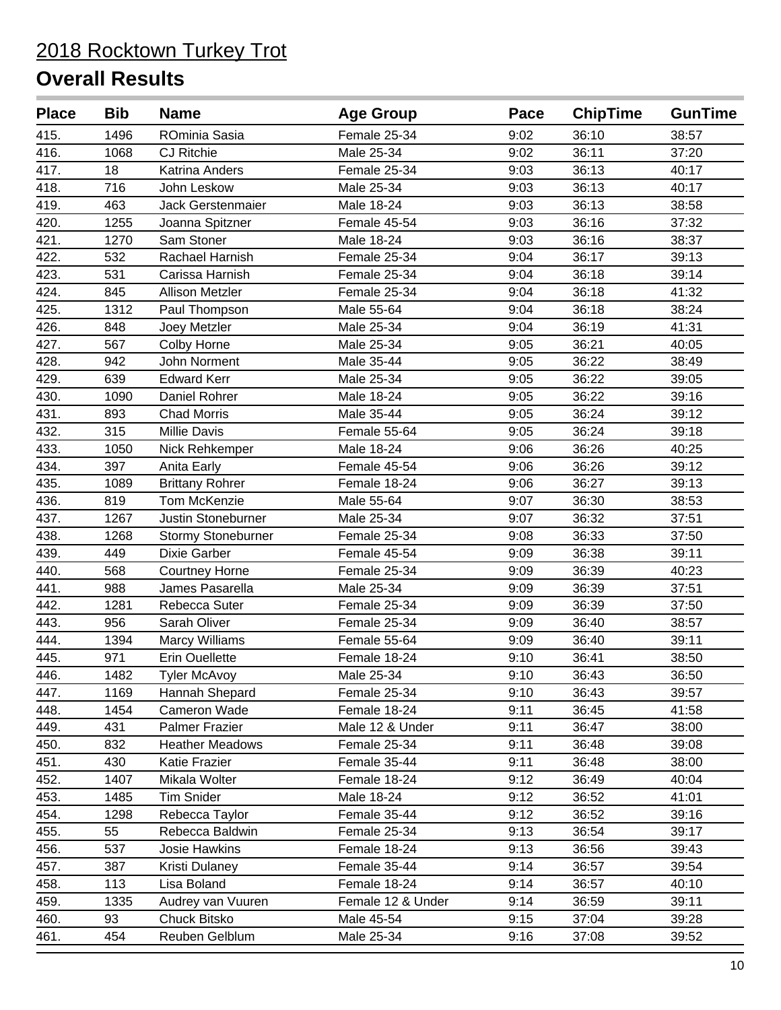| <b>Place</b> | <b>Bib</b> | <b>Name</b>            | <b>Age Group</b>  | Pace | <b>ChipTime</b> | <b>GunTime</b> |
|--------------|------------|------------------------|-------------------|------|-----------------|----------------|
| 415.         | 1496       | ROminia Sasia          | Female 25-34      | 9:02 | 36:10           | 38:57          |
| 416.         | 1068       | <b>CJ Ritchie</b>      | Male 25-34        | 9:02 | 36:11           | 37:20          |
| 417.         | 18         | Katrina Anders         | Female 25-34      | 9:03 | 36:13           | 40:17          |
| 418.         | 716        | John Leskow            | Male 25-34        | 9:03 | 36:13           | 40:17          |
| 419.         | 463        | Jack Gerstenmaier      | Male 18-24        | 9:03 | 36:13           | 38:58          |
| 420.         | 1255       | Joanna Spitzner        | Female 45-54      | 9:03 | 36:16           | 37:32          |
| 421.         | 1270       | Sam Stoner             | Male 18-24        | 9:03 | 36:16           | 38:37          |
| 422.         | 532        | Rachael Harnish        | Female 25-34      | 9:04 | 36:17           | 39:13          |
| 423.         | 531        | Carissa Harnish        | Female 25-34      | 9:04 | 36:18           | 39:14          |
| 424.         | 845        | <b>Allison Metzler</b> | Female 25-34      | 9:04 | 36:18           | 41:32          |
| 425.         | 1312       | Paul Thompson          | Male 55-64        | 9:04 | 36:18           | 38:24          |
| 426.         | 848        | Joey Metzler           | Male 25-34        | 9:04 | 36:19           | 41:31          |
| 427.         | 567        | Colby Horne            | Male 25-34        | 9:05 | 36:21           | 40:05          |
| 428.         | 942        | John Norment           | Male 35-44        | 9:05 | 36:22           | 38:49          |
| 429.         | 639        | <b>Edward Kerr</b>     | Male 25-34        | 9:05 | 36:22           | 39:05          |
| 430.         | 1090       | Daniel Rohrer          | Male 18-24        | 9:05 | 36:22           | 39:16          |
| 431.         | 893        | <b>Chad Morris</b>     | Male 35-44        | 9:05 | 36:24           | 39:12          |
| 432.         | 315        | <b>Millie Davis</b>    | Female 55-64      | 9:05 | 36:24           | 39:18          |
| 433.         | 1050       | Nick Rehkemper         | Male 18-24        | 9:06 | 36:26           | 40:25          |
| 434.         | 397        | Anita Early            | Female 45-54      | 9:06 | 36:26           | 39:12          |
| 435.         | 1089       | <b>Brittany Rohrer</b> | Female 18-24      | 9:06 | 36:27           | 39:13          |
| 436.         | 819        | Tom McKenzie           | Male 55-64        | 9:07 | 36:30           | 38:53          |
| 437.         | 1267       | Justin Stoneburner     | Male 25-34        | 9:07 | 36:32           | 37:51          |
| 438.         | 1268       | Stormy Stoneburner     | Female 25-34      | 9:08 | 36:33           | 37:50          |
| 439.         | 449        | Dixie Garber           | Female 45-54      | 9:09 | 36:38           | 39:11          |
| 440.         | 568        | <b>Courtney Horne</b>  | Female 25-34      | 9:09 | 36:39           | 40:23          |
| 441.         | 988        | James Pasarella        | Male 25-34        | 9:09 | 36:39           | 37:51          |
| 442.         | 1281       | Rebecca Suter          | Female 25-34      | 9:09 | 36:39           | 37:50          |
| 443.         | 956        | Sarah Oliver           | Female 25-34      | 9:09 | 36:40           | 38:57          |
| 444.         | 1394       | <b>Marcy Williams</b>  | Female 55-64      | 9:09 | 36:40           | 39:11          |
| 445.         | 971        | Erin Ouellette         | Female 18-24      | 9:10 | 36:41           | 38:50          |
| 446.         | 1482       | <b>Tyler McAvoy</b>    | Male 25-34        | 9:10 | 36:43           | 36:50          |
| 447.         | 1169       | Hannah Shepard         | Female 25-34      | 9:10 | 36:43           | 39:57          |
| 448.         | 1454       | Cameron Wade           | Female 18-24      | 9:11 | 36:45           | 41:58          |
| 449.         | 431        | <b>Palmer Frazier</b>  | Male 12 & Under   | 9:11 | 36:47           | 38:00          |
| 450.         | 832        | <b>Heather Meadows</b> | Female 25-34      | 9:11 | 36:48           | 39:08          |
| 451.         | 430        | Katie Frazier          | Female 35-44      | 9:11 | 36:48           | 38:00          |
| 452.         | 1407       | Mikala Wolter          | Female 18-24      | 9:12 | 36:49           | 40:04          |
| 453.         | 1485       | <b>Tim Snider</b>      | Male 18-24        | 9:12 | 36:52           | 41:01          |
| 454.         | 1298       | Rebecca Taylor         | Female 35-44      | 9:12 | 36:52           | 39:16          |
| 455.         | 55         | Rebecca Baldwin        | Female 25-34      | 9:13 | 36:54           | 39:17          |
| 456.         | 537        | Josie Hawkins          | Female 18-24      | 9:13 | 36:56           | 39:43          |
| 457.         | 387        | Kristi Dulaney         | Female 35-44      | 9:14 | 36:57           | 39:54          |
| 458.         | 113        | Lisa Boland            | Female 18-24      | 9:14 | 36:57           | 40:10          |
| 459.         | 1335       | Audrey van Vuuren      | Female 12 & Under | 9:14 | 36:59           | 39:11          |
| 460.         | 93         | Chuck Bitsko           | Male 45-54        | 9:15 | 37:04           | 39:28          |
| 461.         | 454        | Reuben Gelblum         | Male 25-34        | 9:16 | 37:08           | 39:52          |
|              |            |                        |                   |      |                 |                |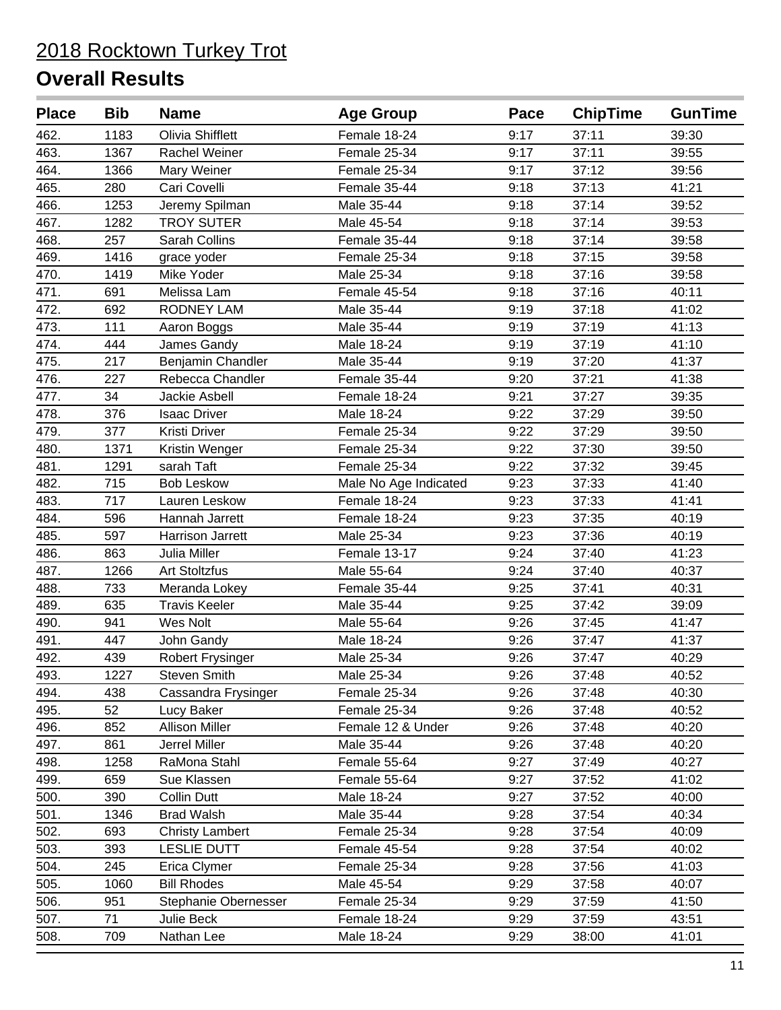| <b>Place</b> | <b>Bib</b> | <b>Name</b>             | <b>Age Group</b>      | Pace | <b>ChipTime</b> | <b>GunTime</b> |
|--------------|------------|-------------------------|-----------------------|------|-----------------|----------------|
| 462.         | 1183       | <b>Olivia Shifflett</b> | Female 18-24          | 9:17 | 37:11           | 39:30          |
| 463.         | 1367       | Rachel Weiner           | Female 25-34          | 9:17 | 37:11           | 39:55          |
| 464.         | 1366       | Mary Weiner             | Female 25-34          | 9:17 | 37:12           | 39:56          |
| 465.         | 280        | Cari Covelli            | Female 35-44          | 9:18 | 37:13           | 41:21          |
| 466.         | 1253       | Jeremy Spilman          | Male 35-44            | 9:18 | 37:14           | 39:52          |
| 467.         | 1282       | <b>TROY SUTER</b>       | Male 45-54            | 9:18 | 37:14           | 39:53          |
| 468.         | 257        | Sarah Collins           | Female 35-44          | 9:18 | 37:14           | 39:58          |
| 469.         | 1416       | grace yoder             | Female 25-34          | 9:18 | 37:15           | 39:58          |
| 470.         | 1419       | Mike Yoder              | Male 25-34            | 9:18 | 37:16           | 39:58          |
| 471.         | 691        | Melissa Lam             | Female 45-54          | 9:18 | 37:16           | 40:11          |
| 472.         | 692        | RODNEY LAM              | Male 35-44            | 9:19 | 37:18           | 41:02          |
| 473.         | 111        | Aaron Boggs             | Male 35-44            | 9:19 | 37:19           | 41:13          |
| 474.         | 444        | James Gandy             | Male 18-24            | 9:19 | 37:19           | 41:10          |
| 475.         | 217        | Benjamin Chandler       | Male 35-44            | 9:19 | 37:20           | 41:37          |
| 476.         | 227        | Rebecca Chandler        | Female 35-44          | 9:20 | 37:21           | 41:38          |
| 477.         | 34         | <b>Jackie Asbell</b>    | Female 18-24          | 9:21 | 37:27           | 39:35          |
| 478.         | 376        | <b>Isaac Driver</b>     | Male 18-24            | 9:22 | 37:29           | 39:50          |
| 479.         | 377        | Kristi Driver           | Female 25-34          | 9:22 | 37:29           | 39:50          |
| 480.         | 1371       | Kristin Wenger          | Female 25-34          | 9:22 | 37:30           | 39:50          |
| 481.         | 1291       | sarah Taft              | Female 25-34          | 9:22 | 37:32           | 39:45          |
| 482.         | 715        | <b>Bob Leskow</b>       | Male No Age Indicated | 9:23 | 37:33           | 41:40          |
| 483.         | 717        | Lauren Leskow           | Female 18-24          | 9:23 | 37:33           | 41:41          |
| 484.         | 596        | Hannah Jarrett          | Female 18-24          | 9:23 | 37:35           | 40:19          |
| 485.         | 597        | Harrison Jarrett        | Male 25-34            | 9:23 | 37:36           | 40:19          |
| 486.         | 863        | Julia Miller            | Female 13-17          | 9:24 | 37:40           | 41:23          |
| 487.         | 1266       | <b>Art Stoltzfus</b>    | Male 55-64            | 9:24 | 37:40           | 40:37          |
| 488.         | 733        | Meranda Lokey           | Female 35-44          | 9:25 | 37:41           | 40:31          |
| 489.         | 635        | <b>Travis Keeler</b>    | Male 35-44            | 9:25 | 37:42           | 39:09          |
| 490.         | 941        | Wes Nolt                | Male 55-64            | 9:26 | 37:45           | 41:47          |
| 491.         | 447        | John Gandy              | Male 18-24            | 9:26 | 37:47           | 41:37          |
| 492.         | 439        | Robert Frysinger        | Male 25-34            | 9:26 | 37:47           | 40:29          |
| 493.         | 1227       | <b>Steven Smith</b>     | Male 25-34            | 9:26 | 37:48           | 40:52          |
| 494.         | 438        | Cassandra Frysinger     | Female 25-34          | 9:26 | 37:48           | 40:30          |
| 495.         | 52         | Lucy Baker              | Female 25-34          | 9:26 | 37:48           | 40:52          |
| 496.         | 852        | <b>Allison Miller</b>   | Female 12 & Under     | 9:26 | 37:48           | 40:20          |
| 497.         | 861        | Jerrel Miller           | Male 35-44            | 9:26 | 37:48           | 40:20          |
| 498.         | 1258       | RaMona Stahl            | Female 55-64          | 9:27 | 37:49           | 40:27          |
| 499.         | 659        | Sue Klassen             | Female 55-64          | 9:27 | 37:52           | 41:02          |
| 500.         | 390        | Collin Dutt             | Male 18-24            | 9:27 | 37:52           | 40:00          |
| 501.         | 1346       | <b>Brad Walsh</b>       | Male 35-44            | 9:28 | 37:54           | 40:34          |
| 502.         | 693        | <b>Christy Lambert</b>  | Female 25-34          | 9:28 | 37:54           | 40:09          |
| 503.         | 393        | <b>LESLIE DUTT</b>      | Female 45-54          | 9:28 | 37:54           | 40:02          |
| 504.         | 245        | Erica Clymer            | Female 25-34          | 9:28 | 37:56           | 41:03          |
| 505.         | 1060       | <b>Bill Rhodes</b>      | Male 45-54            | 9:29 | 37:58           | 40:07          |
| 506.         | 951        | Stephanie Obernesser    | Female 25-34          | 9:29 | 37:59           | 41:50          |
| 507.         | 71         | Julie Beck              | Female 18-24          | 9:29 | 37:59           | 43:51          |
| 508.         | 709        | Nathan Lee              | Male 18-24            | 9:29 | 38:00           | 41:01          |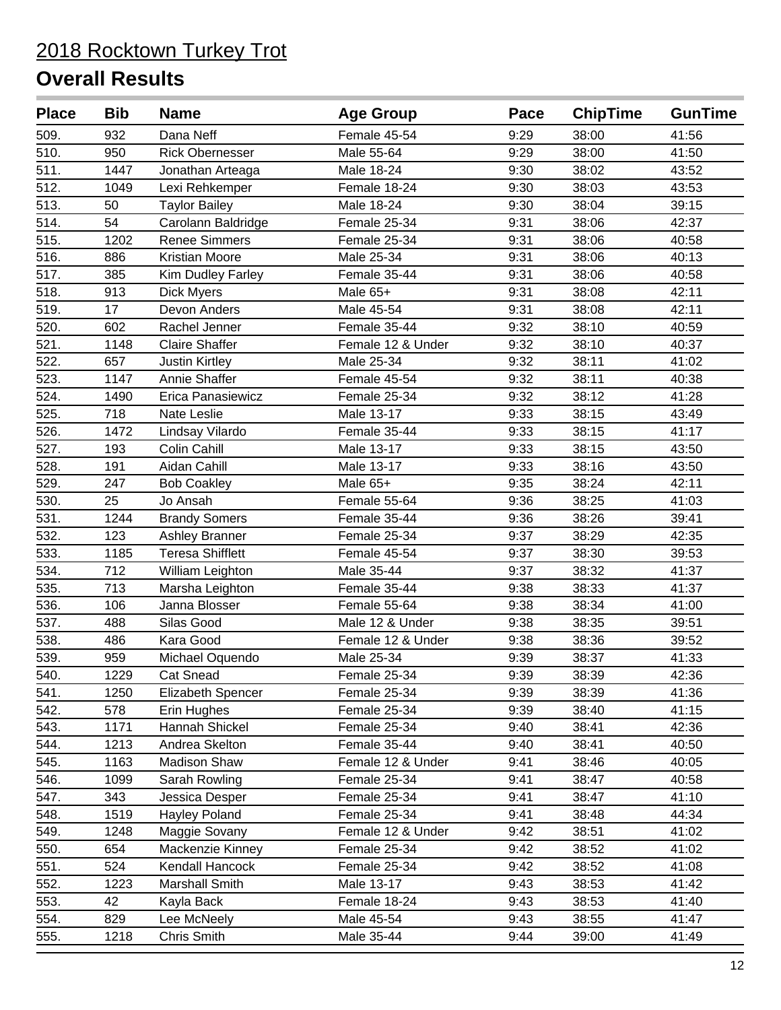| <b>Place</b> | <b>Bib</b> | <b>Name</b>             | <b>Age Group</b>  | Pace | <b>ChipTime</b> | <b>GunTime</b> |
|--------------|------------|-------------------------|-------------------|------|-----------------|----------------|
| 509.         | 932        | Dana Neff               | Female 45-54      | 9:29 | 38:00           | 41:56          |
| 510.         | 950        | <b>Rick Obernesser</b>  | Male 55-64        | 9:29 | 38:00           | 41:50          |
| 511.         | 1447       | Jonathan Arteaga        | Male 18-24        | 9:30 | 38:02           | 43:52          |
| 512.         | 1049       | Lexi Rehkemper          | Female 18-24      | 9:30 | 38:03           | 43:53          |
| 513.         | 50         | <b>Taylor Bailey</b>    | Male 18-24        | 9:30 | 38:04           | 39:15          |
| 514.         | 54         | Carolann Baldridge      | Female 25-34      | 9:31 | 38:06           | 42:37          |
| 515.         | 1202       | <b>Renee Simmers</b>    | Female 25-34      | 9:31 | 38:06           | 40:58          |
| 516.         | 886        | <b>Kristian Moore</b>   | Male 25-34        | 9:31 | 38:06           | 40:13          |
| 517.         | 385        | Kim Dudley Farley       | Female 35-44      | 9:31 | 38:06           | 40:58          |
| 518.         | 913        | <b>Dick Myers</b>       | Male 65+          | 9:31 | 38:08           | 42:11          |
| 519.         | 17         | Devon Anders            | Male 45-54        | 9:31 | 38:08           | 42:11          |
| 520.         | 602        | Rachel Jenner           | Female 35-44      | 9:32 | 38:10           | 40:59          |
| 521.         | 1148       | <b>Claire Shaffer</b>   | Female 12 & Under | 9:32 | 38:10           | 40:37          |
| 522.         | 657        | <b>Justin Kirtley</b>   | Male 25-34        | 9:32 | 38:11           | 41:02          |
| 523.         | 1147       | Annie Shaffer           | Female 45-54      | 9:32 | 38:11           | 40:38          |
| 524.         | 1490       | Erica Panasiewicz       | Female 25-34      | 9:32 | 38:12           | 41:28          |
| 525.         | 718        | Nate Leslie             | Male 13-17        | 9:33 | 38:15           | 43:49          |
| 526.         | 1472       | Lindsay Vilardo         | Female 35-44      | 9:33 | 38:15           | 41:17          |
| 527.         | 193        | Colin Cahill            | Male 13-17        | 9:33 | 38:15           | 43:50          |
| 528.         | 191        | Aidan Cahill            | Male 13-17        | 9:33 | 38:16           | 43:50          |
| 529.         | 247        | <b>Bob Coakley</b>      | Male 65+          | 9:35 | 38:24           | 42:11          |
| 530.         | 25         | Jo Ansah                | Female 55-64      | 9:36 | 38:25           | 41:03          |
| 531.         | 1244       | <b>Brandy Somers</b>    | Female 35-44      | 9:36 | 38:26           | 39:41          |
| 532.         | 123        | Ashley Branner          | Female 25-34      | 9:37 | 38:29           | 42:35          |
| 533.         | 1185       | <b>Teresa Shifflett</b> | Female 45-54      | 9:37 | 38:30           | 39:53          |
| 534.         | 712        | William Leighton        | Male 35-44        | 9:37 | 38:32           | 41:37          |
| 535.         | 713        | Marsha Leighton         | Female 35-44      | 9:38 | 38:33           | 41:37          |
| 536.         | 106        | Janna Blosser           | Female 55-64      | 9:38 | 38:34           | 41:00          |
| 537.         | 488        | Silas Good              | Male 12 & Under   | 9:38 | 38:35           | 39:51          |
| 538.         | 486        | Kara Good               | Female 12 & Under | 9:38 | 38:36           | 39:52          |
| 539.         | 959        | Michael Oquendo         | Male 25-34        | 9:39 | 38:37           | 41:33          |
| 540.         | 1229       | <b>Cat Snead</b>        | Female 25-34      | 9:39 | 38:39           | 42:36          |
| 541.         | 1250       | Elizabeth Spencer       | Female 25-34      | 9:39 | 38:39           | 41:36          |
| 542.         | 578        | Erin Hughes             | Female 25-34      | 9:39 | 38:40           | 41:15          |
| 543.         | 1171       | Hannah Shickel          | Female 25-34      | 9:40 | 38:41           | 42:36          |
| 544.         | 1213       | Andrea Skelton          | Female 35-44      | 9:40 | 38:41           | 40:50          |
| 545.         | 1163       | <b>Madison Shaw</b>     | Female 12 & Under | 9:41 | 38:46           | 40:05          |
| 546.         | 1099       | Sarah Rowling           | Female 25-34      | 9:41 | 38:47           | 40:58          |
| 547.         | 343        | Jessica Desper          | Female 25-34      | 9:41 | 38:47           | 41:10          |
| 548.         | 1519       | Hayley Poland           | Female 25-34      | 9:41 | 38:48           | 44:34          |
| 549.         | 1248       | Maggie Sovany           | Female 12 & Under | 9:42 | 38:51           | 41:02          |
| 550.         | 654        | Mackenzie Kinney        | Female 25-34      | 9:42 | 38:52           | 41:02          |
| 551.         | 524        | Kendall Hancock         | Female 25-34      | 9:42 | 38:52           | 41:08          |
| 552.         | 1223       | Marshall Smith          | Male 13-17        | 9:43 | 38:53           | 41:42          |
| 553.         | 42         | Kayla Back              | Female 18-24      | 9:43 | 38:53           | 41:40          |
| 554.         | 829        | Lee McNeely             | Male 45-54        | 9:43 | 38:55           | 41:47          |
| 555.         | 1218       | Chris Smith             | Male 35-44        | 9:44 | 39:00           | 41:49          |
|              |            |                         |                   |      |                 |                |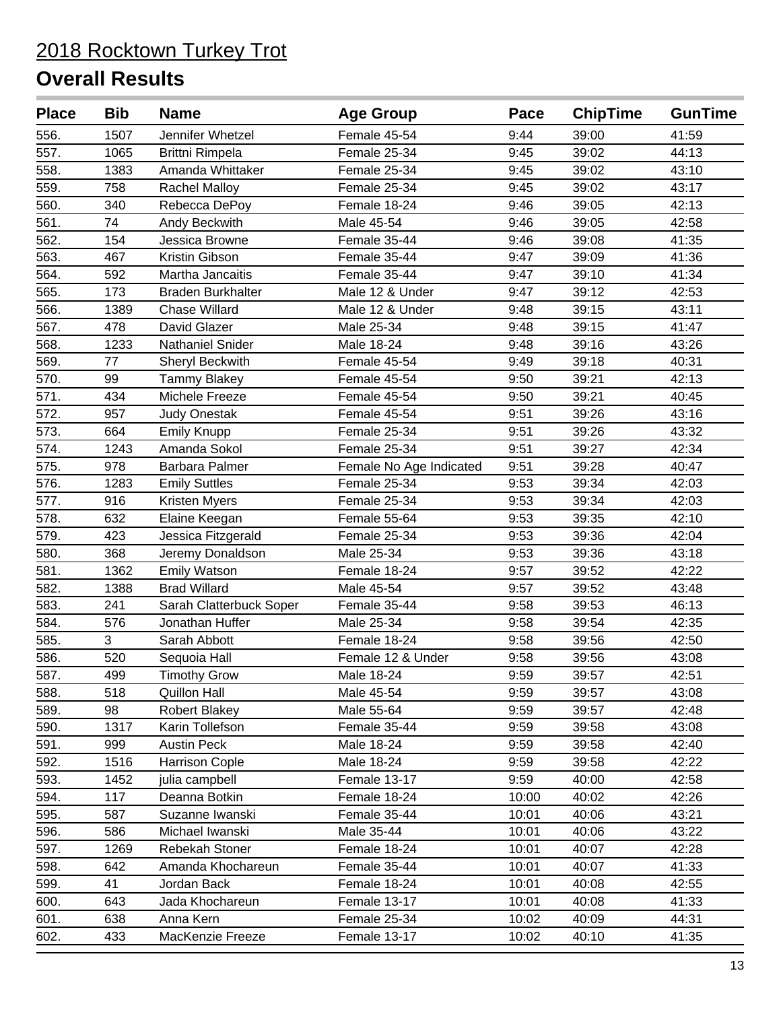| <b>Place</b> | <b>Bib</b> | <b>Name</b>              | <b>Age Group</b>        | Pace  | <b>ChipTime</b> | <b>GunTime</b> |
|--------------|------------|--------------------------|-------------------------|-------|-----------------|----------------|
| 556.         | 1507       | Jennifer Whetzel         | Female 45-54            | 9:44  | 39:00           | 41:59          |
| 557.         | 1065       | Brittni Rimpela          | Female 25-34            | 9:45  | 39:02           | 44:13          |
| 558.         | 1383       | Amanda Whittaker         | Female 25-34            | 9:45  | 39:02           | 43:10          |
| 559.         | 758        | <b>Rachel Malloy</b>     | Female 25-34            | 9:45  | 39:02           | 43:17          |
| 560.         | 340        | Rebecca DePoy            | Female 18-24            | 9:46  | 39:05           | 42:13          |
| 561.         | 74         | Andy Beckwith            | Male 45-54              | 9:46  | 39:05           | 42:58          |
| 562.         | 154        | Jessica Browne           | Female 35-44            | 9:46  | 39:08           | 41:35          |
| 563.         | 467        | Kristin Gibson           | Female 35-44            | 9:47  | 39:09           | 41:36          |
| 564.         | 592        | Martha Jancaitis         | Female 35-44            | 9:47  | 39:10           | 41:34          |
| 565.         | 173        | <b>Braden Burkhalter</b> | Male 12 & Under         | 9:47  | 39:12           | 42:53          |
| 566.         | 1389       | <b>Chase Willard</b>     | Male 12 & Under         | 9:48  | 39:15           | 43:11          |
| 567.         | 478        | David Glazer             | Male 25-34              | 9:48  | 39:15           | 41:47          |
| 568.         | 1233       | <b>Nathaniel Snider</b>  | Male 18-24              | 9:48  | 39:16           | 43:26          |
| 569.         | 77         | Sheryl Beckwith          | Female 45-54            | 9:49  | 39:18           | 40:31          |
| 570.         | 99         | <b>Tammy Blakey</b>      | Female 45-54            | 9:50  | 39:21           | 42:13          |
| 571.         | 434        | Michele Freeze           | Female 45-54            | 9:50  | 39:21           | 40:45          |
| 572.         | 957        | <b>Judy Onestak</b>      | Female 45-54            | 9:51  | 39:26           | 43:16          |
| 573.         | 664        | <b>Emily Knupp</b>       | Female 25-34            | 9:51  | 39:26           | 43:32          |
| 574.         | 1243       | Amanda Sokol             | Female 25-34            | 9:51  | 39:27           | 42:34          |
| 575.         | 978        | Barbara Palmer           | Female No Age Indicated | 9:51  | 39:28           | 40:47          |
| 576.         | 1283       | <b>Emily Suttles</b>     | Female 25-34            | 9:53  | 39:34           | 42:03          |
| 577.         | 916        | Kristen Myers            | Female 25-34            | 9:53  | 39:34           | 42:03          |
| 578.         | 632        | Elaine Keegan            | Female 55-64            | 9:53  | 39:35           | 42:10          |
| 579.         | 423        | Jessica Fitzgerald       | Female 25-34            | 9:53  | 39:36           | 42:04          |
| 580.         | 368        | Jeremy Donaldson         | Male 25-34              | 9:53  | 39:36           | 43:18          |
| 581.         | 1362       | <b>Emily Watson</b>      | Female 18-24            | 9:57  | 39:52           | 42:22          |
| 582.         | 1388       | <b>Brad Willard</b>      | Male 45-54              | 9:57  | 39:52           | 43:48          |
| 583.         | 241        | Sarah Clatterbuck Soper  | Female 35-44            | 9:58  | 39:53           | 46:13          |
| 584.         | 576        | Jonathan Huffer          | Male 25-34              | 9:58  | 39:54           | 42:35          |
| 585.         | 3          | Sarah Abbott             | Female 18-24            | 9:58  | 39:56           | 42:50          |
| 586.         | 520        | Sequoia Hall             | Female 12 & Under       | 9:58  | 39:56           | 43:08          |
| 587.         | 499        | <b>Timothy Grow</b>      | Male 18-24              | 9:59  | 39:57           | 42:51          |
| 588.         | 518        | Quillon Hall             | Male 45-54              | 9:59  | 39:57           | 43:08          |
| 589.         | 98         | <b>Robert Blakey</b>     | Male 55-64              | 9:59  | 39:57           | 42:48          |
| 590.         | 1317       | Karin Tollefson          | Female 35-44            | 9:59  | 39:58           | 43:08          |
| 591.         | 999        | <b>Austin Peck</b>       | Male 18-24              | 9:59  | 39:58           | 42:40          |
| 592.         | 1516       | <b>Harrison Cople</b>    | Male 18-24              | 9:59  | 39:58           | 42:22          |
| 593.         | 1452       | julia campbell           | Female 13-17            | 9:59  | 40:00           | 42:58          |
| 594.         | 117        | Deanna Botkin            | Female 18-24            | 10:00 | 40:02           | 42:26          |
| 595.         | 587        | Suzanne Iwanski          | Female 35-44            | 10:01 | 40:06           | 43:21          |
| 596.         | 586        | Michael Iwanski          | Male 35-44              | 10:01 | 40:06           | 43:22          |
| 597.         | 1269       | Rebekah Stoner           | Female 18-24            | 10:01 | 40:07           | 42:28          |
| 598.         | 642        | Amanda Khochareun        | Female 35-44            | 10:01 | 40:07           | 41:33          |
| 599.         | 41         | Jordan Back              | Female 18-24            | 10:01 | 40:08           | 42:55          |
| 600.         | 643        | Jada Khochareun          | Female 13-17            | 10:01 | 40:08           | 41:33          |
| 601.         | 638        | Anna Kern                | Female 25-34            | 10:02 | 40:09           | 44:31          |
| 602.         | 433        | MacKenzie Freeze         | Female 13-17            | 10:02 | 40:10           | 41:35          |
|              |            |                          |                         |       |                 |                |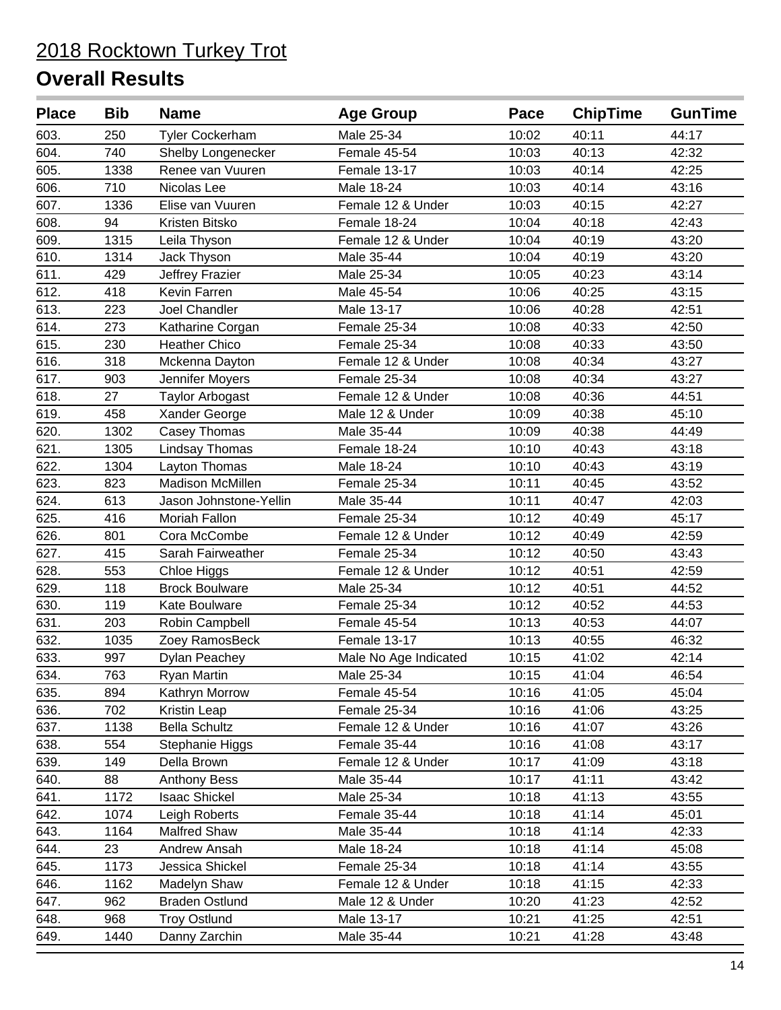| <b>Place</b> | <b>Bib</b> | <b>Name</b>            | <b>Age Group</b>      | Pace  | <b>ChipTime</b> | <b>GunTime</b> |
|--------------|------------|------------------------|-----------------------|-------|-----------------|----------------|
| 603.         | 250        | <b>Tyler Cockerham</b> | Male 25-34            | 10:02 | 40:11           | 44:17          |
| 604.         | 740        | Shelby Longenecker     | Female 45-54          | 10:03 | 40:13           | 42:32          |
| 605.         | 1338       | Renee van Vuuren       | Female 13-17          | 10:03 | 40:14           | 42:25          |
| 606.         | 710        | Nicolas Lee            | Male 18-24            | 10:03 | 40:14           | 43:16          |
| 607.         | 1336       | Elise van Vuuren       | Female 12 & Under     | 10:03 | 40:15           | 42:27          |
| 608.         | 94         | Kristen Bitsko         | Female 18-24          | 10:04 | 40:18           | 42:43          |
| 609.         | 1315       | Leila Thyson           | Female 12 & Under     | 10:04 | 40:19           | 43:20          |
| 610.         | 1314       | Jack Thyson            | Male 35-44            | 10:04 | 40:19           | 43:20          |
| 611.         | 429        | Jeffrey Frazier        | Male 25-34            | 10:05 | 40:23           | 43:14          |
| 612.         | 418        | Kevin Farren           | Male 45-54            | 10:06 | 40:25           | 43:15          |
| 613.         | 223        | Joel Chandler          | Male 13-17            | 10:06 | 40:28           | 42:51          |
| 614.         | 273        | Katharine Corgan       | Female 25-34          | 10:08 | 40:33           | 42:50          |
| 615.         | 230        | <b>Heather Chico</b>   | Female 25-34          | 10:08 | 40:33           | 43:50          |
| 616.         | 318        | Mckenna Dayton         | Female 12 & Under     | 10:08 | 40:34           | 43:27          |
| 617.         | 903        | Jennifer Moyers        | Female 25-34          | 10:08 | 40:34           | 43:27          |
| 618.         | 27         | <b>Taylor Arbogast</b> | Female 12 & Under     | 10:08 | 40:36           | 44:51          |
| 619.         | 458        | Xander George          | Male 12 & Under       | 10:09 | 40:38           | 45:10          |
| 620.         | 1302       | Casey Thomas           | Male 35-44            | 10:09 | 40:38           | 44:49          |
| 621.         | 1305       | Lindsay Thomas         | Female 18-24          | 10:10 | 40:43           | 43:18          |
| 622.         | 1304       | Layton Thomas          | Male 18-24            | 10:10 | 40:43           | 43:19          |
| 623.         | 823        | Madison McMillen       | Female 25-34          | 10:11 | 40:45           | 43:52          |
| 624.         | 613        | Jason Johnstone-Yellin | Male 35-44            | 10:11 | 40:47           | 42:03          |
| 625.         | 416        | Moriah Fallon          | Female 25-34          | 10:12 | 40:49           | 45:17          |
| 626.         | 801        | Cora McCombe           | Female 12 & Under     | 10:12 | 40:49           | 42:59          |
| 627.         | 415        | Sarah Fairweather      | Female 25-34          | 10:12 | 40:50           | 43:43          |
| 628.         | 553        | Chloe Higgs            | Female 12 & Under     | 10:12 | 40:51           | 42:59          |
| 629.         | 118        | <b>Brock Boulware</b>  | Male 25-34            | 10:12 | 40:51           | 44:52          |
| 630.         | 119        | Kate Boulware          | Female 25-34          | 10:12 | 40:52           | 44:53          |
| 631.         | 203        | Robin Campbell         | Female 45-54          | 10:13 | 40:53           | 44:07          |
| 632.         | 1035       | Zoey RamosBeck         | Female 13-17          | 10:13 | 40:55           | 46:32          |
| 633.         | 997        | <b>Dylan Peachey</b>   | Male No Age Indicated | 10:15 | 41:02           | 42:14          |
| 634.         | 763        | <b>Ryan Martin</b>     | Male 25-34            | 10:15 | 41:04           | 46:54          |
| 635.         | 894        | Kathryn Morrow         | Female 45-54          | 10:16 | 41:05           | 45:04          |
| 636.         | 702        | Kristin Leap           | Female 25-34          | 10:16 | 41:06           | 43:25          |
| 637.         | 1138       | <b>Bella Schultz</b>   | Female 12 & Under     | 10:16 | 41:07           | 43:26          |
| 638.         | 554        | Stephanie Higgs        | Female 35-44          | 10:16 | 41:08           | 43:17          |
| 639.         | 149        | Della Brown            | Female 12 & Under     | 10:17 | 41:09           | 43:18          |
| 640.         | 88         | <b>Anthony Bess</b>    | Male 35-44            | 10:17 | 41:11           | 43:42          |
| 641.         | 1172       | <b>Isaac Shickel</b>   | Male 25-34            | 10:18 | 41:13           | 43:55          |
| 642.         | 1074       | Leigh Roberts          | Female 35-44          | 10:18 | 41:14           | 45:01          |
| 643.         | 1164       | <b>Malfred Shaw</b>    | Male 35-44            | 10:18 | 41:14           | 42:33          |
| 644.         | 23         | Andrew Ansah           | Male 18-24            | 10:18 | 41:14           | 45:08          |
| 645.         | 1173       | Jessica Shickel        | Female 25-34          | 10:18 | 41:14           | 43:55          |
| 646.         | 1162       | Madelyn Shaw           | Female 12 & Under     | 10:18 | 41:15           | 42:33          |
| 647.         | 962        | <b>Braden Ostlund</b>  | Male 12 & Under       | 10:20 | 41:23           | 42:52          |
| 648.         | 968        | <b>Troy Ostlund</b>    | Male 13-17            | 10:21 | 41:25           | 42:51          |
| 649.         | 1440       | Danny Zarchin          | Male 35-44            | 10:21 | 41:28           | 43:48          |
|              |            |                        |                       |       |                 |                |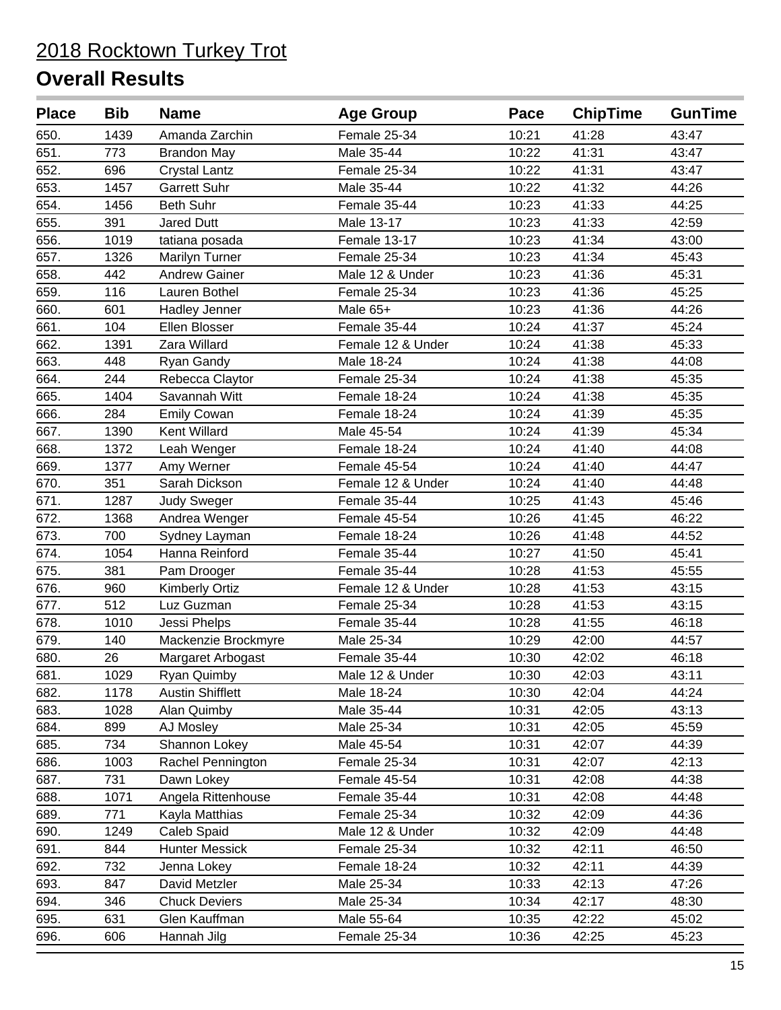| 650.<br>1439<br>Amanda Zarchin<br>Female 25-34<br>10:21<br>41:28<br>43:47<br>651.<br>Male 35-44<br>10:22<br>41:31<br>773<br><b>Brandon May</b><br>43:47<br>652.<br>696<br>Female 25-34<br>10:22<br>41:31<br>43:47<br><b>Crystal Lantz</b><br>653.<br>1457<br><b>Garrett Suhr</b><br>Male 35-44<br>10:22<br>41:32<br>44:26<br>654.<br><b>Beth Suhr</b><br>1456<br>Female 35-44<br>10:23<br>41:33<br>44:25<br>655.<br>Male 13-17<br>391<br>Jared Dutt<br>10:23<br>41:33<br>42:59<br>656.<br>Female 13-17<br>10:23<br>41:34<br>1019<br>43:00<br>tatiana posada<br>657.<br>1326<br><b>Marilyn Turner</b><br>Female 25-34<br>10:23<br>41:34<br>45:43<br>658.<br>442<br><b>Andrew Gainer</b><br>Male 12 & Under<br>10:23<br>41:36<br>45:31<br>659.<br>116<br>10:23<br>Lauren Bothel<br>Female 25-34<br>41:36<br>45:25<br>660.<br>601<br>10:23<br>Male 65+<br>41:36<br>44:26<br>Hadley Jenner<br>661.<br>104<br>Ellen Blosser<br>Female 35-44<br>10:24<br>41:37<br>45:24<br>662.<br>1391<br>Zara Willard<br>Female 12 & Under<br>10:24<br>41:38<br>45:33<br>663.<br>Male 18-24<br>10:24<br>41:38<br>44:08<br>448<br>Ryan Gandy<br>664.<br>244<br>Female 25-34<br>10:24<br>41:38<br>45:35<br>Rebecca Claytor<br>665.<br>1404<br>Savannah Witt<br>Female 18-24<br>10:24<br>41:38<br>45:35<br>666.<br>Female 18-24<br>284<br><b>Emily Cowan</b><br>10:24<br>41:39<br>45:35<br>667.<br>Male 45-54<br>10:24<br>41:39<br>45:34<br>1390<br>Kent Willard<br>668.<br>1372<br>Female 18-24<br>10:24<br>41:40<br>44:08<br>Leah Wenger<br>669.<br>Female 45-54<br>10:24<br>44:47<br>1377<br>Amy Werner<br>41:40<br>670.<br>351<br>Female 12 & Under<br>10:24<br>41:40<br>44:48<br>Sarah Dickson<br>671.<br>10:25<br>45:46<br>1287<br><b>Judy Sweger</b><br>Female 35-44<br>41:43<br>672.<br>1368<br>Andrea Wenger<br>Female 45-54<br>10:26<br>41:45<br>46:22<br>673.<br>700<br>Female 18-24<br>10:26<br>41:48<br>44:52<br>Sydney Layman<br>674.<br>Female 35-44<br>10:27<br>41:50<br>45:41<br>1054<br>Hanna Reinford<br>675.<br>381<br>Female 35-44<br>10:28<br>41:53<br>45:55<br>Pam Drooger<br>676.<br>960<br>Female 12 & Under<br>10:28<br>41:53<br>43:15<br><b>Kimberly Ortiz</b><br>677.<br>512<br>Female 25-34<br>43:15<br>Luz Guzman<br>10:28<br>41:53<br>678.<br>46:18<br>1010<br>Female 35-44<br>10:28<br>41:55<br>Jessi Phelps<br>679.<br>140<br>Mackenzie Brockmyre<br>Male 25-34<br>10:29<br>42:00<br>44:57<br>680.<br>26<br>Female 35-44<br>10:30<br>42:02<br>46:18<br>Margaret Arbogast<br>681.<br>1029<br>10:30<br>42:03<br>43:11<br>Male 12 & Under<br>Ryan Quimby<br>682.<br><b>Austin Shifflett</b><br>44:24<br>1178<br>Male 18-24<br>10:30<br>42:04<br>683.<br>Alan Quimby<br>Male 35-44<br>42:05<br>43:13<br>1028<br>10:31<br>10:31<br>684.<br>899<br>AJ Mosley<br>Male 25-34<br>42:05<br>45:59<br>734<br>685.<br>Male 45-54<br>10:31<br>42:07<br>44:39<br>Shannon Lokey<br>686.<br>1003<br>Female 25-34<br>42:13<br>Rachel Pennington<br>10:31<br>42:07<br>687.<br>731<br>Female 45-54<br>10:31<br>44:38<br>Dawn Lokey<br>42:08<br>688.<br>1071<br>Angela Rittenhouse<br>Female 35-44<br>10:31<br>44:48<br>42:08<br>689.<br>44:36<br>771<br>Kayla Matthias<br>Female 25-34<br>10:32<br>42:09<br>690.<br>1249<br>Caleb Spaid<br>Male 12 & Under<br>10:32<br>42:09<br>44:48<br>691.<br>844<br><b>Hunter Messick</b><br>Female 25-34<br>10:32<br>42:11<br>46:50<br>692.<br>732<br>Female 18-24<br>10:32<br>42:11<br>44:39<br>Jenna Lokey<br>693.<br>David Metzler<br>Male 25-34<br>10:33<br>42:13<br>847<br>47:26<br>694.<br>Male 25-34<br>10:34<br>346<br><b>Chuck Deviers</b><br>42:17<br>48:30<br>695.<br>631<br>Glen Kauffman<br>Male 55-64<br>10:35<br>42:22<br>45:02<br>Female 25-34<br>696.<br>42:25<br>45:23<br>606<br>Hannah Jilg<br>10:36 | <b>Place</b> | <b>Bib</b> | <b>Name</b> | <b>Age Group</b> | Pace | <b>ChipTime</b> | <b>GunTime</b> |
|----------------------------------------------------------------------------------------------------------------------------------------------------------------------------------------------------------------------------------------------------------------------------------------------------------------------------------------------------------------------------------------------------------------------------------------------------------------------------------------------------------------------------------------------------------------------------------------------------------------------------------------------------------------------------------------------------------------------------------------------------------------------------------------------------------------------------------------------------------------------------------------------------------------------------------------------------------------------------------------------------------------------------------------------------------------------------------------------------------------------------------------------------------------------------------------------------------------------------------------------------------------------------------------------------------------------------------------------------------------------------------------------------------------------------------------------------------------------------------------------------------------------------------------------------------------------------------------------------------------------------------------------------------------------------------------------------------------------------------------------------------------------------------------------------------------------------------------------------------------------------------------------------------------------------------------------------------------------------------------------------------------------------------------------------------------------------------------------------------------------------------------------------------------------------------------------------------------------------------------------------------------------------------------------------------------------------------------------------------------------------------------------------------------------------------------------------------------------------------------------------------------------------------------------------------------------------------------------------------------------------------------------------------------------------------------------------------------------------------------------------------------------------------------------------------------------------------------------------------------------------------------------------------------------------------------------------------------------------------------------------------------------------------------------------------------------------------------------------------------------------------------------------------------------------------------------------------------------------------------------------------------------------------------------------------------------------------------------------------------------------------------------------------------------------------------------------------------------------------------------------------------------------------------------------------------------------------------------------------------------------------------------------------------------------------------------------------------------------------------------------|--------------|------------|-------------|------------------|------|-----------------|----------------|
|                                                                                                                                                                                                                                                                                                                                                                                                                                                                                                                                                                                                                                                                                                                                                                                                                                                                                                                                                                                                                                                                                                                                                                                                                                                                                                                                                                                                                                                                                                                                                                                                                                                                                                                                                                                                                                                                                                                                                                                                                                                                                                                                                                                                                                                                                                                                                                                                                                                                                                                                                                                                                                                                                                                                                                                                                                                                                                                                                                                                                                                                                                                                                                                                                                                                                                                                                                                                                                                                                                                                                                                                                                                                                                                                                    |              |            |             |                  |      |                 |                |
|                                                                                                                                                                                                                                                                                                                                                                                                                                                                                                                                                                                                                                                                                                                                                                                                                                                                                                                                                                                                                                                                                                                                                                                                                                                                                                                                                                                                                                                                                                                                                                                                                                                                                                                                                                                                                                                                                                                                                                                                                                                                                                                                                                                                                                                                                                                                                                                                                                                                                                                                                                                                                                                                                                                                                                                                                                                                                                                                                                                                                                                                                                                                                                                                                                                                                                                                                                                                                                                                                                                                                                                                                                                                                                                                                    |              |            |             |                  |      |                 |                |
|                                                                                                                                                                                                                                                                                                                                                                                                                                                                                                                                                                                                                                                                                                                                                                                                                                                                                                                                                                                                                                                                                                                                                                                                                                                                                                                                                                                                                                                                                                                                                                                                                                                                                                                                                                                                                                                                                                                                                                                                                                                                                                                                                                                                                                                                                                                                                                                                                                                                                                                                                                                                                                                                                                                                                                                                                                                                                                                                                                                                                                                                                                                                                                                                                                                                                                                                                                                                                                                                                                                                                                                                                                                                                                                                                    |              |            |             |                  |      |                 |                |
|                                                                                                                                                                                                                                                                                                                                                                                                                                                                                                                                                                                                                                                                                                                                                                                                                                                                                                                                                                                                                                                                                                                                                                                                                                                                                                                                                                                                                                                                                                                                                                                                                                                                                                                                                                                                                                                                                                                                                                                                                                                                                                                                                                                                                                                                                                                                                                                                                                                                                                                                                                                                                                                                                                                                                                                                                                                                                                                                                                                                                                                                                                                                                                                                                                                                                                                                                                                                                                                                                                                                                                                                                                                                                                                                                    |              |            |             |                  |      |                 |                |
|                                                                                                                                                                                                                                                                                                                                                                                                                                                                                                                                                                                                                                                                                                                                                                                                                                                                                                                                                                                                                                                                                                                                                                                                                                                                                                                                                                                                                                                                                                                                                                                                                                                                                                                                                                                                                                                                                                                                                                                                                                                                                                                                                                                                                                                                                                                                                                                                                                                                                                                                                                                                                                                                                                                                                                                                                                                                                                                                                                                                                                                                                                                                                                                                                                                                                                                                                                                                                                                                                                                                                                                                                                                                                                                                                    |              |            |             |                  |      |                 |                |
|                                                                                                                                                                                                                                                                                                                                                                                                                                                                                                                                                                                                                                                                                                                                                                                                                                                                                                                                                                                                                                                                                                                                                                                                                                                                                                                                                                                                                                                                                                                                                                                                                                                                                                                                                                                                                                                                                                                                                                                                                                                                                                                                                                                                                                                                                                                                                                                                                                                                                                                                                                                                                                                                                                                                                                                                                                                                                                                                                                                                                                                                                                                                                                                                                                                                                                                                                                                                                                                                                                                                                                                                                                                                                                                                                    |              |            |             |                  |      |                 |                |
|                                                                                                                                                                                                                                                                                                                                                                                                                                                                                                                                                                                                                                                                                                                                                                                                                                                                                                                                                                                                                                                                                                                                                                                                                                                                                                                                                                                                                                                                                                                                                                                                                                                                                                                                                                                                                                                                                                                                                                                                                                                                                                                                                                                                                                                                                                                                                                                                                                                                                                                                                                                                                                                                                                                                                                                                                                                                                                                                                                                                                                                                                                                                                                                                                                                                                                                                                                                                                                                                                                                                                                                                                                                                                                                                                    |              |            |             |                  |      |                 |                |
|                                                                                                                                                                                                                                                                                                                                                                                                                                                                                                                                                                                                                                                                                                                                                                                                                                                                                                                                                                                                                                                                                                                                                                                                                                                                                                                                                                                                                                                                                                                                                                                                                                                                                                                                                                                                                                                                                                                                                                                                                                                                                                                                                                                                                                                                                                                                                                                                                                                                                                                                                                                                                                                                                                                                                                                                                                                                                                                                                                                                                                                                                                                                                                                                                                                                                                                                                                                                                                                                                                                                                                                                                                                                                                                                                    |              |            |             |                  |      |                 |                |
|                                                                                                                                                                                                                                                                                                                                                                                                                                                                                                                                                                                                                                                                                                                                                                                                                                                                                                                                                                                                                                                                                                                                                                                                                                                                                                                                                                                                                                                                                                                                                                                                                                                                                                                                                                                                                                                                                                                                                                                                                                                                                                                                                                                                                                                                                                                                                                                                                                                                                                                                                                                                                                                                                                                                                                                                                                                                                                                                                                                                                                                                                                                                                                                                                                                                                                                                                                                                                                                                                                                                                                                                                                                                                                                                                    |              |            |             |                  |      |                 |                |
|                                                                                                                                                                                                                                                                                                                                                                                                                                                                                                                                                                                                                                                                                                                                                                                                                                                                                                                                                                                                                                                                                                                                                                                                                                                                                                                                                                                                                                                                                                                                                                                                                                                                                                                                                                                                                                                                                                                                                                                                                                                                                                                                                                                                                                                                                                                                                                                                                                                                                                                                                                                                                                                                                                                                                                                                                                                                                                                                                                                                                                                                                                                                                                                                                                                                                                                                                                                                                                                                                                                                                                                                                                                                                                                                                    |              |            |             |                  |      |                 |                |
|                                                                                                                                                                                                                                                                                                                                                                                                                                                                                                                                                                                                                                                                                                                                                                                                                                                                                                                                                                                                                                                                                                                                                                                                                                                                                                                                                                                                                                                                                                                                                                                                                                                                                                                                                                                                                                                                                                                                                                                                                                                                                                                                                                                                                                                                                                                                                                                                                                                                                                                                                                                                                                                                                                                                                                                                                                                                                                                                                                                                                                                                                                                                                                                                                                                                                                                                                                                                                                                                                                                                                                                                                                                                                                                                                    |              |            |             |                  |      |                 |                |
|                                                                                                                                                                                                                                                                                                                                                                                                                                                                                                                                                                                                                                                                                                                                                                                                                                                                                                                                                                                                                                                                                                                                                                                                                                                                                                                                                                                                                                                                                                                                                                                                                                                                                                                                                                                                                                                                                                                                                                                                                                                                                                                                                                                                                                                                                                                                                                                                                                                                                                                                                                                                                                                                                                                                                                                                                                                                                                                                                                                                                                                                                                                                                                                                                                                                                                                                                                                                                                                                                                                                                                                                                                                                                                                                                    |              |            |             |                  |      |                 |                |
|                                                                                                                                                                                                                                                                                                                                                                                                                                                                                                                                                                                                                                                                                                                                                                                                                                                                                                                                                                                                                                                                                                                                                                                                                                                                                                                                                                                                                                                                                                                                                                                                                                                                                                                                                                                                                                                                                                                                                                                                                                                                                                                                                                                                                                                                                                                                                                                                                                                                                                                                                                                                                                                                                                                                                                                                                                                                                                                                                                                                                                                                                                                                                                                                                                                                                                                                                                                                                                                                                                                                                                                                                                                                                                                                                    |              |            |             |                  |      |                 |                |
|                                                                                                                                                                                                                                                                                                                                                                                                                                                                                                                                                                                                                                                                                                                                                                                                                                                                                                                                                                                                                                                                                                                                                                                                                                                                                                                                                                                                                                                                                                                                                                                                                                                                                                                                                                                                                                                                                                                                                                                                                                                                                                                                                                                                                                                                                                                                                                                                                                                                                                                                                                                                                                                                                                                                                                                                                                                                                                                                                                                                                                                                                                                                                                                                                                                                                                                                                                                                                                                                                                                                                                                                                                                                                                                                                    |              |            |             |                  |      |                 |                |
|                                                                                                                                                                                                                                                                                                                                                                                                                                                                                                                                                                                                                                                                                                                                                                                                                                                                                                                                                                                                                                                                                                                                                                                                                                                                                                                                                                                                                                                                                                                                                                                                                                                                                                                                                                                                                                                                                                                                                                                                                                                                                                                                                                                                                                                                                                                                                                                                                                                                                                                                                                                                                                                                                                                                                                                                                                                                                                                                                                                                                                                                                                                                                                                                                                                                                                                                                                                                                                                                                                                                                                                                                                                                                                                                                    |              |            |             |                  |      |                 |                |
|                                                                                                                                                                                                                                                                                                                                                                                                                                                                                                                                                                                                                                                                                                                                                                                                                                                                                                                                                                                                                                                                                                                                                                                                                                                                                                                                                                                                                                                                                                                                                                                                                                                                                                                                                                                                                                                                                                                                                                                                                                                                                                                                                                                                                                                                                                                                                                                                                                                                                                                                                                                                                                                                                                                                                                                                                                                                                                                                                                                                                                                                                                                                                                                                                                                                                                                                                                                                                                                                                                                                                                                                                                                                                                                                                    |              |            |             |                  |      |                 |                |
|                                                                                                                                                                                                                                                                                                                                                                                                                                                                                                                                                                                                                                                                                                                                                                                                                                                                                                                                                                                                                                                                                                                                                                                                                                                                                                                                                                                                                                                                                                                                                                                                                                                                                                                                                                                                                                                                                                                                                                                                                                                                                                                                                                                                                                                                                                                                                                                                                                                                                                                                                                                                                                                                                                                                                                                                                                                                                                                                                                                                                                                                                                                                                                                                                                                                                                                                                                                                                                                                                                                                                                                                                                                                                                                                                    |              |            |             |                  |      |                 |                |
|                                                                                                                                                                                                                                                                                                                                                                                                                                                                                                                                                                                                                                                                                                                                                                                                                                                                                                                                                                                                                                                                                                                                                                                                                                                                                                                                                                                                                                                                                                                                                                                                                                                                                                                                                                                                                                                                                                                                                                                                                                                                                                                                                                                                                                                                                                                                                                                                                                                                                                                                                                                                                                                                                                                                                                                                                                                                                                                                                                                                                                                                                                                                                                                                                                                                                                                                                                                                                                                                                                                                                                                                                                                                                                                                                    |              |            |             |                  |      |                 |                |
|                                                                                                                                                                                                                                                                                                                                                                                                                                                                                                                                                                                                                                                                                                                                                                                                                                                                                                                                                                                                                                                                                                                                                                                                                                                                                                                                                                                                                                                                                                                                                                                                                                                                                                                                                                                                                                                                                                                                                                                                                                                                                                                                                                                                                                                                                                                                                                                                                                                                                                                                                                                                                                                                                                                                                                                                                                                                                                                                                                                                                                                                                                                                                                                                                                                                                                                                                                                                                                                                                                                                                                                                                                                                                                                                                    |              |            |             |                  |      |                 |                |
|                                                                                                                                                                                                                                                                                                                                                                                                                                                                                                                                                                                                                                                                                                                                                                                                                                                                                                                                                                                                                                                                                                                                                                                                                                                                                                                                                                                                                                                                                                                                                                                                                                                                                                                                                                                                                                                                                                                                                                                                                                                                                                                                                                                                                                                                                                                                                                                                                                                                                                                                                                                                                                                                                                                                                                                                                                                                                                                                                                                                                                                                                                                                                                                                                                                                                                                                                                                                                                                                                                                                                                                                                                                                                                                                                    |              |            |             |                  |      |                 |                |
|                                                                                                                                                                                                                                                                                                                                                                                                                                                                                                                                                                                                                                                                                                                                                                                                                                                                                                                                                                                                                                                                                                                                                                                                                                                                                                                                                                                                                                                                                                                                                                                                                                                                                                                                                                                                                                                                                                                                                                                                                                                                                                                                                                                                                                                                                                                                                                                                                                                                                                                                                                                                                                                                                                                                                                                                                                                                                                                                                                                                                                                                                                                                                                                                                                                                                                                                                                                                                                                                                                                                                                                                                                                                                                                                                    |              |            |             |                  |      |                 |                |
|                                                                                                                                                                                                                                                                                                                                                                                                                                                                                                                                                                                                                                                                                                                                                                                                                                                                                                                                                                                                                                                                                                                                                                                                                                                                                                                                                                                                                                                                                                                                                                                                                                                                                                                                                                                                                                                                                                                                                                                                                                                                                                                                                                                                                                                                                                                                                                                                                                                                                                                                                                                                                                                                                                                                                                                                                                                                                                                                                                                                                                                                                                                                                                                                                                                                                                                                                                                                                                                                                                                                                                                                                                                                                                                                                    |              |            |             |                  |      |                 |                |
|                                                                                                                                                                                                                                                                                                                                                                                                                                                                                                                                                                                                                                                                                                                                                                                                                                                                                                                                                                                                                                                                                                                                                                                                                                                                                                                                                                                                                                                                                                                                                                                                                                                                                                                                                                                                                                                                                                                                                                                                                                                                                                                                                                                                                                                                                                                                                                                                                                                                                                                                                                                                                                                                                                                                                                                                                                                                                                                                                                                                                                                                                                                                                                                                                                                                                                                                                                                                                                                                                                                                                                                                                                                                                                                                                    |              |            |             |                  |      |                 |                |
|                                                                                                                                                                                                                                                                                                                                                                                                                                                                                                                                                                                                                                                                                                                                                                                                                                                                                                                                                                                                                                                                                                                                                                                                                                                                                                                                                                                                                                                                                                                                                                                                                                                                                                                                                                                                                                                                                                                                                                                                                                                                                                                                                                                                                                                                                                                                                                                                                                                                                                                                                                                                                                                                                                                                                                                                                                                                                                                                                                                                                                                                                                                                                                                                                                                                                                                                                                                                                                                                                                                                                                                                                                                                                                                                                    |              |            |             |                  |      |                 |                |
|                                                                                                                                                                                                                                                                                                                                                                                                                                                                                                                                                                                                                                                                                                                                                                                                                                                                                                                                                                                                                                                                                                                                                                                                                                                                                                                                                                                                                                                                                                                                                                                                                                                                                                                                                                                                                                                                                                                                                                                                                                                                                                                                                                                                                                                                                                                                                                                                                                                                                                                                                                                                                                                                                                                                                                                                                                                                                                                                                                                                                                                                                                                                                                                                                                                                                                                                                                                                                                                                                                                                                                                                                                                                                                                                                    |              |            |             |                  |      |                 |                |
|                                                                                                                                                                                                                                                                                                                                                                                                                                                                                                                                                                                                                                                                                                                                                                                                                                                                                                                                                                                                                                                                                                                                                                                                                                                                                                                                                                                                                                                                                                                                                                                                                                                                                                                                                                                                                                                                                                                                                                                                                                                                                                                                                                                                                                                                                                                                                                                                                                                                                                                                                                                                                                                                                                                                                                                                                                                                                                                                                                                                                                                                                                                                                                                                                                                                                                                                                                                                                                                                                                                                                                                                                                                                                                                                                    |              |            |             |                  |      |                 |                |
|                                                                                                                                                                                                                                                                                                                                                                                                                                                                                                                                                                                                                                                                                                                                                                                                                                                                                                                                                                                                                                                                                                                                                                                                                                                                                                                                                                                                                                                                                                                                                                                                                                                                                                                                                                                                                                                                                                                                                                                                                                                                                                                                                                                                                                                                                                                                                                                                                                                                                                                                                                                                                                                                                                                                                                                                                                                                                                                                                                                                                                                                                                                                                                                                                                                                                                                                                                                                                                                                                                                                                                                                                                                                                                                                                    |              |            |             |                  |      |                 |                |
|                                                                                                                                                                                                                                                                                                                                                                                                                                                                                                                                                                                                                                                                                                                                                                                                                                                                                                                                                                                                                                                                                                                                                                                                                                                                                                                                                                                                                                                                                                                                                                                                                                                                                                                                                                                                                                                                                                                                                                                                                                                                                                                                                                                                                                                                                                                                                                                                                                                                                                                                                                                                                                                                                                                                                                                                                                                                                                                                                                                                                                                                                                                                                                                                                                                                                                                                                                                                                                                                                                                                                                                                                                                                                                                                                    |              |            |             |                  |      |                 |                |
|                                                                                                                                                                                                                                                                                                                                                                                                                                                                                                                                                                                                                                                                                                                                                                                                                                                                                                                                                                                                                                                                                                                                                                                                                                                                                                                                                                                                                                                                                                                                                                                                                                                                                                                                                                                                                                                                                                                                                                                                                                                                                                                                                                                                                                                                                                                                                                                                                                                                                                                                                                                                                                                                                                                                                                                                                                                                                                                                                                                                                                                                                                                                                                                                                                                                                                                                                                                                                                                                                                                                                                                                                                                                                                                                                    |              |            |             |                  |      |                 |                |
|                                                                                                                                                                                                                                                                                                                                                                                                                                                                                                                                                                                                                                                                                                                                                                                                                                                                                                                                                                                                                                                                                                                                                                                                                                                                                                                                                                                                                                                                                                                                                                                                                                                                                                                                                                                                                                                                                                                                                                                                                                                                                                                                                                                                                                                                                                                                                                                                                                                                                                                                                                                                                                                                                                                                                                                                                                                                                                                                                                                                                                                                                                                                                                                                                                                                                                                                                                                                                                                                                                                                                                                                                                                                                                                                                    |              |            |             |                  |      |                 |                |
|                                                                                                                                                                                                                                                                                                                                                                                                                                                                                                                                                                                                                                                                                                                                                                                                                                                                                                                                                                                                                                                                                                                                                                                                                                                                                                                                                                                                                                                                                                                                                                                                                                                                                                                                                                                                                                                                                                                                                                                                                                                                                                                                                                                                                                                                                                                                                                                                                                                                                                                                                                                                                                                                                                                                                                                                                                                                                                                                                                                                                                                                                                                                                                                                                                                                                                                                                                                                                                                                                                                                                                                                                                                                                                                                                    |              |            |             |                  |      |                 |                |
|                                                                                                                                                                                                                                                                                                                                                                                                                                                                                                                                                                                                                                                                                                                                                                                                                                                                                                                                                                                                                                                                                                                                                                                                                                                                                                                                                                                                                                                                                                                                                                                                                                                                                                                                                                                                                                                                                                                                                                                                                                                                                                                                                                                                                                                                                                                                                                                                                                                                                                                                                                                                                                                                                                                                                                                                                                                                                                                                                                                                                                                                                                                                                                                                                                                                                                                                                                                                                                                                                                                                                                                                                                                                                                                                                    |              |            |             |                  |      |                 |                |
|                                                                                                                                                                                                                                                                                                                                                                                                                                                                                                                                                                                                                                                                                                                                                                                                                                                                                                                                                                                                                                                                                                                                                                                                                                                                                                                                                                                                                                                                                                                                                                                                                                                                                                                                                                                                                                                                                                                                                                                                                                                                                                                                                                                                                                                                                                                                                                                                                                                                                                                                                                                                                                                                                                                                                                                                                                                                                                                                                                                                                                                                                                                                                                                                                                                                                                                                                                                                                                                                                                                                                                                                                                                                                                                                                    |              |            |             |                  |      |                 |                |
|                                                                                                                                                                                                                                                                                                                                                                                                                                                                                                                                                                                                                                                                                                                                                                                                                                                                                                                                                                                                                                                                                                                                                                                                                                                                                                                                                                                                                                                                                                                                                                                                                                                                                                                                                                                                                                                                                                                                                                                                                                                                                                                                                                                                                                                                                                                                                                                                                                                                                                                                                                                                                                                                                                                                                                                                                                                                                                                                                                                                                                                                                                                                                                                                                                                                                                                                                                                                                                                                                                                                                                                                                                                                                                                                                    |              |            |             |                  |      |                 |                |
|                                                                                                                                                                                                                                                                                                                                                                                                                                                                                                                                                                                                                                                                                                                                                                                                                                                                                                                                                                                                                                                                                                                                                                                                                                                                                                                                                                                                                                                                                                                                                                                                                                                                                                                                                                                                                                                                                                                                                                                                                                                                                                                                                                                                                                                                                                                                                                                                                                                                                                                                                                                                                                                                                                                                                                                                                                                                                                                                                                                                                                                                                                                                                                                                                                                                                                                                                                                                                                                                                                                                                                                                                                                                                                                                                    |              |            |             |                  |      |                 |                |
|                                                                                                                                                                                                                                                                                                                                                                                                                                                                                                                                                                                                                                                                                                                                                                                                                                                                                                                                                                                                                                                                                                                                                                                                                                                                                                                                                                                                                                                                                                                                                                                                                                                                                                                                                                                                                                                                                                                                                                                                                                                                                                                                                                                                                                                                                                                                                                                                                                                                                                                                                                                                                                                                                                                                                                                                                                                                                                                                                                                                                                                                                                                                                                                                                                                                                                                                                                                                                                                                                                                                                                                                                                                                                                                                                    |              |            |             |                  |      |                 |                |
|                                                                                                                                                                                                                                                                                                                                                                                                                                                                                                                                                                                                                                                                                                                                                                                                                                                                                                                                                                                                                                                                                                                                                                                                                                                                                                                                                                                                                                                                                                                                                                                                                                                                                                                                                                                                                                                                                                                                                                                                                                                                                                                                                                                                                                                                                                                                                                                                                                                                                                                                                                                                                                                                                                                                                                                                                                                                                                                                                                                                                                                                                                                                                                                                                                                                                                                                                                                                                                                                                                                                                                                                                                                                                                                                                    |              |            |             |                  |      |                 |                |
|                                                                                                                                                                                                                                                                                                                                                                                                                                                                                                                                                                                                                                                                                                                                                                                                                                                                                                                                                                                                                                                                                                                                                                                                                                                                                                                                                                                                                                                                                                                                                                                                                                                                                                                                                                                                                                                                                                                                                                                                                                                                                                                                                                                                                                                                                                                                                                                                                                                                                                                                                                                                                                                                                                                                                                                                                                                                                                                                                                                                                                                                                                                                                                                                                                                                                                                                                                                                                                                                                                                                                                                                                                                                                                                                                    |              |            |             |                  |      |                 |                |
|                                                                                                                                                                                                                                                                                                                                                                                                                                                                                                                                                                                                                                                                                                                                                                                                                                                                                                                                                                                                                                                                                                                                                                                                                                                                                                                                                                                                                                                                                                                                                                                                                                                                                                                                                                                                                                                                                                                                                                                                                                                                                                                                                                                                                                                                                                                                                                                                                                                                                                                                                                                                                                                                                                                                                                                                                                                                                                                                                                                                                                                                                                                                                                                                                                                                                                                                                                                                                                                                                                                                                                                                                                                                                                                                                    |              |            |             |                  |      |                 |                |
|                                                                                                                                                                                                                                                                                                                                                                                                                                                                                                                                                                                                                                                                                                                                                                                                                                                                                                                                                                                                                                                                                                                                                                                                                                                                                                                                                                                                                                                                                                                                                                                                                                                                                                                                                                                                                                                                                                                                                                                                                                                                                                                                                                                                                                                                                                                                                                                                                                                                                                                                                                                                                                                                                                                                                                                                                                                                                                                                                                                                                                                                                                                                                                                                                                                                                                                                                                                                                                                                                                                                                                                                                                                                                                                                                    |              |            |             |                  |      |                 |                |
|                                                                                                                                                                                                                                                                                                                                                                                                                                                                                                                                                                                                                                                                                                                                                                                                                                                                                                                                                                                                                                                                                                                                                                                                                                                                                                                                                                                                                                                                                                                                                                                                                                                                                                                                                                                                                                                                                                                                                                                                                                                                                                                                                                                                                                                                                                                                                                                                                                                                                                                                                                                                                                                                                                                                                                                                                                                                                                                                                                                                                                                                                                                                                                                                                                                                                                                                                                                                                                                                                                                                                                                                                                                                                                                                                    |              |            |             |                  |      |                 |                |
|                                                                                                                                                                                                                                                                                                                                                                                                                                                                                                                                                                                                                                                                                                                                                                                                                                                                                                                                                                                                                                                                                                                                                                                                                                                                                                                                                                                                                                                                                                                                                                                                                                                                                                                                                                                                                                                                                                                                                                                                                                                                                                                                                                                                                                                                                                                                                                                                                                                                                                                                                                                                                                                                                                                                                                                                                                                                                                                                                                                                                                                                                                                                                                                                                                                                                                                                                                                                                                                                                                                                                                                                                                                                                                                                                    |              |            |             |                  |      |                 |                |
|                                                                                                                                                                                                                                                                                                                                                                                                                                                                                                                                                                                                                                                                                                                                                                                                                                                                                                                                                                                                                                                                                                                                                                                                                                                                                                                                                                                                                                                                                                                                                                                                                                                                                                                                                                                                                                                                                                                                                                                                                                                                                                                                                                                                                                                                                                                                                                                                                                                                                                                                                                                                                                                                                                                                                                                                                                                                                                                                                                                                                                                                                                                                                                                                                                                                                                                                                                                                                                                                                                                                                                                                                                                                                                                                                    |              |            |             |                  |      |                 |                |
|                                                                                                                                                                                                                                                                                                                                                                                                                                                                                                                                                                                                                                                                                                                                                                                                                                                                                                                                                                                                                                                                                                                                                                                                                                                                                                                                                                                                                                                                                                                                                                                                                                                                                                                                                                                                                                                                                                                                                                                                                                                                                                                                                                                                                                                                                                                                                                                                                                                                                                                                                                                                                                                                                                                                                                                                                                                                                                                                                                                                                                                                                                                                                                                                                                                                                                                                                                                                                                                                                                                                                                                                                                                                                                                                                    |              |            |             |                  |      |                 |                |
|                                                                                                                                                                                                                                                                                                                                                                                                                                                                                                                                                                                                                                                                                                                                                                                                                                                                                                                                                                                                                                                                                                                                                                                                                                                                                                                                                                                                                                                                                                                                                                                                                                                                                                                                                                                                                                                                                                                                                                                                                                                                                                                                                                                                                                                                                                                                                                                                                                                                                                                                                                                                                                                                                                                                                                                                                                                                                                                                                                                                                                                                                                                                                                                                                                                                                                                                                                                                                                                                                                                                                                                                                                                                                                                                                    |              |            |             |                  |      |                 |                |
|                                                                                                                                                                                                                                                                                                                                                                                                                                                                                                                                                                                                                                                                                                                                                                                                                                                                                                                                                                                                                                                                                                                                                                                                                                                                                                                                                                                                                                                                                                                                                                                                                                                                                                                                                                                                                                                                                                                                                                                                                                                                                                                                                                                                                                                                                                                                                                                                                                                                                                                                                                                                                                                                                                                                                                                                                                                                                                                                                                                                                                                                                                                                                                                                                                                                                                                                                                                                                                                                                                                                                                                                                                                                                                                                                    |              |            |             |                  |      |                 |                |
|                                                                                                                                                                                                                                                                                                                                                                                                                                                                                                                                                                                                                                                                                                                                                                                                                                                                                                                                                                                                                                                                                                                                                                                                                                                                                                                                                                                                                                                                                                                                                                                                                                                                                                                                                                                                                                                                                                                                                                                                                                                                                                                                                                                                                                                                                                                                                                                                                                                                                                                                                                                                                                                                                                                                                                                                                                                                                                                                                                                                                                                                                                                                                                                                                                                                                                                                                                                                                                                                                                                                                                                                                                                                                                                                                    |              |            |             |                  |      |                 |                |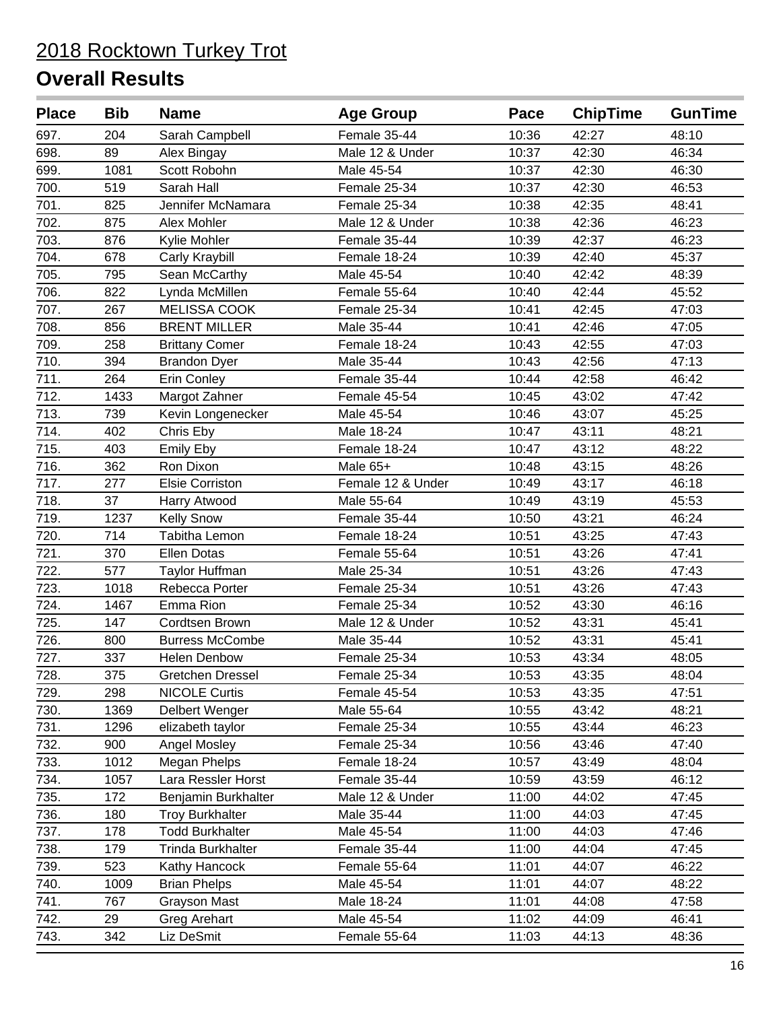| <b>Place</b>      | <b>Bib</b> | <b>Name</b>            | <b>Age Group</b>  | Pace  | <b>ChipTime</b> | <b>GunTime</b> |
|-------------------|------------|------------------------|-------------------|-------|-----------------|----------------|
| 697.              | 204        | Sarah Campbell         | Female 35-44      | 10:36 | 42:27           | 48:10          |
| 698.              | 89         | Alex Bingay            | Male 12 & Under   | 10:37 | 42:30           | 46:34          |
| 699.              | 1081       | Scott Robohn           | Male 45-54        | 10:37 | 42:30           | 46:30          |
| 700.              | 519        | Sarah Hall             | Female 25-34      | 10:37 | 42:30           | 46:53          |
| 701.              | 825        | Jennifer McNamara      | Female 25-34      | 10:38 | 42:35           | 48:41          |
| 702.              | 875        | Alex Mohler            | Male 12 & Under   | 10:38 | 42:36           | 46:23          |
| 703.              | 876        | Kylie Mohler           | Female 35-44      | 10:39 | 42:37           | 46:23          |
| 704.              | 678        | Carly Kraybill         | Female 18-24      | 10:39 | 42:40           | 45:37          |
| 705.              | 795        | Sean McCarthy          | Male 45-54        | 10:40 | 42:42           | 48:39          |
| 706.              | 822        | Lynda McMillen         | Female 55-64      | 10:40 | 42:44           | 45:52          |
| 707.              | 267        | <b>MELISSA COOK</b>    | Female 25-34      | 10:41 | 42:45           | 47:03          |
| 708.              | 856        | <b>BRENT MILLER</b>    | Male 35-44        | 10:41 | 42:46           | 47:05          |
| 709.              | 258        | <b>Brittany Comer</b>  | Female 18-24      | 10:43 | 42:55           | 47:03          |
| 710.              | 394        | <b>Brandon Dyer</b>    | Male 35-44        | 10:43 | 42:56           | 47:13          |
| 711.              | 264        | <b>Erin Conley</b>     | Female 35-44      | 10:44 | 42:58           | 46:42          |
| $\overline{712.}$ | 1433       | Margot Zahner          | Female 45-54      | 10:45 | 43:02           | 47:42          |
| 713.              | 739        | Kevin Longenecker      | Male 45-54        | 10:46 | 43:07           | 45:25          |
| 714.              | 402        | Chris Eby              | Male 18-24        | 10:47 | 43:11           | 48:21          |
| 715.              | 403        | Emily Eby              | Female 18-24      | 10:47 | 43:12           | 48:22          |
| 716.              | 362        | Ron Dixon              | Male 65+          | 10:48 | 43:15           | 48:26          |
| 717.              | 277        | Elsie Corriston        | Female 12 & Under | 10:49 | 43:17           | 46:18          |
| 718.              | 37         | Harry Atwood           | Male 55-64        | 10:49 | 43:19           | 45:53          |
| 719.              | 1237       | <b>Kelly Snow</b>      | Female 35-44      | 10:50 | 43:21           | 46:24          |
| 720.              | 714        | Tabitha Lemon          | Female 18-24      | 10:51 | 43:25           | 47:43          |
| 721.              | 370        | Ellen Dotas            | Female 55-64      | 10:51 | 43:26           | 47:41          |
| 722.              | 577        | <b>Taylor Huffman</b>  | Male 25-34        | 10:51 | 43:26           | 47:43          |
| 723.              | 1018       | Rebecca Porter         | Female 25-34      | 10:51 | 43:26           | 47:43          |
| 724.              | 1467       | Emma Rion              | Female 25-34      | 10:52 | 43:30           | 46:16          |
| 725.              | 147        | Cordtsen Brown         | Male 12 & Under   | 10:52 | 43:31           | 45:41          |
| 726.              | 800        | <b>Burress McCombe</b> | Male 35-44        | 10:52 | 43:31           | 45:41          |
| 727.              | 337        | <b>Helen Denbow</b>    | Female 25-34      | 10:53 | 43:34           | 48:05          |
| 728.              | 375        | Gretchen Dressel       | Female 25-34      | 10:53 | 43:35           | 48:04          |
| 729.              | 298        | <b>NICOLE Curtis</b>   | Female 45-54      | 10:53 | 43:35           | 47:51          |
| 730.              | 1369       | Delbert Wenger         | Male 55-64        | 10:55 | 43:42           | 48:21          |
| 731.              | 1296       | elizabeth taylor       | Female 25-34      | 10:55 | 43:44           | 46:23          |
| 732.              | 900        | Angel Mosley           | Female 25-34      | 10:56 | 43:46           | 47:40          |
| 733.              | 1012       | Megan Phelps           | Female 18-24      | 10:57 | 43:49           | 48:04          |
| 734.              | 1057       | Lara Ressler Horst     | Female 35-44      | 10:59 | 43:59           | 46:12          |
| 735.              | 172        | Benjamin Burkhalter    | Male 12 & Under   | 11:00 | 44:02           | 47:45          |
| 736.              | 180        | <b>Troy Burkhalter</b> | Male 35-44        | 11:00 | 44:03           | 47:45          |
| 737.              | 178        | <b>Todd Burkhalter</b> | Male 45-54        | 11:00 | 44:03           | 47:46          |
| 738.              | 179        | Trinda Burkhalter      | Female 35-44      | 11:00 | 44:04           | 47:45          |
| 739.              | 523        | Kathy Hancock          | Female 55-64      | 11:01 | 44:07           | 46:22          |
| 740.              | 1009       | <b>Brian Phelps</b>    | Male 45-54        | 11:01 | 44:07           | 48:22          |
| 741.              | 767        | <b>Grayson Mast</b>    | Male 18-24        | 11:01 | 44:08           | 47:58          |
| 742.              | 29         | Greg Arehart           | Male 45-54        | 11:02 | 44:09           | 46:41          |
| 743.              | 342        | Liz DeSmit             | Female 55-64      | 11:03 | 44:13           | 48:36          |
|                   |            |                        |                   |       |                 |                |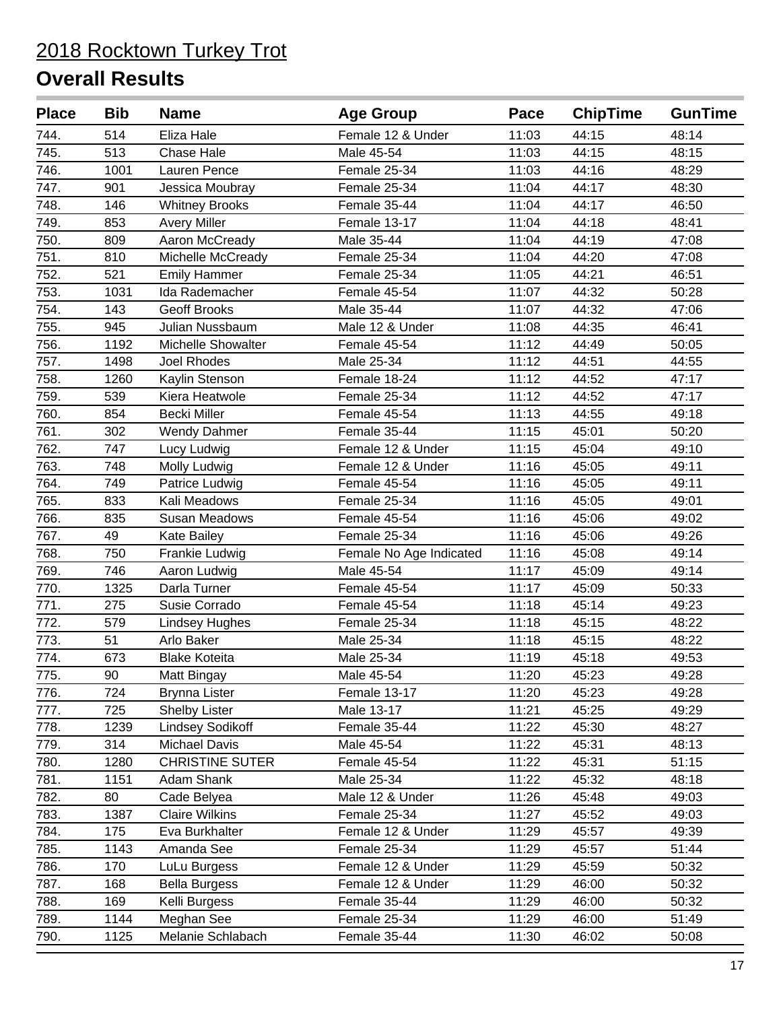| 11:03<br>744.<br>514<br>Eliza Hale<br>Female 12 & Under<br>44:15<br>48:14<br>745.<br>44:15<br>513<br>Chase Hale<br>Male 45-54<br>11:03<br>48:15<br>746.<br>1001<br>Lauren Pence<br>Female 25-34<br>11:03<br>44:16<br>48:29<br>747.<br>11:04<br>901<br>Jessica Moubray<br>Female 25-34<br>44:17<br>48:30<br>748.<br>146<br><b>Whitney Brooks</b><br>Female 35-44<br>11:04<br>44:17<br>46:50<br>749.<br>853<br>Female 13-17<br>11:04<br>44:18<br>48:41<br><b>Avery Miller</b><br>750.<br>11:04<br>809<br>Aaron McCready<br>Male 35-44<br>44:19<br>47:08<br>751.<br>810<br>Female 25-34<br>11:04<br>44:20<br>47:08<br>Michelle McCready<br>752.<br>44:21<br>521<br><b>Emily Hammer</b><br>Female 25-34<br>11:05<br>46:51<br>753.<br>Ida Rademacher<br>44:32<br>1031<br>Female 45-54<br>11:07<br>50:28<br>754.<br>143<br><b>Geoff Brooks</b><br>Male 35-44<br>11:07<br>44:32<br>47:06<br>755.<br>945<br>Julian Nussbaum<br>Male 12 & Under<br>11:08<br>44:35<br>46:41<br>756.<br>Michelle Showalter<br>1192<br>Female 45-54<br>11:12<br>44:49<br>50:05<br>757.<br>1498<br>Joel Rhodes<br>Male 25-34<br>11:12<br>44:51<br>44:55<br>758.<br>Female 18-24<br>11:12<br>47:17<br>1260<br>Kaylin Stenson<br>44:52<br>759.<br>539<br>Kiera Heatwole<br>Female 25-34<br>11:12<br>44:52<br>47:17<br>760.<br>854<br><b>Becki Miller</b><br>Female 45-54<br>11:13<br>44:55<br>49:18<br>761.<br>302<br>Female 35-44<br>11:15<br>45:01<br><b>Wendy Dahmer</b><br>50:20<br>762.<br>747<br>Female 12 & Under<br>11:15<br>45:04<br>Lucy Ludwig<br>49:10<br>763.<br>748<br>Molly Ludwig<br>Female 12 & Under<br>11:16<br>45:05<br>49:11<br>764.<br>749<br>Patrice Ludwig<br>Female 45-54<br>11:16<br>45:05<br>49:11<br>765.<br>Female 25-34<br>11:16<br>45:05<br>49:01<br>833<br>Kali Meadows<br>766.<br>835<br>Susan Meadows<br>Female 45-54<br>11:16<br>45:06<br>49:02<br>767.<br>49<br>Female 25-34<br>11:16<br>45:06<br>49:26<br>Kate Bailey<br>768.<br>750<br>11:16<br>45:08<br>49:14<br>Frankie Ludwig<br>Female No Age Indicated<br>769.<br>746<br>Male 45-54<br>11:17<br>45:09<br>49:14<br>Aaron Ludwig<br>770.<br>1325<br>45:09<br>Darla Turner<br>Female 45-54<br>11:17<br>50:33<br>771.<br>275<br>Susie Corrado<br>45:14<br>Female 45-54<br>11:18<br>49:23<br>772.<br>579<br>11:18<br>45:15<br><b>Lindsey Hughes</b><br>Female 25-34<br>48:22<br>773.<br>51<br>Male 25-34<br>45:15<br>48:22<br>Arlo Baker<br>11:18<br>774.<br>Male 25-34<br>45:18<br>673<br><b>Blake Koteita</b><br>11:19<br>49:53<br>90<br>11:20<br>45:23<br>49:28<br>775.<br>Male 45-54<br>Matt Bingay<br>11:20<br>45:23<br>776.<br>724<br>Female 13-17<br>49:28<br><b>Brynna Lister</b><br>777.<br>725<br><b>Shelby Lister</b><br>Male 13-17<br>11:21<br>45:25<br>49:29<br>778.<br>1239<br><b>Lindsey Sodikoff</b><br>Female 35-44<br>11:22<br>45:30<br>48:27<br>779.<br>314<br>Michael Davis<br>Male 45-54<br>11:22<br>45:31<br>48:13<br>780.<br>1280<br><b>CHRISTINE SUTER</b><br>11:22<br>45:31<br>51:15<br>Female 45-54<br>781.<br>1151<br>Adam Shank<br>Male 25-34<br>11:22<br>45:32<br>48:18 | <b>Bib</b> |
|-------------------------------------------------------------------------------------------------------------------------------------------------------------------------------------------------------------------------------------------------------------------------------------------------------------------------------------------------------------------------------------------------------------------------------------------------------------------------------------------------------------------------------------------------------------------------------------------------------------------------------------------------------------------------------------------------------------------------------------------------------------------------------------------------------------------------------------------------------------------------------------------------------------------------------------------------------------------------------------------------------------------------------------------------------------------------------------------------------------------------------------------------------------------------------------------------------------------------------------------------------------------------------------------------------------------------------------------------------------------------------------------------------------------------------------------------------------------------------------------------------------------------------------------------------------------------------------------------------------------------------------------------------------------------------------------------------------------------------------------------------------------------------------------------------------------------------------------------------------------------------------------------------------------------------------------------------------------------------------------------------------------------------------------------------------------------------------------------------------------------------------------------------------------------------------------------------------------------------------------------------------------------------------------------------------------------------------------------------------------------------------------------------------------------------------------------------------------------------------------------------------------------------------------------------------------------------------------------------------------------------------------------------------------------------------------------------------------------------------------------------------------------------------------------------------------------------------------------------------------------------------------------------------------------------------------------------------------------------------------------------------------------------------------------------------|------------|
|                                                                                                                                                                                                                                                                                                                                                                                                                                                                                                                                                                                                                                                                                                                                                                                                                                                                                                                                                                                                                                                                                                                                                                                                                                                                                                                                                                                                                                                                                                                                                                                                                                                                                                                                                                                                                                                                                                                                                                                                                                                                                                                                                                                                                                                                                                                                                                                                                                                                                                                                                                                                                                                                                                                                                                                                                                                                                                                                                                                                                                                             |            |
|                                                                                                                                                                                                                                                                                                                                                                                                                                                                                                                                                                                                                                                                                                                                                                                                                                                                                                                                                                                                                                                                                                                                                                                                                                                                                                                                                                                                                                                                                                                                                                                                                                                                                                                                                                                                                                                                                                                                                                                                                                                                                                                                                                                                                                                                                                                                                                                                                                                                                                                                                                                                                                                                                                                                                                                                                                                                                                                                                                                                                                                             |            |
|                                                                                                                                                                                                                                                                                                                                                                                                                                                                                                                                                                                                                                                                                                                                                                                                                                                                                                                                                                                                                                                                                                                                                                                                                                                                                                                                                                                                                                                                                                                                                                                                                                                                                                                                                                                                                                                                                                                                                                                                                                                                                                                                                                                                                                                                                                                                                                                                                                                                                                                                                                                                                                                                                                                                                                                                                                                                                                                                                                                                                                                             |            |
|                                                                                                                                                                                                                                                                                                                                                                                                                                                                                                                                                                                                                                                                                                                                                                                                                                                                                                                                                                                                                                                                                                                                                                                                                                                                                                                                                                                                                                                                                                                                                                                                                                                                                                                                                                                                                                                                                                                                                                                                                                                                                                                                                                                                                                                                                                                                                                                                                                                                                                                                                                                                                                                                                                                                                                                                                                                                                                                                                                                                                                                             |            |
|                                                                                                                                                                                                                                                                                                                                                                                                                                                                                                                                                                                                                                                                                                                                                                                                                                                                                                                                                                                                                                                                                                                                                                                                                                                                                                                                                                                                                                                                                                                                                                                                                                                                                                                                                                                                                                                                                                                                                                                                                                                                                                                                                                                                                                                                                                                                                                                                                                                                                                                                                                                                                                                                                                                                                                                                                                                                                                                                                                                                                                                             |            |
|                                                                                                                                                                                                                                                                                                                                                                                                                                                                                                                                                                                                                                                                                                                                                                                                                                                                                                                                                                                                                                                                                                                                                                                                                                                                                                                                                                                                                                                                                                                                                                                                                                                                                                                                                                                                                                                                                                                                                                                                                                                                                                                                                                                                                                                                                                                                                                                                                                                                                                                                                                                                                                                                                                                                                                                                                                                                                                                                                                                                                                                             |            |
|                                                                                                                                                                                                                                                                                                                                                                                                                                                                                                                                                                                                                                                                                                                                                                                                                                                                                                                                                                                                                                                                                                                                                                                                                                                                                                                                                                                                                                                                                                                                                                                                                                                                                                                                                                                                                                                                                                                                                                                                                                                                                                                                                                                                                                                                                                                                                                                                                                                                                                                                                                                                                                                                                                                                                                                                                                                                                                                                                                                                                                                             |            |
|                                                                                                                                                                                                                                                                                                                                                                                                                                                                                                                                                                                                                                                                                                                                                                                                                                                                                                                                                                                                                                                                                                                                                                                                                                                                                                                                                                                                                                                                                                                                                                                                                                                                                                                                                                                                                                                                                                                                                                                                                                                                                                                                                                                                                                                                                                                                                                                                                                                                                                                                                                                                                                                                                                                                                                                                                                                                                                                                                                                                                                                             |            |
|                                                                                                                                                                                                                                                                                                                                                                                                                                                                                                                                                                                                                                                                                                                                                                                                                                                                                                                                                                                                                                                                                                                                                                                                                                                                                                                                                                                                                                                                                                                                                                                                                                                                                                                                                                                                                                                                                                                                                                                                                                                                                                                                                                                                                                                                                                                                                                                                                                                                                                                                                                                                                                                                                                                                                                                                                                                                                                                                                                                                                                                             |            |
|                                                                                                                                                                                                                                                                                                                                                                                                                                                                                                                                                                                                                                                                                                                                                                                                                                                                                                                                                                                                                                                                                                                                                                                                                                                                                                                                                                                                                                                                                                                                                                                                                                                                                                                                                                                                                                                                                                                                                                                                                                                                                                                                                                                                                                                                                                                                                                                                                                                                                                                                                                                                                                                                                                                                                                                                                                                                                                                                                                                                                                                             |            |
|                                                                                                                                                                                                                                                                                                                                                                                                                                                                                                                                                                                                                                                                                                                                                                                                                                                                                                                                                                                                                                                                                                                                                                                                                                                                                                                                                                                                                                                                                                                                                                                                                                                                                                                                                                                                                                                                                                                                                                                                                                                                                                                                                                                                                                                                                                                                                                                                                                                                                                                                                                                                                                                                                                                                                                                                                                                                                                                                                                                                                                                             |            |
|                                                                                                                                                                                                                                                                                                                                                                                                                                                                                                                                                                                                                                                                                                                                                                                                                                                                                                                                                                                                                                                                                                                                                                                                                                                                                                                                                                                                                                                                                                                                                                                                                                                                                                                                                                                                                                                                                                                                                                                                                                                                                                                                                                                                                                                                                                                                                                                                                                                                                                                                                                                                                                                                                                                                                                                                                                                                                                                                                                                                                                                             |            |
|                                                                                                                                                                                                                                                                                                                                                                                                                                                                                                                                                                                                                                                                                                                                                                                                                                                                                                                                                                                                                                                                                                                                                                                                                                                                                                                                                                                                                                                                                                                                                                                                                                                                                                                                                                                                                                                                                                                                                                                                                                                                                                                                                                                                                                                                                                                                                                                                                                                                                                                                                                                                                                                                                                                                                                                                                                                                                                                                                                                                                                                             |            |
|                                                                                                                                                                                                                                                                                                                                                                                                                                                                                                                                                                                                                                                                                                                                                                                                                                                                                                                                                                                                                                                                                                                                                                                                                                                                                                                                                                                                                                                                                                                                                                                                                                                                                                                                                                                                                                                                                                                                                                                                                                                                                                                                                                                                                                                                                                                                                                                                                                                                                                                                                                                                                                                                                                                                                                                                                                                                                                                                                                                                                                                             |            |
|                                                                                                                                                                                                                                                                                                                                                                                                                                                                                                                                                                                                                                                                                                                                                                                                                                                                                                                                                                                                                                                                                                                                                                                                                                                                                                                                                                                                                                                                                                                                                                                                                                                                                                                                                                                                                                                                                                                                                                                                                                                                                                                                                                                                                                                                                                                                                                                                                                                                                                                                                                                                                                                                                                                                                                                                                                                                                                                                                                                                                                                             |            |
|                                                                                                                                                                                                                                                                                                                                                                                                                                                                                                                                                                                                                                                                                                                                                                                                                                                                                                                                                                                                                                                                                                                                                                                                                                                                                                                                                                                                                                                                                                                                                                                                                                                                                                                                                                                                                                                                                                                                                                                                                                                                                                                                                                                                                                                                                                                                                                                                                                                                                                                                                                                                                                                                                                                                                                                                                                                                                                                                                                                                                                                             |            |
|                                                                                                                                                                                                                                                                                                                                                                                                                                                                                                                                                                                                                                                                                                                                                                                                                                                                                                                                                                                                                                                                                                                                                                                                                                                                                                                                                                                                                                                                                                                                                                                                                                                                                                                                                                                                                                                                                                                                                                                                                                                                                                                                                                                                                                                                                                                                                                                                                                                                                                                                                                                                                                                                                                                                                                                                                                                                                                                                                                                                                                                             |            |
|                                                                                                                                                                                                                                                                                                                                                                                                                                                                                                                                                                                                                                                                                                                                                                                                                                                                                                                                                                                                                                                                                                                                                                                                                                                                                                                                                                                                                                                                                                                                                                                                                                                                                                                                                                                                                                                                                                                                                                                                                                                                                                                                                                                                                                                                                                                                                                                                                                                                                                                                                                                                                                                                                                                                                                                                                                                                                                                                                                                                                                                             |            |
|                                                                                                                                                                                                                                                                                                                                                                                                                                                                                                                                                                                                                                                                                                                                                                                                                                                                                                                                                                                                                                                                                                                                                                                                                                                                                                                                                                                                                                                                                                                                                                                                                                                                                                                                                                                                                                                                                                                                                                                                                                                                                                                                                                                                                                                                                                                                                                                                                                                                                                                                                                                                                                                                                                                                                                                                                                                                                                                                                                                                                                                             |            |
|                                                                                                                                                                                                                                                                                                                                                                                                                                                                                                                                                                                                                                                                                                                                                                                                                                                                                                                                                                                                                                                                                                                                                                                                                                                                                                                                                                                                                                                                                                                                                                                                                                                                                                                                                                                                                                                                                                                                                                                                                                                                                                                                                                                                                                                                                                                                                                                                                                                                                                                                                                                                                                                                                                                                                                                                                                                                                                                                                                                                                                                             |            |
|                                                                                                                                                                                                                                                                                                                                                                                                                                                                                                                                                                                                                                                                                                                                                                                                                                                                                                                                                                                                                                                                                                                                                                                                                                                                                                                                                                                                                                                                                                                                                                                                                                                                                                                                                                                                                                                                                                                                                                                                                                                                                                                                                                                                                                                                                                                                                                                                                                                                                                                                                                                                                                                                                                                                                                                                                                                                                                                                                                                                                                                             |            |
|                                                                                                                                                                                                                                                                                                                                                                                                                                                                                                                                                                                                                                                                                                                                                                                                                                                                                                                                                                                                                                                                                                                                                                                                                                                                                                                                                                                                                                                                                                                                                                                                                                                                                                                                                                                                                                                                                                                                                                                                                                                                                                                                                                                                                                                                                                                                                                                                                                                                                                                                                                                                                                                                                                                                                                                                                                                                                                                                                                                                                                                             |            |
|                                                                                                                                                                                                                                                                                                                                                                                                                                                                                                                                                                                                                                                                                                                                                                                                                                                                                                                                                                                                                                                                                                                                                                                                                                                                                                                                                                                                                                                                                                                                                                                                                                                                                                                                                                                                                                                                                                                                                                                                                                                                                                                                                                                                                                                                                                                                                                                                                                                                                                                                                                                                                                                                                                                                                                                                                                                                                                                                                                                                                                                             |            |
|                                                                                                                                                                                                                                                                                                                                                                                                                                                                                                                                                                                                                                                                                                                                                                                                                                                                                                                                                                                                                                                                                                                                                                                                                                                                                                                                                                                                                                                                                                                                                                                                                                                                                                                                                                                                                                                                                                                                                                                                                                                                                                                                                                                                                                                                                                                                                                                                                                                                                                                                                                                                                                                                                                                                                                                                                                                                                                                                                                                                                                                             |            |
|                                                                                                                                                                                                                                                                                                                                                                                                                                                                                                                                                                                                                                                                                                                                                                                                                                                                                                                                                                                                                                                                                                                                                                                                                                                                                                                                                                                                                                                                                                                                                                                                                                                                                                                                                                                                                                                                                                                                                                                                                                                                                                                                                                                                                                                                                                                                                                                                                                                                                                                                                                                                                                                                                                                                                                                                                                                                                                                                                                                                                                                             |            |
|                                                                                                                                                                                                                                                                                                                                                                                                                                                                                                                                                                                                                                                                                                                                                                                                                                                                                                                                                                                                                                                                                                                                                                                                                                                                                                                                                                                                                                                                                                                                                                                                                                                                                                                                                                                                                                                                                                                                                                                                                                                                                                                                                                                                                                                                                                                                                                                                                                                                                                                                                                                                                                                                                                                                                                                                                                                                                                                                                                                                                                                             |            |
|                                                                                                                                                                                                                                                                                                                                                                                                                                                                                                                                                                                                                                                                                                                                                                                                                                                                                                                                                                                                                                                                                                                                                                                                                                                                                                                                                                                                                                                                                                                                                                                                                                                                                                                                                                                                                                                                                                                                                                                                                                                                                                                                                                                                                                                                                                                                                                                                                                                                                                                                                                                                                                                                                                                                                                                                                                                                                                                                                                                                                                                             |            |
|                                                                                                                                                                                                                                                                                                                                                                                                                                                                                                                                                                                                                                                                                                                                                                                                                                                                                                                                                                                                                                                                                                                                                                                                                                                                                                                                                                                                                                                                                                                                                                                                                                                                                                                                                                                                                                                                                                                                                                                                                                                                                                                                                                                                                                                                                                                                                                                                                                                                                                                                                                                                                                                                                                                                                                                                                                                                                                                                                                                                                                                             |            |
|                                                                                                                                                                                                                                                                                                                                                                                                                                                                                                                                                                                                                                                                                                                                                                                                                                                                                                                                                                                                                                                                                                                                                                                                                                                                                                                                                                                                                                                                                                                                                                                                                                                                                                                                                                                                                                                                                                                                                                                                                                                                                                                                                                                                                                                                                                                                                                                                                                                                                                                                                                                                                                                                                                                                                                                                                                                                                                                                                                                                                                                             |            |
|                                                                                                                                                                                                                                                                                                                                                                                                                                                                                                                                                                                                                                                                                                                                                                                                                                                                                                                                                                                                                                                                                                                                                                                                                                                                                                                                                                                                                                                                                                                                                                                                                                                                                                                                                                                                                                                                                                                                                                                                                                                                                                                                                                                                                                                                                                                                                                                                                                                                                                                                                                                                                                                                                                                                                                                                                                                                                                                                                                                                                                                             |            |
|                                                                                                                                                                                                                                                                                                                                                                                                                                                                                                                                                                                                                                                                                                                                                                                                                                                                                                                                                                                                                                                                                                                                                                                                                                                                                                                                                                                                                                                                                                                                                                                                                                                                                                                                                                                                                                                                                                                                                                                                                                                                                                                                                                                                                                                                                                                                                                                                                                                                                                                                                                                                                                                                                                                                                                                                                                                                                                                                                                                                                                                             |            |
|                                                                                                                                                                                                                                                                                                                                                                                                                                                                                                                                                                                                                                                                                                                                                                                                                                                                                                                                                                                                                                                                                                                                                                                                                                                                                                                                                                                                                                                                                                                                                                                                                                                                                                                                                                                                                                                                                                                                                                                                                                                                                                                                                                                                                                                                                                                                                                                                                                                                                                                                                                                                                                                                                                                                                                                                                                                                                                                                                                                                                                                             |            |
|                                                                                                                                                                                                                                                                                                                                                                                                                                                                                                                                                                                                                                                                                                                                                                                                                                                                                                                                                                                                                                                                                                                                                                                                                                                                                                                                                                                                                                                                                                                                                                                                                                                                                                                                                                                                                                                                                                                                                                                                                                                                                                                                                                                                                                                                                                                                                                                                                                                                                                                                                                                                                                                                                                                                                                                                                                                                                                                                                                                                                                                             |            |
|                                                                                                                                                                                                                                                                                                                                                                                                                                                                                                                                                                                                                                                                                                                                                                                                                                                                                                                                                                                                                                                                                                                                                                                                                                                                                                                                                                                                                                                                                                                                                                                                                                                                                                                                                                                                                                                                                                                                                                                                                                                                                                                                                                                                                                                                                                                                                                                                                                                                                                                                                                                                                                                                                                                                                                                                                                                                                                                                                                                                                                                             |            |
|                                                                                                                                                                                                                                                                                                                                                                                                                                                                                                                                                                                                                                                                                                                                                                                                                                                                                                                                                                                                                                                                                                                                                                                                                                                                                                                                                                                                                                                                                                                                                                                                                                                                                                                                                                                                                                                                                                                                                                                                                                                                                                                                                                                                                                                                                                                                                                                                                                                                                                                                                                                                                                                                                                                                                                                                                                                                                                                                                                                                                                                             |            |
|                                                                                                                                                                                                                                                                                                                                                                                                                                                                                                                                                                                                                                                                                                                                                                                                                                                                                                                                                                                                                                                                                                                                                                                                                                                                                                                                                                                                                                                                                                                                                                                                                                                                                                                                                                                                                                                                                                                                                                                                                                                                                                                                                                                                                                                                                                                                                                                                                                                                                                                                                                                                                                                                                                                                                                                                                                                                                                                                                                                                                                                             |            |
|                                                                                                                                                                                                                                                                                                                                                                                                                                                                                                                                                                                                                                                                                                                                                                                                                                                                                                                                                                                                                                                                                                                                                                                                                                                                                                                                                                                                                                                                                                                                                                                                                                                                                                                                                                                                                                                                                                                                                                                                                                                                                                                                                                                                                                                                                                                                                                                                                                                                                                                                                                                                                                                                                                                                                                                                                                                                                                                                                                                                                                                             |            |
|                                                                                                                                                                                                                                                                                                                                                                                                                                                                                                                                                                                                                                                                                                                                                                                                                                                                                                                                                                                                                                                                                                                                                                                                                                                                                                                                                                                                                                                                                                                                                                                                                                                                                                                                                                                                                                                                                                                                                                                                                                                                                                                                                                                                                                                                                                                                                                                                                                                                                                                                                                                                                                                                                                                                                                                                                                                                                                                                                                                                                                                             |            |
| 782.<br>80<br>Cade Belyea<br>Male 12 & Under<br>11:26<br>45:48<br>49:03                                                                                                                                                                                                                                                                                                                                                                                                                                                                                                                                                                                                                                                                                                                                                                                                                                                                                                                                                                                                                                                                                                                                                                                                                                                                                                                                                                                                                                                                                                                                                                                                                                                                                                                                                                                                                                                                                                                                                                                                                                                                                                                                                                                                                                                                                                                                                                                                                                                                                                                                                                                                                                                                                                                                                                                                                                                                                                                                                                                     |            |
| 783.<br>1387<br><b>Claire Wilkins</b><br>Female 25-34<br>11:27<br>45:52<br>49:03                                                                                                                                                                                                                                                                                                                                                                                                                                                                                                                                                                                                                                                                                                                                                                                                                                                                                                                                                                                                                                                                                                                                                                                                                                                                                                                                                                                                                                                                                                                                                                                                                                                                                                                                                                                                                                                                                                                                                                                                                                                                                                                                                                                                                                                                                                                                                                                                                                                                                                                                                                                                                                                                                                                                                                                                                                                                                                                                                                            |            |
| 784.<br>49:39<br>175<br>Eva Burkhalter<br>Female 12 & Under<br>11:29<br>45:57                                                                                                                                                                                                                                                                                                                                                                                                                                                                                                                                                                                                                                                                                                                                                                                                                                                                                                                                                                                                                                                                                                                                                                                                                                                                                                                                                                                                                                                                                                                                                                                                                                                                                                                                                                                                                                                                                                                                                                                                                                                                                                                                                                                                                                                                                                                                                                                                                                                                                                                                                                                                                                                                                                                                                                                                                                                                                                                                                                               |            |
| 785.<br>1143<br>Amanda See<br>Female 25-34<br>11:29<br>45:57<br>51:44                                                                                                                                                                                                                                                                                                                                                                                                                                                                                                                                                                                                                                                                                                                                                                                                                                                                                                                                                                                                                                                                                                                                                                                                                                                                                                                                                                                                                                                                                                                                                                                                                                                                                                                                                                                                                                                                                                                                                                                                                                                                                                                                                                                                                                                                                                                                                                                                                                                                                                                                                                                                                                                                                                                                                                                                                                                                                                                                                                                       |            |
| 786.<br>170<br>Female 12 & Under<br>11:29<br>45:59<br>LuLu Burgess<br>50:32                                                                                                                                                                                                                                                                                                                                                                                                                                                                                                                                                                                                                                                                                                                                                                                                                                                                                                                                                                                                                                                                                                                                                                                                                                                                                                                                                                                                                                                                                                                                                                                                                                                                                                                                                                                                                                                                                                                                                                                                                                                                                                                                                                                                                                                                                                                                                                                                                                                                                                                                                                                                                                                                                                                                                                                                                                                                                                                                                                                 |            |
| 787.<br>168<br>11:29<br>46:00<br>50:32<br><b>Bella Burgess</b><br>Female 12 & Under                                                                                                                                                                                                                                                                                                                                                                                                                                                                                                                                                                                                                                                                                                                                                                                                                                                                                                                                                                                                                                                                                                                                                                                                                                                                                                                                                                                                                                                                                                                                                                                                                                                                                                                                                                                                                                                                                                                                                                                                                                                                                                                                                                                                                                                                                                                                                                                                                                                                                                                                                                                                                                                                                                                                                                                                                                                                                                                                                                         |            |
| 788.<br>Kelli Burgess<br>Female 35-44<br>11:29<br>169<br>46:00<br>50:32                                                                                                                                                                                                                                                                                                                                                                                                                                                                                                                                                                                                                                                                                                                                                                                                                                                                                                                                                                                                                                                                                                                                                                                                                                                                                                                                                                                                                                                                                                                                                                                                                                                                                                                                                                                                                                                                                                                                                                                                                                                                                                                                                                                                                                                                                                                                                                                                                                                                                                                                                                                                                                                                                                                                                                                                                                                                                                                                                                                     |            |
| 789.<br>Meghan See<br>Female 25-34<br>11:29<br>1144<br>46:00<br>51:49                                                                                                                                                                                                                                                                                                                                                                                                                                                                                                                                                                                                                                                                                                                                                                                                                                                                                                                                                                                                                                                                                                                                                                                                                                                                                                                                                                                                                                                                                                                                                                                                                                                                                                                                                                                                                                                                                                                                                                                                                                                                                                                                                                                                                                                                                                                                                                                                                                                                                                                                                                                                                                                                                                                                                                                                                                                                                                                                                                                       |            |
| 1125<br>Melanie Schlabach<br>Female 35-44<br>46:02<br>790.<br>11:30<br>50:08                                                                                                                                                                                                                                                                                                                                                                                                                                                                                                                                                                                                                                                                                                                                                                                                                                                                                                                                                                                                                                                                                                                                                                                                                                                                                                                                                                                                                                                                                                                                                                                                                                                                                                                                                                                                                                                                                                                                                                                                                                                                                                                                                                                                                                                                                                                                                                                                                                                                                                                                                                                                                                                                                                                                                                                                                                                                                                                                                                                |            |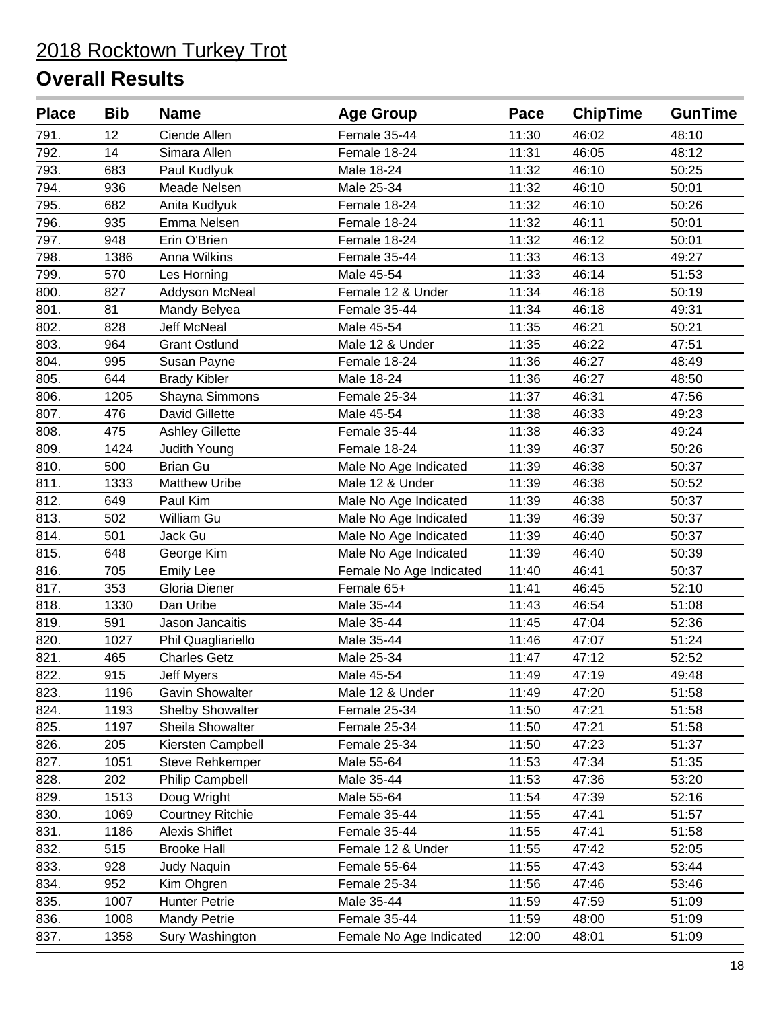| <b>Place</b> | <b>Bib</b> | <b>Name</b>             | <b>Age Group</b>        | Pace  | <b>ChipTime</b> | <b>GunTime</b> |
|--------------|------------|-------------------------|-------------------------|-------|-----------------|----------------|
| 791.         | 12         | Ciende Allen            | Female 35-44            | 11:30 | 46:02           | 48:10          |
| 792.         | 14         | Simara Allen            | Female 18-24            | 11:31 | 46:05           | 48:12          |
| 793.         | 683        | Paul Kudlyuk            | Male 18-24              | 11:32 | 46:10           | 50:25          |
| 794.         | 936        | Meade Nelsen            | Male 25-34              | 11:32 | 46:10           | 50:01          |
| 795.         | 682        | Anita Kudlyuk           | Female 18-24            | 11:32 | 46:10           | 50:26          |
| 796.         | 935        | Emma Nelsen             | Female 18-24            | 11:32 | 46:11           | 50:01          |
| 797.         | 948        | Erin O'Brien            | Female 18-24            | 11:32 | 46:12           | 50:01          |
| 798.         | 1386       | Anna Wilkins            | Female 35-44            | 11:33 | 46:13           | 49:27          |
| 799.         | 570        | Les Horning             | Male 45-54              | 11:33 | 46:14           | 51:53          |
| 800.         | 827        | Addyson McNeal          | Female 12 & Under       | 11:34 | 46:18           | 50:19          |
| 801.         | 81         | Mandy Belyea            | Female 35-44            | 11:34 | 46:18           | 49:31          |
| 802.         | 828        | Jeff McNeal             | Male 45-54              | 11:35 | 46:21           | 50:21          |
| 803.         | 964        | <b>Grant Ostlund</b>    | Male 12 & Under         | 11:35 | 46:22           | 47:51          |
| 804.         | 995        | Susan Payne             | Female 18-24            | 11:36 | 46:27           | 48:49          |
| 805.         | 644        | <b>Brady Kibler</b>     | Male 18-24              | 11:36 | 46:27           | 48:50          |
| 806.         | 1205       | Shayna Simmons          | Female 25-34            | 11:37 | 46:31           | 47:56          |
| 807.         | 476        | David Gillette          | Male 45-54              | 11:38 | 46:33           | 49:23          |
| 808.         | 475        | <b>Ashley Gillette</b>  | Female 35-44            | 11:38 | 46:33           | 49:24          |
| 809.         | 1424       | Judith Young            | Female 18-24            | 11:39 | 46:37           | 50:26          |
| 810.         | 500        | <b>Brian Gu</b>         | Male No Age Indicated   | 11:39 | 46:38           | 50:37          |
| 811.         | 1333       | <b>Matthew Uribe</b>    | Male 12 & Under         | 11:39 | 46:38           | 50:52          |
| 812.         | 649        | Paul Kim                | Male No Age Indicated   | 11:39 | 46:38           | 50:37          |
| 813.         | 502        | William Gu              | Male No Age Indicated   | 11:39 | 46:39           | 50:37          |
| 814.         | 501        | Jack Gu                 | Male No Age Indicated   | 11:39 | 46:40           | 50:37          |
| 815.         | 648        | George Kim              | Male No Age Indicated   | 11:39 | 46:40           | 50:39          |
| 816.         | 705        | <b>Emily Lee</b>        | Female No Age Indicated | 11:40 | 46:41           | 50:37          |
| 817.         | 353        | Gloria Diener           | Female 65+              | 11:41 | 46:45           | 52:10          |
| 818.         | 1330       | Dan Uribe               | Male 35-44              | 11:43 | 46:54           | 51:08          |
| 819.         | 591        | Jason Jancaitis         | Male 35-44              | 11:45 | 47:04           | 52:36          |
| 820.         | 1027       | Phil Quagliariello      | Male 35-44              | 11:46 | 47:07           | 51:24          |
| 821.         | 465        | <b>Charles Getz</b>     | Male 25-34              | 11:47 | 47:12           | 52:52          |
| 822.         | 915        | Jeff Myers              | Male 45-54              | 11:49 | 47:19           | 49:48          |
| 823.         | 1196       | <b>Gavin Showalter</b>  | Male 12 & Under         | 11:49 | 47:20           | 51:58          |
| 824.         | 1193       | <b>Shelby Showalter</b> | Female 25-34            | 11:50 | 47:21           | 51:58          |
| 825.         | 1197       | Sheila Showalter        | Female 25-34            | 11:50 | 47:21           | 51:58          |
| 826.         | 205        | Kiersten Campbell       | Female 25-34            | 11:50 | 47:23           | 51:37          |
| 827.         | 1051       | Steve Rehkemper         | Male 55-64              | 11:53 | 47:34           | 51:35          |
| 828.         | 202        | Philip Campbell         | Male 35-44              | 11:53 | 47:36           | 53:20          |
| 829.         | 1513       | Doug Wright             | Male 55-64              | 11:54 | 47:39           | 52:16          |
| 830.         | 1069       | <b>Courtney Ritchie</b> | Female 35-44            | 11:55 | 47:41           | 51:57          |
| 831.         | 1186       | <b>Alexis Shiflet</b>   | Female 35-44            | 11:55 | 47:41           | 51:58          |
| 832.         | 515        | <b>Brooke Hall</b>      | Female 12 & Under       | 11:55 | 47:42           | 52:05          |
| 833.         | 928        | <b>Judy Naquin</b>      | Female 55-64            | 11:55 | 47:43           | 53:44          |
| 834.         | 952        | Kim Ohgren              | Female 25-34            | 11:56 | 47:46           | 53:46          |
| 835.         | 1007       | <b>Hunter Petrie</b>    | Male 35-44              | 11:59 | 47:59           | 51:09          |
| 836.         | 1008       | <b>Mandy Petrie</b>     | Female 35-44            | 11:59 | 48:00           | 51:09          |
| 837.         | 1358       | Sury Washington         | Female No Age Indicated | 12:00 | 48:01           | 51:09          |
|              |            |                         |                         |       |                 |                |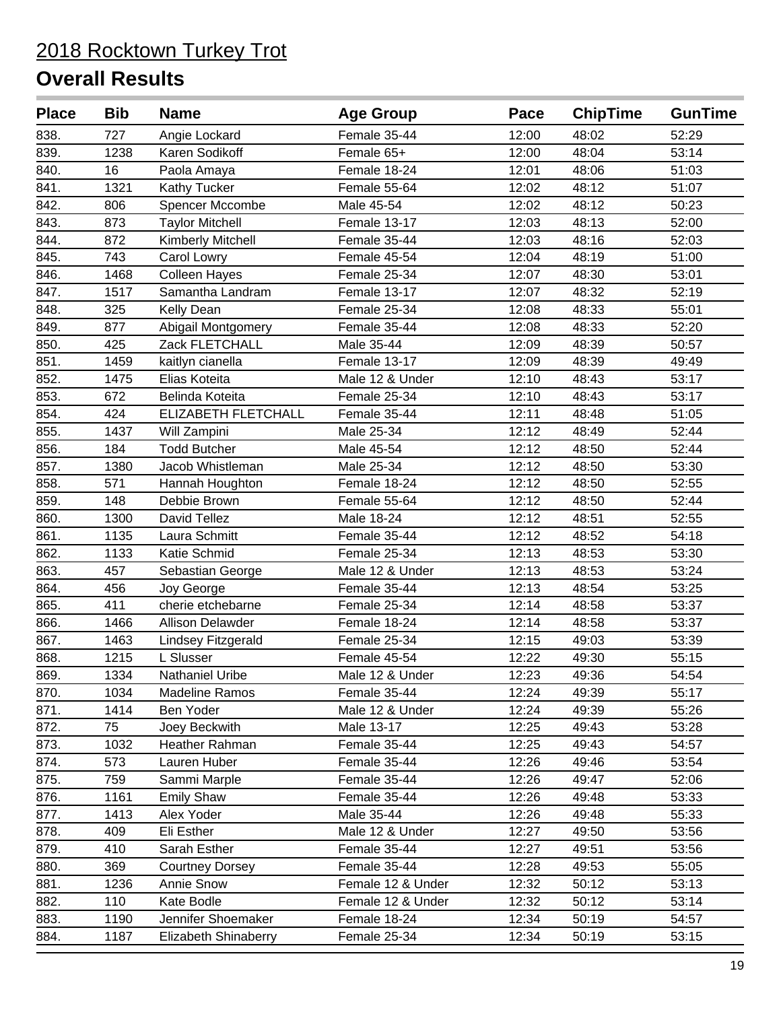| <b>Place</b> | <b>Bib</b> | <b>Name</b>             | <b>Age Group</b>  | Pace  | <b>ChipTime</b> | <b>GunTime</b> |
|--------------|------------|-------------------------|-------------------|-------|-----------------|----------------|
| 838.         | 727        | Angie Lockard           | Female 35-44      | 12:00 | 48:02           | 52:29          |
| 839.         | 1238       | Karen Sodikoff          | Female 65+        | 12:00 | 48:04           | 53:14          |
| 840.         | 16         | Paola Amaya             | Female 18-24      | 12:01 | 48:06           | 51:03          |
| 841.         | 1321       | <b>Kathy Tucker</b>     | Female 55-64      | 12:02 | 48:12           | 51:07          |
| 842.         | 806        | Spencer Mccombe         | Male 45-54        | 12:02 | 48:12           | 50:23          |
| 843.         | 873        | <b>Taylor Mitchell</b>  | Female 13-17      | 12:03 | 48:13           | 52:00          |
| 844.         | 872        | Kimberly Mitchell       | Female 35-44      | 12:03 | 48:16           | 52:03          |
| 845.         | 743        | Carol Lowry             | Female 45-54      | 12:04 | 48:19           | 51:00          |
| 846.         | 1468       | <b>Colleen Hayes</b>    | Female 25-34      | 12:07 | 48:30           | 53:01          |
| 847.         | 1517       | Samantha Landram        | Female 13-17      | 12:07 | 48:32           | 52:19          |
| 848.         | 325        | Kelly Dean              | Female 25-34      | 12:08 | 48:33           | 55:01          |
| 849.         | 877        | Abigail Montgomery      | Female 35-44      | 12:08 | 48:33           | 52:20          |
| 850.         | 425        | Zack FLETCHALL          | Male 35-44        | 12:09 | 48:39           | 50:57          |
| 851.         | 1459       | kaitlyn cianella        | Female 13-17      | 12:09 | 48:39           | 49:49          |
| 852.         | 1475       | Elias Koteita           | Male 12 & Under   | 12:10 | 48:43           | 53:17          |
| 853.         | 672        | Belinda Koteita         | Female 25-34      | 12:10 | 48:43           | 53:17          |
| 854.         | 424        | ELIZABETH FLETCHALL     | Female 35-44      | 12:11 | 48:48           | 51:05          |
| 855.         | 1437       | Will Zampini            | Male 25-34        | 12:12 | 48:49           | 52:44          |
| 856.         | 184        | <b>Todd Butcher</b>     | Male 45-54        | 12:12 | 48:50           | 52:44          |
| 857.         | 1380       | Jacob Whistleman        | Male 25-34        | 12:12 | 48:50           | 53:30          |
| 858.         | 571        | Hannah Houghton         | Female 18-24      | 12:12 | 48:50           | 52:55          |
| 859.         | 148        | Debbie Brown            | Female 55-64      | 12:12 | 48:50           | 52:44          |
| 860.         | 1300       | David Tellez            | Male 18-24        | 12:12 | 48:51           | 52:55          |
| 861.         | 1135       | Laura Schmitt           | Female 35-44      | 12:12 | 48:52           | 54:18          |
| 862.         | 1133       | Katie Schmid            | Female 25-34      | 12:13 | 48:53           | 53:30          |
| 863.         | 457        | Sebastian George        | Male 12 & Under   | 12:13 | 48:53           | 53:24          |
| 864.         | 456        | Joy George              | Female 35-44      | 12:13 | 48:54           | 53:25          |
| 865.         | 411        | cherie etchebarne       | Female 25-34      | 12:14 | 48:58           | 53:37          |
| 866.         | 1466       | <b>Allison Delawder</b> | Female 18-24      | 12:14 | 48:58           | 53:37          |
| 867.         | 1463       | Lindsey Fitzgerald      | Female 25-34      | 12:15 | 49:03           | 53:39          |
| 868.         | 1215       | L Slusser               | Female 45-54      | 12:22 | 49:30           | 55:15          |
| 869.         | 1334       | Nathaniel Uribe         | Male 12 & Under   | 12:23 | 49:36           | 54:54          |
| 870.         | 1034       | <b>Madeline Ramos</b>   | Female 35-44      | 12:24 | 49:39           | 55:17          |
| 871.         | 1414       | Ben Yoder               | Male 12 & Under   | 12:24 | 49:39           | 55:26          |
| 872.         | 75         | Joey Beckwith           | Male 13-17        | 12:25 | 49:43           | 53:28          |
| 873.         | 1032       | Heather Rahman          | Female 35-44      | 12:25 | 49:43           | 54:57          |
| 874.         | 573        | Lauren Huber            | Female 35-44      | 12:26 | 49:46           | 53:54          |
| 875.         | 759        | Sammi Marple            | Female 35-44      | 12:26 | 49:47           | 52:06          |
| 876.         | 1161       | <b>Emily Shaw</b>       | Female 35-44      | 12:26 | 49:48           | 53:33          |
| 877.         | 1413       | Alex Yoder              | Male 35-44        | 12:26 | 49:48           | 55:33          |
| 878.         | 409        | Eli Esther              | Male 12 & Under   | 12:27 | 49:50           | 53:56          |
| 879.         | 410        | Sarah Esther            | Female 35-44      | 12:27 | 49:51           | 53:56          |
| 880.         | 369        | <b>Courtney Dorsey</b>  | Female 35-44      | 12:28 | 49:53           | 55:05          |
| 881.         | 1236       | Annie Snow              | Female 12 & Under | 12:32 | 50:12           | 53:13          |
| 882.         | 110        | Kate Bodle              | Female 12 & Under | 12:32 | 50:12           | 53:14          |
| 883.         | 1190       | Jennifer Shoemaker      | Female 18-24      | 12:34 | 50:19           | 54:57          |
| 884.         | 1187       | Elizabeth Shinaberry    | Female 25-34      | 12:34 | 50:19           | 53:15          |
|              |            |                         |                   |       |                 |                |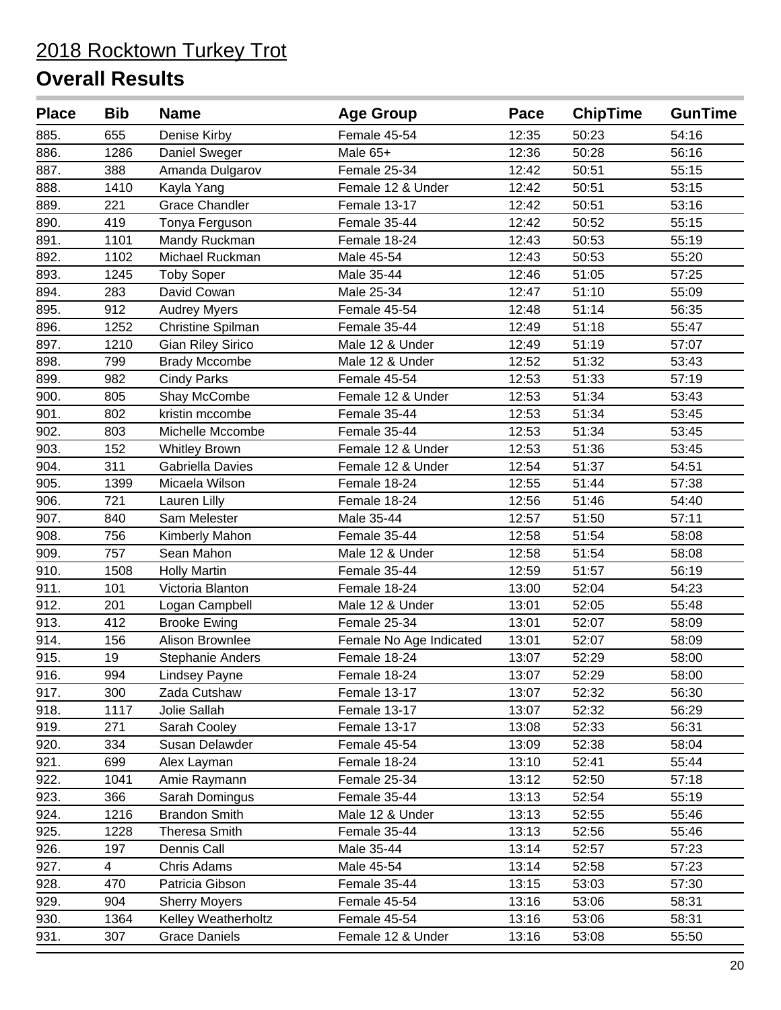| <b>Place</b> | <b>Bib</b>     | <b>Name</b>              | <b>Age Group</b>        | Pace  | <b>ChipTime</b> | <b>GunTime</b> |
|--------------|----------------|--------------------------|-------------------------|-------|-----------------|----------------|
| 885.         | 655            | Denise Kirby             | Female 45-54            | 12:35 | 50:23           | 54:16          |
| 886.         | 1286           | Daniel Sweger            | Male 65+                | 12:36 | 50:28           | 56:16          |
| 887.         | 388            | Amanda Dulgarov          | Female 25-34            | 12:42 | 50:51           | 55:15          |
| 888.         | 1410           | Kayla Yang               | Female 12 & Under       | 12:42 | 50:51           | 53:15          |
| 889.         | 221            | <b>Grace Chandler</b>    | Female 13-17            | 12:42 | 50:51           | 53:16          |
| 890.         | 419            | Tonya Ferguson           | Female 35-44            | 12:42 | 50:52           | 55:15          |
| 891.         | 1101           | Mandy Ruckman            | Female 18-24            | 12:43 | 50:53           | 55:19          |
| 892.         | 1102           | Michael Ruckman          | Male 45-54              | 12:43 | 50:53           | 55:20          |
| 893.         | 1245           | <b>Toby Soper</b>        | Male 35-44              | 12:46 | 51:05           | 57:25          |
| 894.         | 283            | David Cowan              | Male 25-34              | 12:47 | 51:10           | 55:09          |
| 895.         | 912            | <b>Audrey Myers</b>      | Female 45-54            | 12:48 | 51:14           | 56:35          |
| 896.         | 1252           | Christine Spilman        | Female 35-44            | 12:49 | 51:18           | 55:47          |
| 897.         | 1210           | <b>Gian Riley Sirico</b> | Male 12 & Under         | 12:49 | 51:19           | 57:07          |
| 898.         | 799            | <b>Brady Mccombe</b>     | Male 12 & Under         | 12:52 | 51:32           | 53:43          |
| 899.         | 982            | <b>Cindy Parks</b>       | Female 45-54            | 12:53 | 51:33           | 57:19          |
| 900.         | 805            | Shay McCombe             | Female 12 & Under       | 12:53 | 51:34           | 53:43          |
| 901.         | 802            | kristin mccombe          | Female 35-44            | 12:53 | 51:34           | 53:45          |
| 902.         | 803            | Michelle Mccombe         | Female 35-44            | 12:53 | 51:34           | 53:45          |
| 903.         | 152            | <b>Whitley Brown</b>     | Female 12 & Under       | 12:53 | 51:36           | 53:45          |
| 904.         | 311            | Gabriella Davies         | Female 12 & Under       | 12:54 | 51:37           | 54:51          |
| 905.         | 1399           | Micaela Wilson           | Female 18-24            | 12:55 | 51:44           | 57:38          |
| 906.         | 721            | Lauren Lilly             | Female 18-24            | 12:56 | 51:46           | 54:40          |
| 907.         | 840            | Sam Melester             | Male 35-44              | 12:57 | 51:50           | 57:11          |
| 908.         | 756            | Kimberly Mahon           | Female 35-44            | 12:58 | 51:54           | 58:08          |
| 909.         | 757            | Sean Mahon               | Male 12 & Under         | 12:58 | 51:54           | 58:08          |
| 910.         | 1508           | <b>Holly Martin</b>      | Female 35-44            | 12:59 | 51:57           | 56:19          |
| 911.         | 101            | Victoria Blanton         | Female 18-24            | 13:00 | 52:04           | 54:23          |
| 912.         | 201            | Logan Campbell           | Male 12 & Under         | 13:01 | 52:05           | 55:48          |
| 913.         | 412            | <b>Brooke Ewing</b>      | Female 25-34            | 13:01 | 52:07           | 58:09          |
| 914.         | 156            | Alison Brownlee          | Female No Age Indicated | 13:01 | 52:07           | 58:09          |
| 915.         | 19             | <b>Stephanie Anders</b>  | Female 18-24            | 13:07 | 52:29           | 58:00          |
| 916.         | 994            | Lindsey Payne            | Female 18-24            | 13:07 | 52:29           | 58:00          |
| 917.         | 300            | Zada Cutshaw             | Female 13-17            | 13:07 | 52:32           | 56:30          |
| 918.         | 1117           | Jolie Sallah             | Female 13-17            | 13:07 | 52:32           | 56:29          |
| 919.         | 271            | Sarah Cooley             | Female 13-17            | 13:08 | 52:33           | 56:31          |
| 920.         | 334            | Susan Delawder           | Female 45-54            | 13:09 | 52:38           | 58:04          |
| 921.         | 699            | Alex Layman              | Female 18-24            | 13:10 | 52:41           | 55:44          |
| 922.         | 1041           | Amie Raymann             | Female 25-34            | 13:12 | 52:50           | 57:18          |
| 923.         | 366            | Sarah Domingus           | Female 35-44            | 13:13 | 52:54           | 55:19          |
| 924.         | 1216           | <b>Brandon Smith</b>     | Male 12 & Under         | 13:13 | 52:55           | 55:46          |
| 925.         | 1228           | <b>Theresa Smith</b>     | Female 35-44            | 13:13 | 52:56           | 55:46          |
| 926.         | 197            | Dennis Call              | Male 35-44              | 13:14 | 52:57           | 57:23          |
| 927.         | $\overline{4}$ | Chris Adams              | Male 45-54              | 13:14 | 52:58           | 57:23          |
| 928.         | 470            | Patricia Gibson          | Female 35-44            | 13:15 | 53:03           | 57:30          |
| 929.         | 904            | <b>Sherry Moyers</b>     | Female 45-54            | 13:16 | 53:06           | 58:31          |
| 930.         | 1364           | Kelley Weatherholtz      | Female 45-54            | 13:16 | 53:06           | 58:31          |
| 931.         | 307            | <b>Grace Daniels</b>     | Female 12 & Under       | 13:16 | 53:08           | 55:50          |
|              |                |                          |                         |       |                 |                |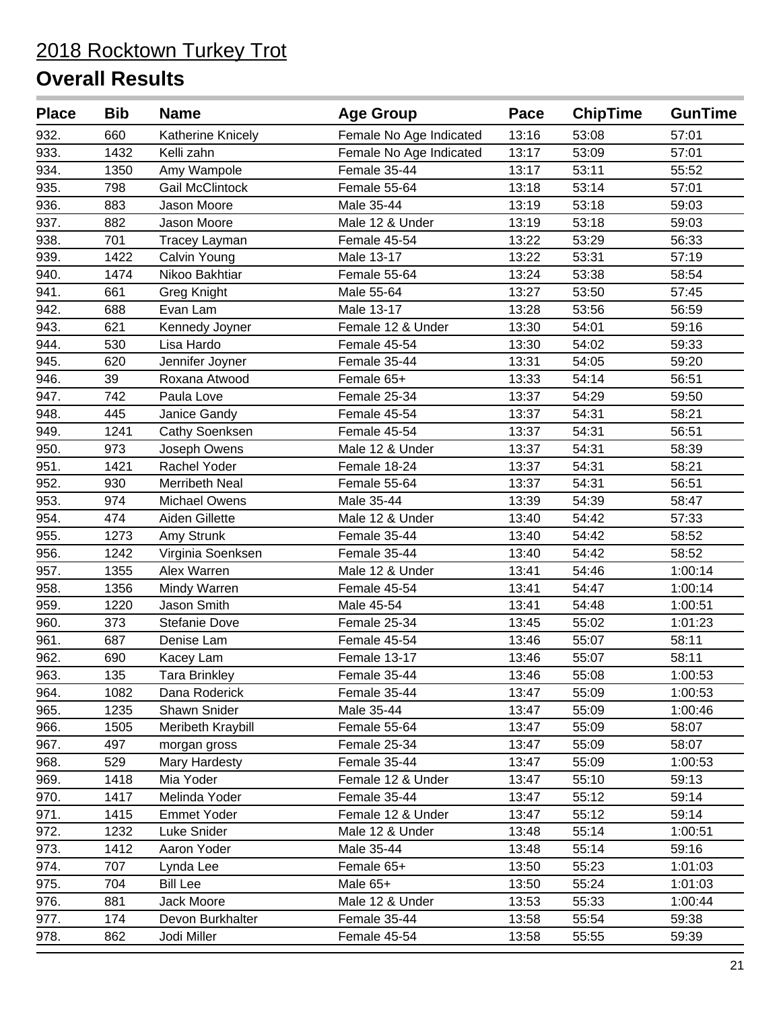| <b>Place</b> | <b>Bib</b> | <b>Name</b>            | <b>Age Group</b>        | Pace  | <b>ChipTime</b> | <b>GunTime</b> |
|--------------|------------|------------------------|-------------------------|-------|-----------------|----------------|
| 932.         | 660        | Katherine Knicely      | Female No Age Indicated | 13:16 | 53:08           | 57:01          |
| 933.         | 1432       | Kelli zahn             | Female No Age Indicated | 13:17 | 53:09           | 57:01          |
| 934.         | 1350       | Amy Wampole            | Female 35-44            | 13:17 | 53:11           | 55:52          |
| 935.         | 798        | <b>Gail McClintock</b> | Female 55-64            | 13:18 | 53:14           | 57:01          |
| 936.         | 883        | Jason Moore            | Male 35-44              | 13:19 | 53:18           | 59:03          |
| 937.         | 882        | Jason Moore            | Male 12 & Under         | 13:19 | 53:18           | 59:03          |
| 938.         | 701        | Tracey Layman          | Female 45-54            | 13:22 | 53:29           | 56:33          |
| 939.         | 1422       | Calvin Young           | Male 13-17              | 13:22 | 53:31           | 57:19          |
| 940.         | 1474       | Nikoo Bakhtiar         | Female 55-64            | 13:24 | 53:38           | 58:54          |
| 941.         | 661        | Greg Knight            | Male 55-64              | 13:27 | 53:50           | 57:45          |
| 942.         | 688        | Evan Lam               | Male 13-17              | 13:28 | 53:56           | 56:59          |
| 943.         | 621        | Kennedy Joyner         | Female 12 & Under       | 13:30 | 54:01           | 59:16          |
| 944.         | 530        | Lisa Hardo             | Female 45-54            | 13:30 | 54:02           | 59:33          |
| 945.         | 620        | Jennifer Joyner        | Female 35-44            | 13:31 | 54:05           | 59:20          |
| 946.         | 39         | Roxana Atwood          | Female 65+              | 13:33 | 54:14           | 56:51          |
| 947.         | 742        | Paula Love             | Female 25-34            | 13:37 | 54:29           | 59:50          |
| 948.         | 445        | Janice Gandy           | Female 45-54            | 13:37 | 54:31           | 58:21          |
| 949.         | 1241       | <b>Cathy Soenksen</b>  | Female 45-54            | 13:37 | 54:31           | 56:51          |
| 950.         | 973        | Joseph Owens           | Male 12 & Under         | 13:37 | 54:31           | 58:39          |
| 951.         | 1421       | Rachel Yoder           | Female 18-24            | 13:37 | 54:31           | 58:21          |
| 952.         | 930        | Merribeth Neal         | Female 55-64            | 13:37 | 54:31           | 56:51          |
| 953.         | 974        | <b>Michael Owens</b>   | Male 35-44              | 13:39 | 54:39           | 58:47          |
| 954.         | 474        | Aiden Gillette         | Male 12 & Under         | 13:40 | 54:42           | 57:33          |
| 955.         | 1273       | Amy Strunk             | Female 35-44            | 13:40 | 54:42           | 58:52          |
| 956.         | 1242       | Virginia Soenksen      | Female 35-44            | 13:40 | 54:42           | 58:52          |
| 957.         | 1355       | Alex Warren            | Male 12 & Under         | 13:41 | 54:46           | 1:00:14        |
| 958.         | 1356       | Mindy Warren           | Female 45-54            | 13:41 | 54:47           | 1:00:14        |
| 959.         | 1220       | Jason Smith            | Male 45-54              | 13:41 | 54:48           | 1:00:51        |
| 960.         | 373        | Stefanie Dove          | Female 25-34            | 13:45 | 55:02           | 1:01:23        |
| 961.         | 687        | Denise Lam             | Female 45-54            | 13:46 | 55:07           | 58:11          |
| 962.         | 690        | Kacey Lam              | Female 13-17            | 13:46 | 55:07           | 58:11          |
| 963.         | 135        | Tara Brinkley          | Female 35-44            | 13:46 | 55:08           | 1:00:53        |
| 964.         | 1082       | Dana Roderick          | Female 35-44            | 13:47 | 55:09           | 1:00:53        |
| 965.         | 1235       | Shawn Snider           | Male 35-44              | 13:47 | 55:09           | 1:00:46        |
| 966.         | 1505       | Meribeth Kraybill      | Female 55-64            | 13:47 | 55:09           | 58:07          |
| 967.         | 497        | morgan gross           | Female 25-34            | 13:47 | 55:09           | 58:07          |
| 968.         | 529        | Mary Hardesty          | Female 35-44            | 13:47 | 55:09           | 1:00:53        |
| 969.         | 1418       | Mia Yoder              | Female 12 & Under       | 13:47 | 55:10           | 59:13          |
| 970.         | 1417       | Melinda Yoder          | Female 35-44            | 13:47 | 55:12           | 59:14          |
| 971.         | 1415       | <b>Emmet Yoder</b>     | Female 12 & Under       | 13:47 | 55:12           | 59:14          |
| 972.         | 1232       | Luke Snider            | Male 12 & Under         | 13:48 | 55:14           | 1:00:51        |
| 973.         | 1412       | Aaron Yoder            | Male 35-44              | 13:48 | 55:14           | 59:16          |
| 974.         | 707        | Lynda Lee              | Female 65+              | 13:50 | 55:23           | 1:01:03        |
| 975.         | 704        | <b>Bill Lee</b>        | Male 65+                | 13:50 | 55:24           | 1:01:03        |
| 976.         | 881        | Jack Moore             | Male 12 & Under         | 13:53 | 55:33           | 1:00:44        |
| 977.         | 174        | Devon Burkhalter       | Female 35-44            | 13:58 | 55:54           | 59:38          |
| 978.         | 862        | Jodi Miller            | Female 45-54            | 13:58 | 55:55           | 59:39          |
|              |            |                        |                         |       |                 |                |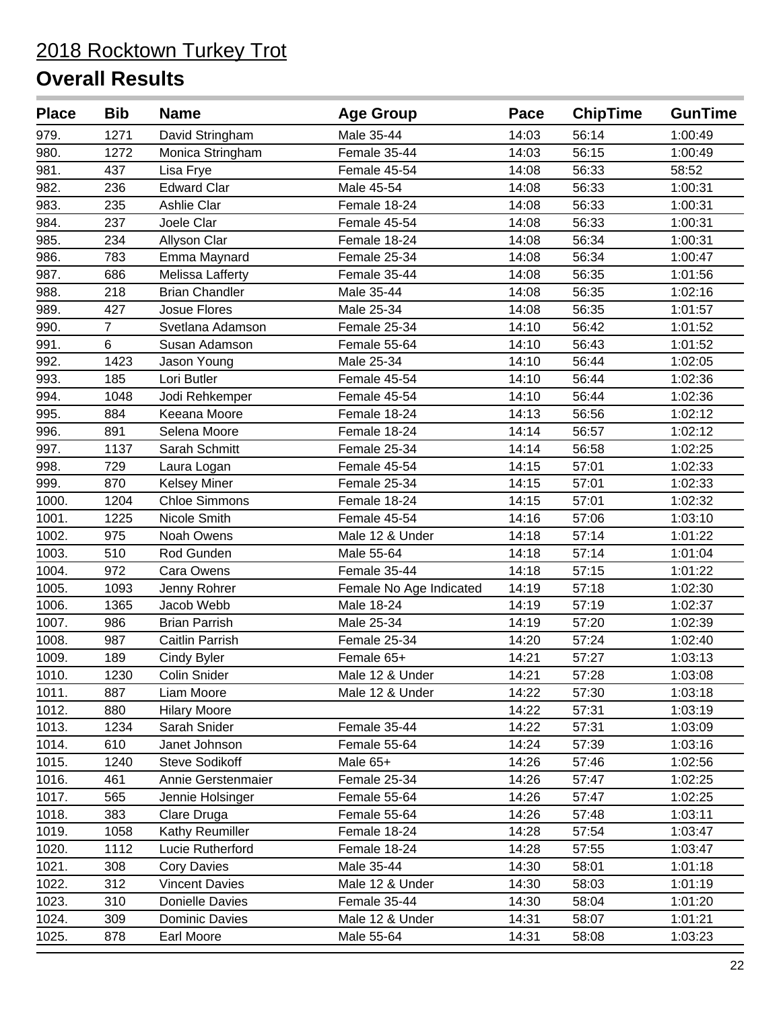| <b>Place</b> | <b>Bib</b>     | <b>Name</b>           | <b>Age Group</b>        | Pace  | <b>ChipTime</b> | <b>GunTime</b> |
|--------------|----------------|-----------------------|-------------------------|-------|-----------------|----------------|
| 979.         | 1271           | David Stringham       | Male 35-44              | 14:03 | 56:14           | 1:00:49        |
| 980.         | 1272           | Monica Stringham      | Female 35-44            | 14:03 | 56:15           | 1:00:49        |
| 981.         | 437            | Lisa Frye             | Female 45-54            | 14:08 | 56:33           | 58:52          |
| 982.         | 236            | <b>Edward Clar</b>    | Male 45-54              | 14:08 | 56:33           | 1:00:31        |
| 983.         | 235            | Ashlie Clar           | Female 18-24            | 14:08 | 56:33           | 1:00:31        |
| 984.         | 237            | Joele Clar            | Female 45-54            | 14:08 | 56:33           | 1:00:31        |
| 985.         | 234            | Allyson Clar          | Female 18-24            | 14:08 | 56:34           | 1:00:31        |
| 986.         | 783            | Emma Maynard          | Female 25-34            | 14:08 | 56:34           | 1:00:47        |
| 987.         | 686            | Melissa Lafferty      | Female 35-44            | 14:08 | 56:35           | 1:01:56        |
| 988.         | 218            | <b>Brian Chandler</b> | Male 35-44              | 14:08 | 56:35           | 1:02:16        |
| 989.         | 427            | <b>Josue Flores</b>   | Male 25-34              | 14:08 | 56:35           | 1:01:57        |
| 990.         | $\overline{7}$ | Svetlana Adamson      | Female 25-34            | 14:10 | 56:42           | 1:01:52        |
| 991.         | 6              | Susan Adamson         | Female 55-64            | 14:10 | 56:43           | 1:01:52        |
| 992.         | 1423           | Jason Young           | Male 25-34              | 14:10 | 56:44           | 1:02:05        |
| 993.         | 185            | Lori Butler           | Female 45-54            | 14:10 | 56:44           | 1:02:36        |
| 994.         | 1048           | Jodi Rehkemper        | Female 45-54            | 14:10 | 56:44           | 1:02:36        |
| 995.         | 884            | Keeana Moore          | Female 18-24            | 14:13 | 56:56           | 1:02:12        |
| 996.         | 891            | Selena Moore          | Female 18-24            | 14:14 | 56:57           | 1:02:12        |
| 997.         | 1137           | Sarah Schmitt         | Female 25-34            | 14:14 | 56:58           | 1:02:25        |
| 998.         | 729            | Laura Logan           | Female 45-54            | 14:15 | 57:01           | 1:02:33        |
| 999.         | 870            | <b>Kelsey Miner</b>   | Female 25-34            | 14:15 | 57:01           | 1:02:33        |
| 1000.        | 1204           | <b>Chloe Simmons</b>  | Female 18-24            | 14:15 | 57:01           | 1:02:32        |
| 1001.        | 1225           | Nicole Smith          | Female 45-54            | 14:16 | 57:06           | 1:03:10        |
| 1002.        | 975            | Noah Owens            | Male 12 & Under         | 14:18 | 57:14           | 1:01:22        |
| 1003.        | 510            | Rod Gunden            | Male 55-64              | 14:18 | 57:14           | 1:01:04        |
| 1004.        | 972            | Cara Owens            | Female 35-44            | 14:18 | 57:15           | 1:01:22        |
| 1005.        | 1093           | Jenny Rohrer          | Female No Age Indicated | 14:19 | 57:18           | 1:02:30        |
| 1006.        | 1365           | Jacob Webb            | Male 18-24              | 14:19 | 57:19           | 1:02:37        |
| 1007.        | 986            | <b>Brian Parrish</b>  | Male 25-34              | 14:19 | 57:20           | 1:02:39        |
| 1008.        | 987            | Caitlin Parrish       | Female 25-34            | 14:20 | 57:24           | 1:02:40        |
| 1009.        | 189            | Cindy Byler           | Female 65+              | 14:21 | 57:27           | 1:03:13        |
| 1010.        | 1230           | Colin Snider          | Male 12 & Under         | 14:21 | 57:28           | 1:03:08        |
| 1011.        | 887            | Liam Moore            | Male 12 & Under         | 14:22 | 57:30           | 1:03:18        |
| 1012.        | 880            | <b>Hilary Moore</b>   |                         | 14:22 | 57:31           | 1:03:19        |
| 1013.        | 1234           | Sarah Snider          | Female 35-44            | 14:22 | 57:31           | 1:03:09        |
| 1014.        | 610            | Janet Johnson         | Female 55-64            | 14:24 | 57:39           | 1:03:16        |
| 1015.        | 1240           | Steve Sodikoff        | Male 65+                | 14:26 | 57:46           | 1:02:56        |
| 1016.        | 461            | Annie Gerstenmaier    | Female 25-34            | 14:26 | 57:47           | 1:02:25        |
| 1017.        | 565            | Jennie Holsinger      | Female 55-64            | 14:26 | 57:47           | 1:02:25        |
| 1018.        | 383            | Clare Druga           | Female 55-64            | 14:26 | 57:48           | 1:03:11        |
| 1019.        | 1058           | Kathy Reumiller       | Female 18-24            | 14:28 | 57:54           | 1:03:47        |
| 1020.        | 1112           | Lucie Rutherford      | Female 18-24            | 14:28 | 57:55           | 1:03:47        |
| 1021.        | 308            | <b>Cory Davies</b>    | Male 35-44              | 14:30 | 58:01           | 1:01:18        |
| 1022.        | 312            | <b>Vincent Davies</b> | Male 12 & Under         | 14:30 | 58:03           | 1:01:19        |
| 1023.        | 310            | Donielle Davies       | Female 35-44            | 14:30 | 58:04           | 1:01:20        |
| 1024.        | 309            | Dominic Davies        | Male 12 & Under         | 14:31 | 58:07           | 1:01:21        |
| 1025.        | 878            | Earl Moore            | Male 55-64              | 14:31 | 58:08           | 1:03:23        |
|              |                |                       |                         |       |                 |                |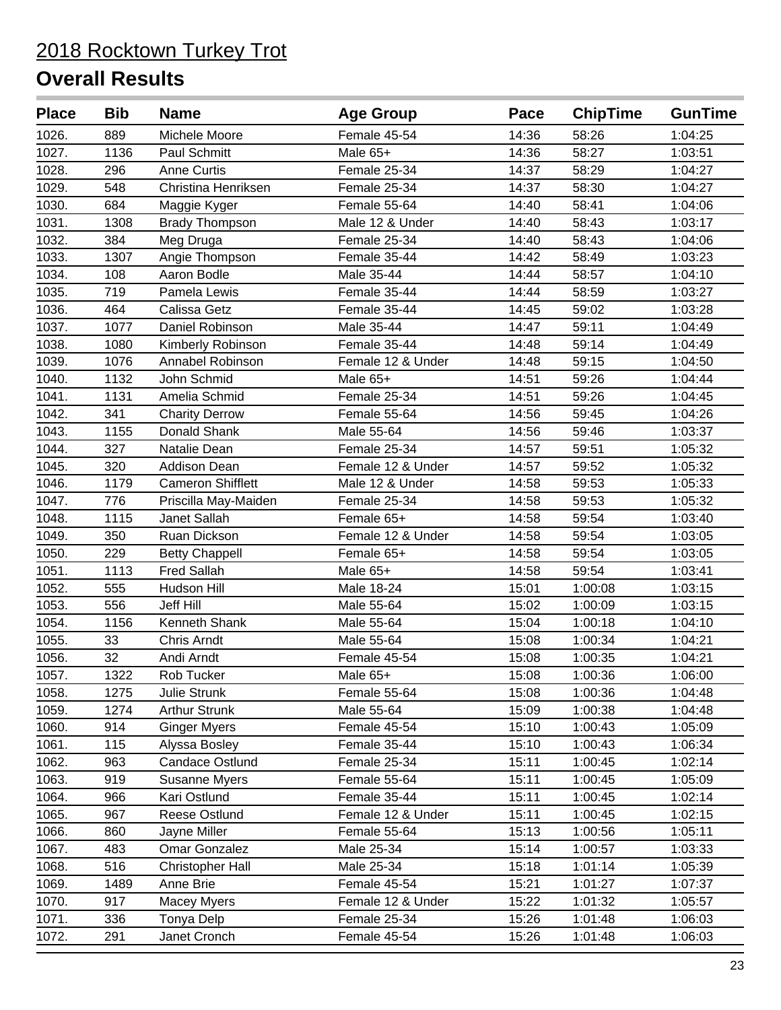| <b>Place</b> | <b>Bib</b> | <b>Name</b>              | <b>Age Group</b>  | Pace  | <b>ChipTime</b> | <b>GunTime</b> |
|--------------|------------|--------------------------|-------------------|-------|-----------------|----------------|
| 1026.        | 889        | Michele Moore            | Female 45-54      | 14:36 | 58:26           | 1:04:25        |
| 1027.        | 1136       | Paul Schmitt             | Male 65+          | 14:36 | 58:27           | 1:03:51        |
| 1028.        | 296        | <b>Anne Curtis</b>       | Female 25-34      | 14:37 | 58:29           | 1:04:27        |
| 1029.        | 548        | Christina Henriksen      | Female 25-34      | 14:37 | 58:30           | 1:04:27        |
| 1030.        | 684        | Maggie Kyger             | Female 55-64      | 14:40 | 58:41           | 1:04:06        |
| 1031.        | 1308       | <b>Brady Thompson</b>    | Male 12 & Under   | 14:40 | 58:43           | 1:03:17        |
| 1032.        | 384        | Meg Druga                | Female 25-34      | 14:40 | 58:43           | 1:04:06        |
| 1033.        | 1307       | Angie Thompson           | Female 35-44      | 14:42 | 58:49           | 1:03:23        |
| 1034.        | 108        | Aaron Bodle              | Male 35-44        | 14:44 | 58:57           | 1:04:10        |
| 1035.        | 719        | Pamela Lewis             | Female 35-44      | 14:44 | 58:59           | 1:03:27        |
| 1036.        | 464        | Calissa Getz             | Female 35-44      | 14:45 | 59:02           | 1:03:28        |
| 1037.        | 1077       | Daniel Robinson          | Male 35-44        | 14:47 | 59:11           | 1:04:49        |
| 1038.        | 1080       | Kimberly Robinson        | Female 35-44      | 14:48 | 59:14           | 1:04:49        |
| 1039.        | 1076       | Annabel Robinson         | Female 12 & Under | 14:48 | 59:15           | 1:04:50        |
| 1040.        | 1132       | John Schmid              | Male 65+          | 14:51 | 59:26           | 1:04:44        |
| 1041.        | 1131       | Amelia Schmid            | Female 25-34      | 14:51 | 59:26           | 1:04:45        |
| 1042.        | 341        | <b>Charity Derrow</b>    | Female 55-64      | 14:56 | 59:45           | 1:04:26        |
| 1043.        | 1155       | Donald Shank             | Male 55-64        | 14:56 | 59:46           | 1:03:37        |
| 1044.        | 327        | Natalie Dean             | Female 25-34      | 14:57 | 59:51           | 1:05:32        |
| 1045.        | 320        | <b>Addison Dean</b>      | Female 12 & Under | 14:57 | 59:52           | 1:05:32        |
| 1046.        | 1179       | <b>Cameron Shifflett</b> | Male 12 & Under   | 14:58 | 59:53           | 1:05:33        |
| 1047.        | 776        | Priscilla May-Maiden     | Female 25-34      | 14:58 | 59:53           | 1:05:32        |
| 1048.        | 1115       | Janet Sallah             | Female 65+        | 14:58 | 59:54           | 1:03:40        |
| 1049.        | 350        | Ruan Dickson             | Female 12 & Under | 14:58 | 59:54           | 1:03:05        |
| 1050.        | 229        | <b>Betty Chappell</b>    | Female 65+        | 14:58 | 59:54           | 1:03:05        |
| 1051.        | 1113       | <b>Fred Sallah</b>       | Male 65+          | 14:58 | 59:54           | 1:03:41        |
| 1052.        | 555        | Hudson Hill              | Male 18-24        | 15:01 | 1:00:08         | 1:03:15        |
| 1053.        | 556        | Jeff Hill                | Male 55-64        | 15:02 | 1:00:09         | 1:03:15        |
| 1054.        | 1156       | Kenneth Shank            | Male 55-64        | 15:04 | 1:00:18         | 1:04:10        |
| 1055.        | 33         | Chris Arndt              | Male 55-64        | 15:08 | 1:00:34         | 1:04:21        |
| 1056.        | 32         | Andi Arndt               | Female 45-54      | 15:08 | 1:00:35         | 1:04:21        |
| 1057.        | 1322       | Rob Tucker               | Male 65+          | 15:08 | 1:00:36         | 1:06:00        |
| 1058.        | 1275       | Julie Strunk             | Female 55-64      | 15:08 | 1:00:36         | 1:04:48        |
| 1059.        | 1274       | <b>Arthur Strunk</b>     | Male 55-64        | 15:09 | 1:00:38         | 1:04:48        |
| 1060.        | 914        | <b>Ginger Myers</b>      | Female 45-54      | 15:10 | 1:00:43         | 1:05:09        |
| 1061.        | 115        | Alyssa Bosley            | Female 35-44      | 15:10 | 1:00:43         | 1:06:34        |
| 1062.        | 963        | Candace Ostlund          | Female 25-34      | 15:11 | 1:00:45         | 1:02:14        |
| 1063.        | 919        | Susanne Myers            | Female 55-64      | 15:11 | 1:00:45         | 1:05:09        |
| 1064.        | 966        | Kari Ostlund             | Female 35-44      | 15:11 | 1:00:45         | 1:02:14        |
| 1065.        | 967        | Reese Ostlund            | Female 12 & Under | 15:11 | 1:00:45         | 1:02:15        |
| 1066.        | 860        | Jayne Miller             | Female 55-64      | 15:13 | 1:00:56         | 1:05:11        |
| 1067.        | 483        | Omar Gonzalez            | Male 25-34        | 15:14 | 1:00:57         | 1:03:33        |
| 1068.        | 516        | <b>Christopher Hall</b>  | Male 25-34        | 15:18 | 1:01:14         | 1:05:39        |
| 1069.        | 1489       | Anne Brie                | Female 45-54      | 15:21 | 1:01:27         | 1:07:37        |
| 1070.        | 917        | <b>Macey Myers</b>       | Female 12 & Under | 15:22 | 1:01:32         | 1:05:57        |
| 1071.        | 336        | Tonya Delp               | Female 25-34      | 15:26 | 1:01:48         | 1:06:03        |
| 1072.        | 291        | Janet Cronch             | Female 45-54      | 15:26 | 1:01:48         | 1:06:03        |
|              |            |                          |                   |       |                 |                |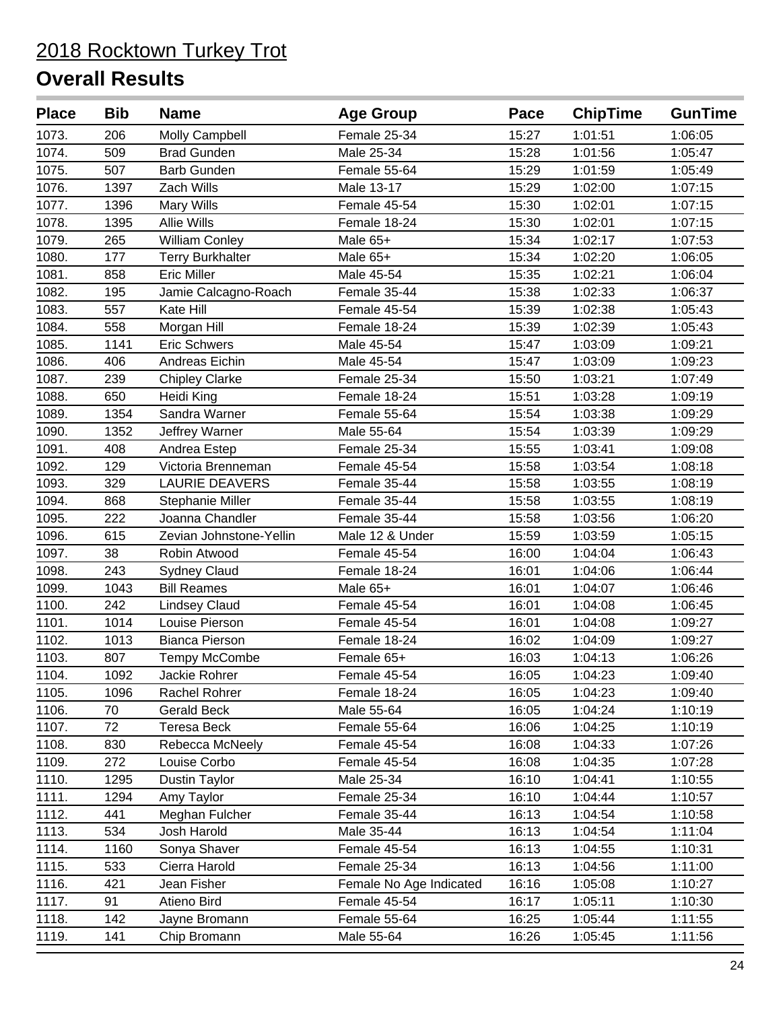| <b>Place</b> | <b>Bib</b> | <b>Name</b>             | <b>Age Group</b>        | Pace  | <b>ChipTime</b> | <b>GunTime</b> |
|--------------|------------|-------------------------|-------------------------|-------|-----------------|----------------|
| 1073.        | 206        | Molly Campbell          | Female 25-34            | 15:27 | 1:01:51         | 1:06:05        |
| 1074.        | 509        | <b>Brad Gunden</b>      | Male 25-34              | 15:28 | 1:01:56         | 1:05:47        |
| 1075.        | 507        | <b>Barb Gunden</b>      | Female 55-64            | 15:29 | 1:01:59         | 1:05:49        |
| 1076.        | 1397       | Zach Wills              | Male 13-17              | 15:29 | 1:02:00         | 1:07:15        |
| 1077.        | 1396       | Mary Wills              | Female 45-54            | 15:30 | 1:02:01         | 1:07:15        |
| 1078.        | 1395       | <b>Allie Wills</b>      | Female 18-24            | 15:30 | 1:02:01         | 1:07:15        |
| 1079.        | 265        | <b>William Conley</b>   | Male 65+                | 15:34 | 1:02:17         | 1:07:53        |
| 1080.        | 177        | <b>Terry Burkhalter</b> | Male 65+                | 15:34 | 1:02:20         | 1:06:05        |
| 1081.        | 858        | <b>Eric Miller</b>      | Male 45-54              | 15:35 | 1:02:21         | 1:06:04        |
| 1082.        | 195        | Jamie Calcagno-Roach    | Female 35-44            | 15:38 | 1:02:33         | 1:06:37        |
| 1083.        | 557        | Kate Hill               | Female 45-54            | 15:39 | 1:02:38         | 1:05:43        |
| 1084.        | 558        | Morgan Hill             | Female 18-24            | 15:39 | 1:02:39         | 1:05:43        |
| 1085.        | 1141       | Eric Schwers            | Male 45-54              | 15:47 | 1:03:09         | 1:09:21        |
| 1086.        | 406        | Andreas Eichin          | Male 45-54              | 15:47 | 1:03:09         | 1:09:23        |
| 1087.        | 239        | <b>Chipley Clarke</b>   | Female 25-34            | 15:50 | 1:03:21         | 1:07:49        |
| 1088.        | 650        | Heidi King              | Female 18-24            | 15:51 | 1:03:28         | 1:09:19        |
| 1089.        | 1354       | Sandra Warner           | Female 55-64            | 15:54 | 1:03:38         | 1:09:29        |
| 1090.        | 1352       | Jeffrey Warner          | Male 55-64              | 15:54 | 1:03:39         | 1:09:29        |
| 1091.        | 408        | Andrea Estep            | Female 25-34            | 15:55 | 1:03:41         | 1:09:08        |
| 1092.        | 129        | Victoria Brenneman      | Female 45-54            | 15:58 | 1:03:54         | 1:08:18        |
| 1093.        | 329        | <b>LAURIE DEAVERS</b>   | Female 35-44            | 15:58 | 1:03:55         | 1:08:19        |
| 1094.        | 868        | Stephanie Miller        | Female 35-44            | 15:58 | 1:03:55         | 1:08:19        |
| 1095.        | 222        | Joanna Chandler         | Female 35-44            | 15:58 | 1:03:56         | 1:06:20        |
| 1096.        | 615        | Zevian Johnstone-Yellin | Male 12 & Under         | 15:59 | 1:03:59         | 1:05:15        |
| 1097.        | 38         | Robin Atwood            | Female 45-54            | 16:00 | 1:04:04         | 1:06:43        |
| 1098.        | 243        | <b>Sydney Claud</b>     | Female 18-24            | 16:01 | 1:04:06         | 1:06:44        |
| 1099.        | 1043       | <b>Bill Reames</b>      | Male 65+                | 16:01 | 1:04:07         | 1:06:46        |
| 1100.        | 242        | <b>Lindsey Claud</b>    | Female 45-54            | 16:01 | 1:04:08         | 1:06:45        |
| 1101.        | 1014       | Louise Pierson          | Female 45-54            | 16:01 | 1:04:08         | 1:09:27        |
| 1102.        | 1013       | <b>Bianca Pierson</b>   | Female 18-24            | 16:02 | 1:04:09         | 1:09:27        |
| 1103.        | 807        | Tempy McCombe           | Female 65+              | 16:03 | 1:04:13         | 1:06:26        |
| 1104.        | 1092       | Jackie Rohrer           | Female 45-54            | 16:05 | 1:04:23         | 1:09:40        |
| 1105.        | 1096       | Rachel Rohrer           | Female 18-24            | 16:05 | 1:04:23         | 1:09:40        |
| 1106.        | 70         | Gerald Beck             | Male 55-64              | 16:05 | 1:04:24         | 1:10:19        |
| 1107.        | 72         | <b>Teresa Beck</b>      | Female 55-64            | 16:06 | 1:04:25         | 1:10:19        |
| 1108.        | 830        | Rebecca McNeely         | Female 45-54            | 16:08 | 1:04:33         | 1:07:26        |
| 1109.        | 272        | Louise Corbo            | Female 45-54            | 16:08 | 1:04:35         | 1:07:28        |
| 1110.        | 1295       | Dustin Taylor           | Male 25-34              | 16:10 | 1:04:41         | 1:10:55        |
| 1111.        | 1294       | Amy Taylor              | Female 25-34            | 16:10 | 1:04:44         | 1:10:57        |
| 1112.        | 441        | Meghan Fulcher          | Female 35-44            | 16:13 | 1:04:54         | 1:10:58        |
| 1113.        | 534        | Josh Harold             | Male 35-44              | 16:13 | 1:04:54         | 1:11:04        |
| 1114.        | 1160       | Sonya Shaver            | Female 45-54            | 16:13 | 1:04:55         | 1:10:31        |
| 1115.        | 533        | Cierra Harold           | Female 25-34            | 16:13 | 1:04:56         | 1:11:00        |
| 1116.        | 421        | Jean Fisher             | Female No Age Indicated | 16:16 | 1:05:08         | 1:10:27        |
| 1117.        | 91         | Atieno Bird             | Female 45-54            | 16:17 | 1:05:11         | 1:10:30        |
| 1118.        | 142        | Jayne Bromann           | Female 55-64            | 16:25 | 1:05:44         | 1:11:55        |
| 1119.        | 141        | Chip Bromann            | Male 55-64              | 16:26 | 1:05:45         | 1:11:56        |
|              |            |                         |                         |       |                 |                |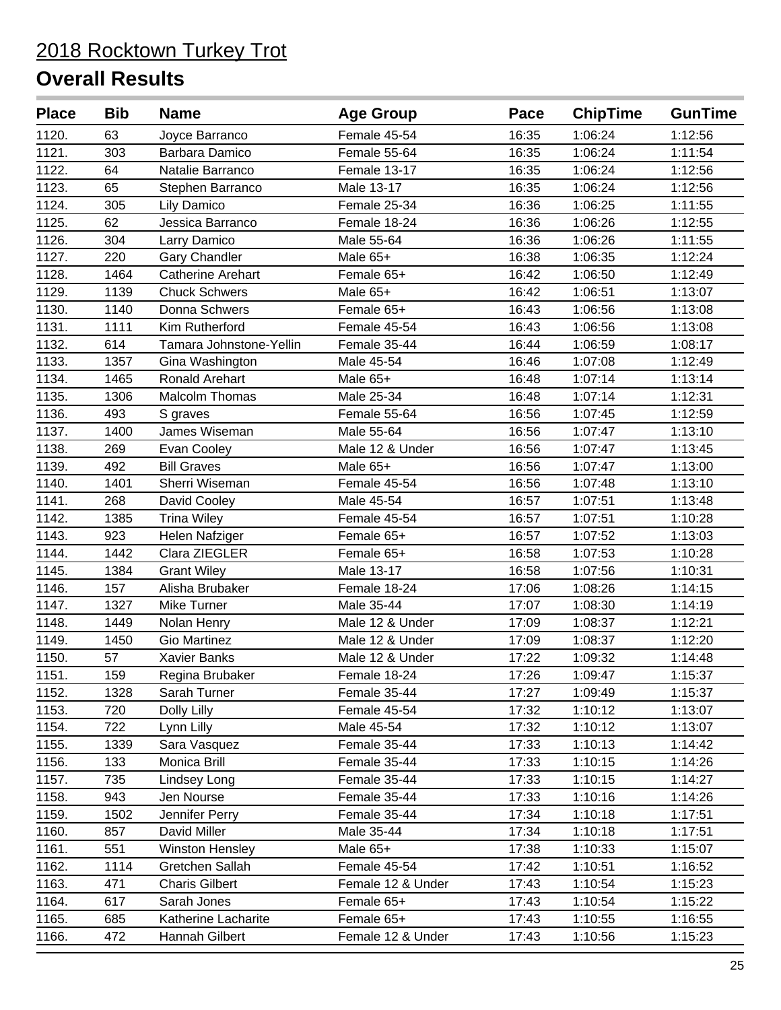| <b>Place</b> | <b>Bib</b> | <b>Name</b>              | <b>Age Group</b>  | Pace  | <b>ChipTime</b> | <b>GunTime</b> |
|--------------|------------|--------------------------|-------------------|-------|-----------------|----------------|
| 1120.        | 63         | Joyce Barranco           | Female 45-54      | 16:35 | 1:06:24         | 1:12:56        |
| 1121.        | 303        | Barbara Damico           | Female 55-64      | 16:35 | 1:06:24         | 1:11:54        |
| 1122.        | 64         | Natalie Barranco         | Female 13-17      | 16:35 | 1:06:24         | 1:12:56        |
| 1123.        | 65         | Stephen Barranco         | Male 13-17        | 16:35 | 1:06:24         | 1:12:56        |
| 1124.        | 305        | Lily Damico              | Female 25-34      | 16:36 | 1:06:25         | 1:11:55        |
| 1125.        | 62         | Jessica Barranco         | Female 18-24      | 16:36 | 1:06:26         | 1:12:55        |
| 1126.        | 304        | Larry Damico             | Male 55-64        | 16:36 | 1:06:26         | 1:11:55        |
| 1127.        | 220        | <b>Gary Chandler</b>     | Male 65+          | 16:38 | 1:06:35         | 1:12:24        |
| 1128.        | 1464       | <b>Catherine Arehart</b> | Female 65+        | 16:42 | 1:06:50         | 1:12:49        |
| 1129.        | 1139       | <b>Chuck Schwers</b>     | Male 65+          | 16:42 | 1:06:51         | 1:13:07        |
| 1130.        | 1140       | Donna Schwers            | Female 65+        | 16:43 | 1:06:56         | 1:13:08        |
| 1131.        | 1111       | Kim Rutherford           | Female 45-54      | 16:43 | 1:06:56         | 1:13:08        |
| 1132.        | 614        | Tamara Johnstone-Yellin  | Female 35-44      | 16:44 | 1:06:59         | 1:08:17        |
| 1133.        | 1357       | Gina Washington          | Male 45-54        | 16:46 | 1:07:08         | 1:12:49        |
| 1134.        | 1465       | Ronald Arehart           | Male 65+          | 16:48 | 1:07:14         | 1:13:14        |
| 1135.        | 1306       | <b>Malcolm Thomas</b>    | Male 25-34        | 16:48 | 1:07:14         | 1:12:31        |
| 1136.        | 493        | S graves                 | Female 55-64      | 16:56 | 1:07:45         | 1:12:59        |
| 1137.        | 1400       | James Wiseman            | Male 55-64        | 16:56 | 1:07:47         | 1:13:10        |
| 1138.        | 269        | Evan Cooley              | Male 12 & Under   | 16:56 | 1:07:47         | 1:13:45        |
| 1139.        | 492        | <b>Bill Graves</b>       | Male 65+          | 16:56 | 1:07:47         | 1:13:00        |
| 1140.        | 1401       | Sherri Wiseman           | Female 45-54      | 16:56 | 1:07:48         | 1:13:10        |
| 1141.        | 268        | David Cooley             | Male 45-54        | 16:57 | 1:07:51         | 1:13:48        |
| 1142.        | 1385       | <b>Trina Wiley</b>       | Female 45-54      | 16:57 | 1:07:51         | 1:10:28        |
| 1143.        | 923        | Helen Nafziger           | Female 65+        | 16:57 | 1:07:52         | 1:13:03        |
| 1144.        | 1442       | Clara ZIEGLER            | Female 65+        | 16:58 | 1:07:53         | 1:10:28        |
| 1145.        | 1384       | <b>Grant Wiley</b>       | Male 13-17        | 16:58 | 1:07:56         | 1:10:31        |
| 1146.        | 157        | Alisha Brubaker          | Female 18-24      | 17:06 | 1:08:26         | 1:14:15        |
| 1147.        | 1327       | Mike Turner              | Male 35-44        | 17:07 | 1:08:30         | 1:14:19        |
| 1148.        | 1449       | Nolan Henry              | Male 12 & Under   | 17:09 | 1:08:37         | 1:12:21        |
| 1149.        | 1450       | <b>Gio Martinez</b>      | Male 12 & Under   | 17:09 | 1:08:37         | 1:12:20        |
| 1150.        | 57         | <b>Xavier Banks</b>      | Male 12 & Under   | 17:22 | 1:09:32         | 1:14:48        |
| 1151.        | 159        | Regina Brubaker          | Female 18-24      | 17:26 | 1:09:47         | 1:15:37        |
| 1152.        | 1328       | Sarah Turner             | Female 35-44      | 17:27 | 1:09:49         | 1:15:37        |
| 1153.        | 720        | Dolly Lilly              | Female 45-54      | 17:32 | 1:10:12         | 1:13:07        |
| 1154.        | 722        | Lynn Lilly               | Male 45-54        | 17:32 | 1:10:12         | 1:13:07        |
| 1155.        | 1339       | Sara Vasquez             | Female 35-44      | 17:33 | 1:10:13         | 1:14:42        |
| 1156.        | 133        | Monica Brill             | Female 35-44      | 17:33 | 1:10:15         | 1:14:26        |
| 1157.        | 735        | Lindsey Long             | Female 35-44      | 17:33 | 1:10:15         | 1:14:27        |
| 1158.        | 943        | Jen Nourse               | Female 35-44      | 17:33 | 1:10:16         | 1:14:26        |
| 1159.        | 1502       | Jennifer Perry           | Female 35-44      | 17:34 | 1:10:18         | 1:17:51        |
| 1160.        | 857        | David Miller             | Male 35-44        | 17:34 | 1:10:18         | 1:17:51        |
| 1161.        | 551        | <b>Winston Hensley</b>   | Male $65+$        | 17:38 | 1:10:33         | 1:15:07        |
| 1162.        | 1114       | Gretchen Sallah          | Female 45-54      | 17:42 | 1:10:51         | 1:16:52        |
| 1163.        | 471        | <b>Charis Gilbert</b>    | Female 12 & Under | 17:43 | 1:10:54         | 1:15:23        |
| 1164.        | 617        | Sarah Jones              | Female 65+        | 17:43 | 1:10:54         | 1:15:22        |
| 1165.        | 685        | Katherine Lacharite      | Female 65+        | 17:43 | 1:10:55         | 1:16:55        |
| 1166.        | 472        | Hannah Gilbert           | Female 12 & Under | 17:43 | 1:10:56         | 1:15:23        |
|              |            |                          |                   |       |                 |                |